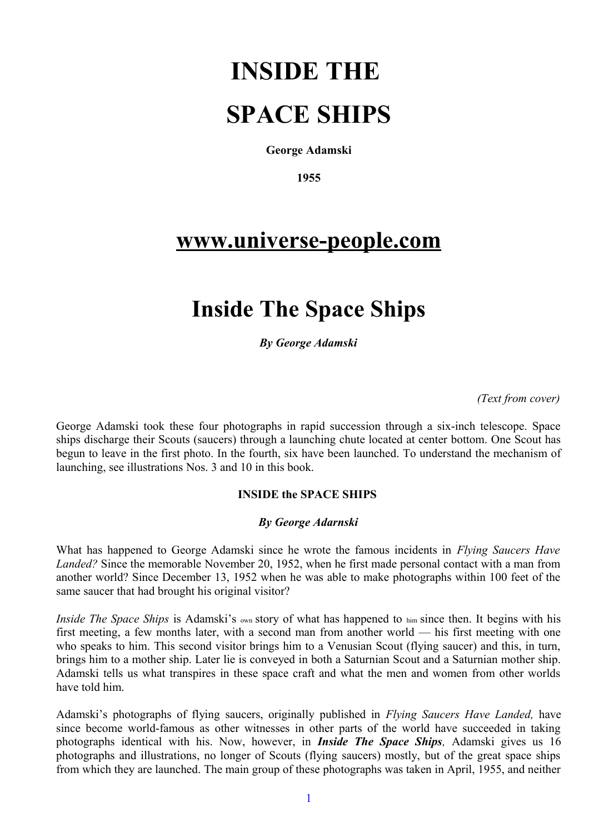# **INSIDE THE SPACE SHIPS**

**George Adamski**

**1955**

# **[www.universe-people.com](http://www.universe-people.com/)**

# **Inside The Space Ships**

*By George Adamski*

*(Text from cover)*

George Adamski took these four photographs in rapid succession through a six-inch telescope. Space ships discharge their Scouts (saucers) through a launching chute located at center bottom. One Scout has begun to leave in the first photo. In the fourth, six have been launched. To understand the mechanism of launching, see illustrations Nos. 3 and 10 in this book.

# **INSIDE the SPACE SHIPS**

#### *By George Adarnski*

What has happened to George Adamski since he wrote the famous incidents in *Flying Saucers Have Landed?* Since the memorable November 20, 1952, when he first made personal contact with a man from another world? Since December 13, 1952 when he was able to make photographs within 100 feet of the same saucer that had brought his original visitor?

*Inside The Space Ships* is Adamski's <sub>own</sub> story of what has happened to him since then. It begins with his first meeting, a few months later, with a second man from another world — his first meeting with one who speaks to him. This second visitor brings him to a Venusian Scout (flying saucer) and this, in turn, brings him to a mother ship. Later lie is conveyed in both a Saturnian Scout and a Saturnian mother ship. Adamski tells us what transpires in these space craft and what the men and women from other worlds have told him.

Adamski's photographs of flying saucers, originally published in *Flying Saucers Have Landed,* have since become world-famous as other witnesses in other parts of the world have succeeded in taking photographs identical with his. Now, however, in *Inside The Space Ships,* Adamski gives us 16 photographs and illustrations, no longer of Scouts (flying saucers) mostly, but of the great space ships from which they are launched. The main group of these photographs was taken in April, 1955, and neither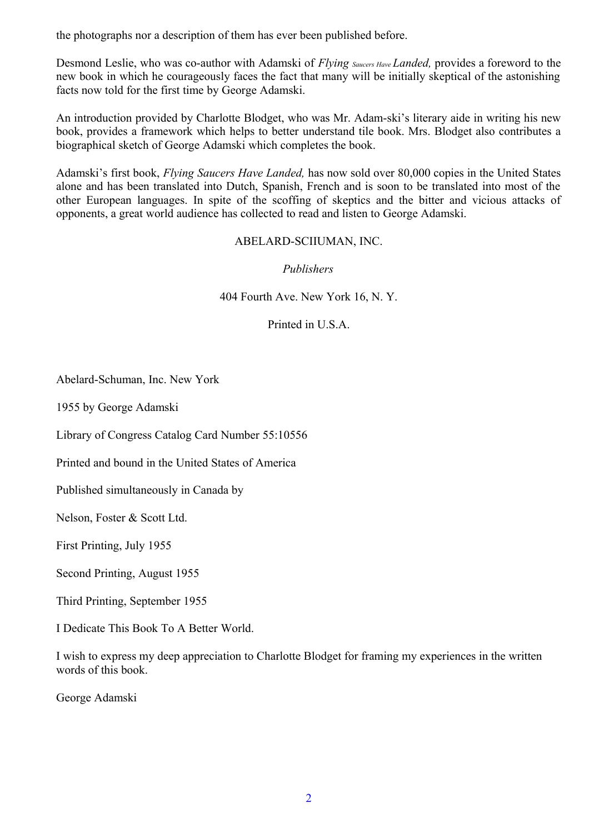the photographs nor a description of them has ever been published before.

Desmond Leslie, who was co-author with Adamski of *Flying Saucers Have Landed,* provides a foreword to the new book in which he courageously faces the fact that many will be initially skeptical of the astonishing facts now told for the first time by George Adamski.

An introduction provided by Charlotte Blodget, who was Mr. Adam-ski's literary aide in writing his new book, provides a framework which helps to better understand tile book. Mrs. Blodget also contributes a biographical sketch of George Adamski which completes the book.

Adamski's first book, *Flying Saucers Have Landed,* has now sold over 80,000 copies in the United States alone and has been translated into Dutch, Spanish, French and is soon to be translated into most of the other European languages. In spite of the scoffing of skeptics and the bitter and vicious attacks of opponents, a great world audience has collected to read and listen to George Adamski.

# ABELARD-SCIIUMAN, INC.

*Publishers*

404 Fourth Ave. New York 16, N. Y.

Printed in U.S.A.

Abelard-Schuman, Inc. New York

1955 by George Adamski

Library of Congress Catalog Card Number 55:10556

Printed and bound in the United States of America

Published simultaneously in Canada by

Nelson, Foster & Scott Ltd.

First Printing, July 1955

Second Printing, August 1955

Third Printing, September 1955

I Dedicate This Book To A Better World.

I wish to express my deep appreciation to Charlotte Blodget for framing my experiences in the written words of this book.

George Adamski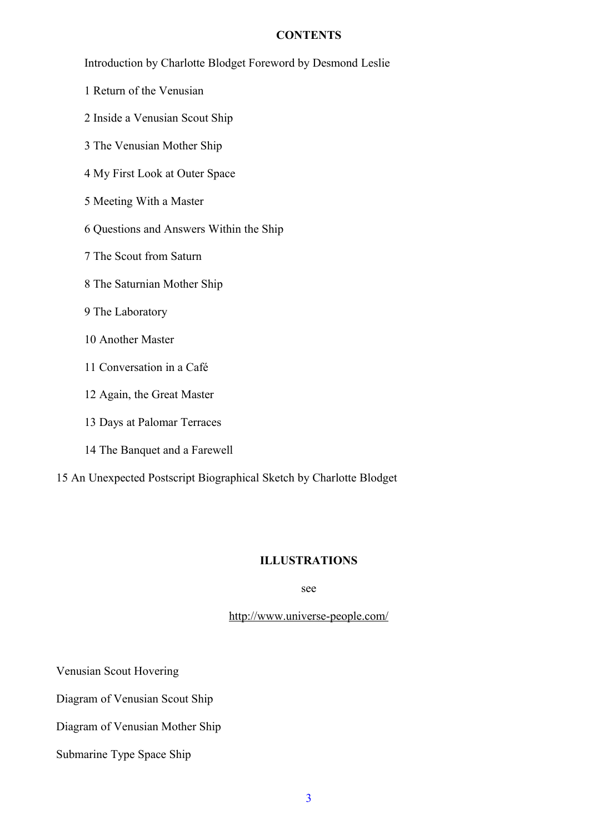#### **CONTENTS**

Introduction by Charlotte Blodget Foreword by Desmond Leslie

- 1 Return of the Venusian
- 2 Inside a Venusian Scout Ship
- 3 The Venusian Mother Ship
- 4 My First Look at Outer Space
- 5 Meeting With a Master
- 6 Questions and Answers Within the Ship
- 7 The Scout from Saturn
- 8 The Saturnian Mother Ship
- 9 The Laboratory
- 10 Another Master
- 11 Conversation in a Café
- 12 Again, the Great Master
- 13 Days at Palomar Terraces
- 14 The Banquet and a Farewell
- 15 An Unexpected Postscript Biographical Sketch by Charlotte Blodget

#### **ILLUSTRATIONS**

see

#### <http://www.universe-people.com/>

Venusian Scout Hovering Diagram of Venusian Scout Ship Diagram of Venusian Mother Ship Submarine Type Space Ship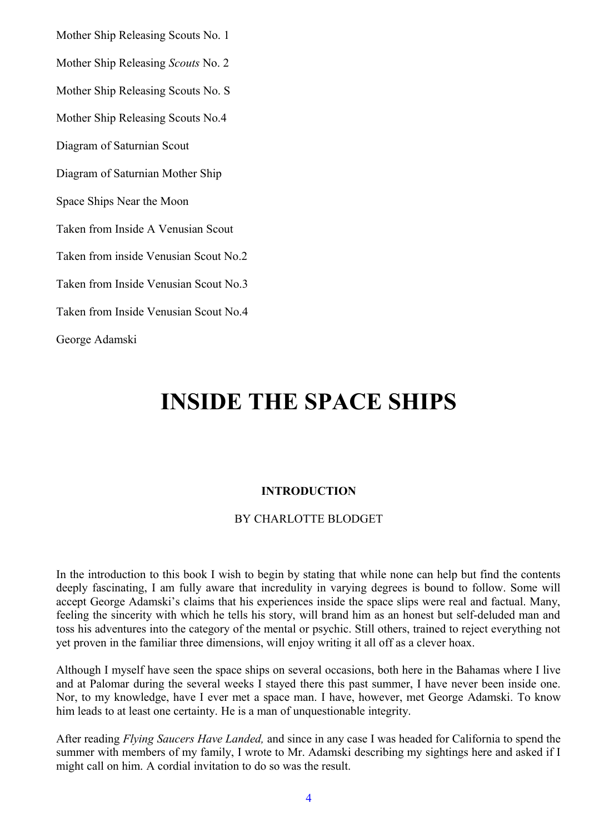Mother Ship Releasing Scouts No. 1 Mother Ship Releasing *Scouts* No. 2 Mother Ship Releasing Scouts No. S Mother Ship Releasing Scouts No.4 Diagram of Saturnian Scout Diagram of Saturnian Mother Ship Space Ships Near the Moon Taken from Inside A Venusian Scout Taken from inside Venusian Scout No.2 Taken from Inside Venusian Scout No.3 Taken from Inside Venusian Scout No.4 George Adamski

# **INSIDE THE SPACE SHIPS**

# **INTRODUCTION**

#### BY CHARLOTTE BLODGET

In the introduction to this book I wish to begin by stating that while none can help but find the contents deeply fascinating, I am fully aware that incredulity in varying degrees is bound to follow. Some will accept George Adamski's claims that his experiences inside the space slips were real and factual. Many, feeling the sincerity with which he tells his story, will brand him as an honest but self-deluded man and toss his adventures into the category of the mental or psychic. Still others, trained to reject everything not yet proven in the familiar three dimensions, will enjoy writing it all off as a clever hoax.

Although I myself have seen the space ships on several occasions, both here in the Bahamas where I live and at Palomar during the several weeks I stayed there this past summer, I have never been inside one. Nor, to my knowledge, have I ever met a space man. I have, however, met George Adamski. To know him leads to at least one certainty. He is a man of unquestionable integrity.

After reading *Flying Saucers Have Landed,* and since in any case I was headed for California to spend the summer with members of my family, I wrote to Mr. Adamski describing my sightings here and asked if I might call on him. A cordial invitation to do so was the result.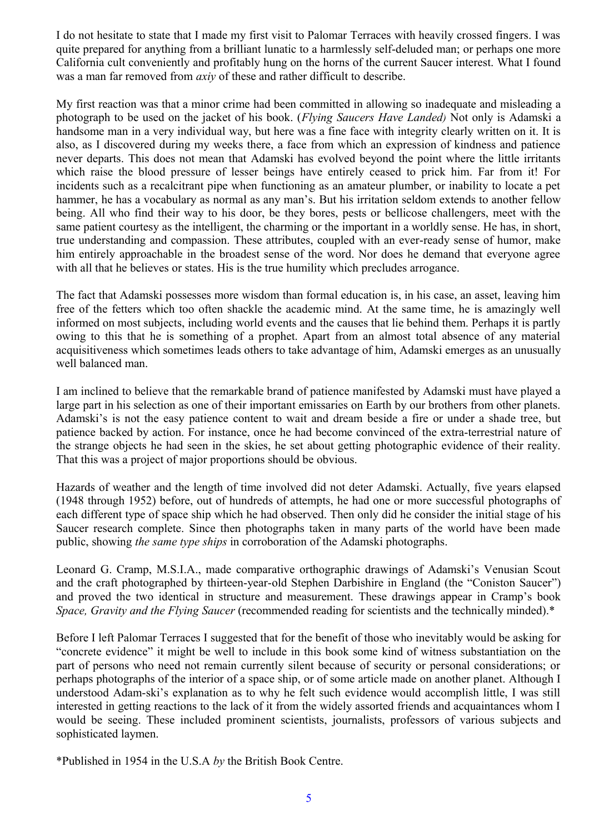I do not hesitate to state that I made my first visit to Palomar Terraces with heavily crossed fingers. I was quite prepared for anything from a brilliant lunatic to a harmlessly self-deluded man; or perhaps one more California cult conveniently and profitably hung on the horns of the current Saucer interest. What I found was a man far removed from *axiy* of these and rather difficult to describe.

My first reaction was that a minor crime had been committed in allowing so inadequate and misleading a photograph to be used on the jacket of his book. (*Flying Saucers Have Landed)* Not only is Adamski a handsome man in a very individual way, but here was a fine face with integrity clearly written on it. It is also, as I discovered during my weeks there, a face from which an expression of kindness and patience never departs. This does not mean that Adamski has evolved beyond the point where the little irritants which raise the blood pressure of lesser beings have entirely ceased to prick him. Far from it! For incidents such as a recalcitrant pipe when functioning as an amateur plumber, or inability to locate a pet hammer, he has a vocabulary as normal as any man's. But his irritation seldom extends to another fellow being. All who find their way to his door, be they bores, pests or bellicose challengers, meet with the same patient courtesy as the intelligent, the charming or the important in a worldly sense. He has, in short, true understanding and compassion. These attributes, coupled with an ever-ready sense of humor, make him entirely approachable in the broadest sense of the word. Nor does he demand that everyone agree with all that he believes or states. His is the true humility which precludes arrogance.

The fact that Adamski possesses more wisdom than formal education is, in his case, an asset, leaving him free of the fetters which too often shackle the academic mind. At the same time, he is amazingly well informed on most subjects, including world events and the causes that lie behind them. Perhaps it is partly owing to this that he is something of a prophet. Apart from an almost total absence of any material acquisitiveness which sometimes leads others to take advantage of him, Adamski emerges as an unusually well balanced man.

I am inclined to believe that the remarkable brand of patience manifested by Adamski must have played a large part in his selection as one of their important emissaries on Earth by our brothers from other planets. Adamski's is not the easy patience content to wait and dream beside a fire or under a shade tree, but patience backed by action. For instance, once he had become convinced of the extra-terrestrial nature of the strange objects he had seen in the skies, he set about getting photographic evidence of their reality. That this was a project of major proportions should be obvious.

Hazards of weather and the length of time involved did not deter Adamski. Actually, five years elapsed (1948 through 1952) before, out of hundreds of attempts, he had one or more successful photographs of each different type of space ship which he had observed. Then only did he consider the initial stage of his Saucer research complete. Since then photographs taken in many parts of the world have been made public, showing *the same type ships* in corroboration of the Adamski photographs.

Leonard G. Cramp, M.S.I.A., made comparative orthographic drawings of Adamski's Venusian Scout and the craft photographed by thirteen-year-old Stephen Darbishire in England (the "Coniston Saucer") and proved the two identical in structure and measurement. These drawings appear in Cramp's book *Space, Gravity and the Flying Saucer* (recommended reading for scientists and the technically minded).\*

Before I left Palomar Terraces I suggested that for the benefit of those who inevitably would be asking for "concrete evidence" it might be well to include in this book some kind of witness substantiation on the part of persons who need not remain currently silent because of security or personal considerations; or perhaps photographs of the interior of a space ship, or of some article made on another planet. Although I understood Adam-ski's explanation as to why he felt such evidence would accomplish little, I was still interested in getting reactions to the lack of it from the widely assorted friends and acquaintances whom I would be seeing. These included prominent scientists, journalists, professors of various subjects and sophisticated laymen.

\*Published in 1954 in the U.S.A *by* the British Book Centre.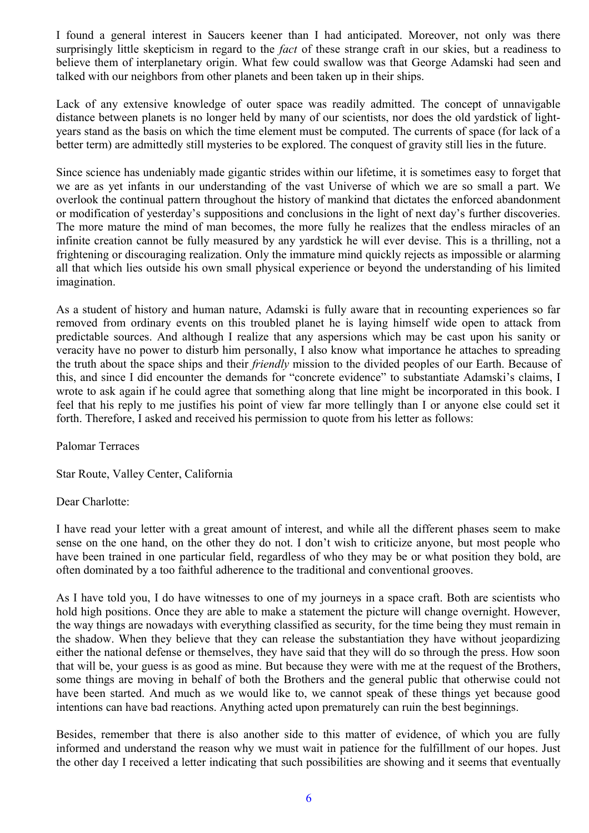I found a general interest in Saucers keener than I had anticipated. Moreover, not only was there surprisingly little skepticism in regard to the *fact* of these strange craft in our skies, but a readiness to believe them of interplanetary origin. What few could swallow was that George Adamski had seen and talked with our neighbors from other planets and been taken up in their ships.

Lack of any extensive knowledge of outer space was readily admitted. The concept of unnavigable distance between planets is no longer held by many of our scientists, nor does the old yardstick of lightyears stand as the basis on which the time element must be computed. The currents of space (for lack of a better term) are admittedly still mysteries to be explored. The conquest of gravity still lies in the future.

Since science has undeniably made gigantic strides within our lifetime, it is sometimes easy to forget that we are as yet infants in our understanding of the vast Universe of which we are so small a part. We overlook the continual pattern throughout the history of mankind that dictates the enforced abandonment or modification of yesterday's suppositions and conclusions in the light of next day's further discoveries. The more mature the mind of man becomes, the more fully he realizes that the endless miracles of an infinite creation cannot be fully measured by any yardstick he will ever devise. This is a thrilling, not a frightening or discouraging realization. Only the immature mind quickly rejects as impossible or alarming all that which lies outside his own small physical experience or beyond the understanding of his limited imagination.

As a student of history and human nature, Adamski is fully aware that in recounting experiences so far removed from ordinary events on this troubled planet he is laying himself wide open to attack from predictable sources. And although I realize that any aspersions which may be cast upon his sanity or veracity have no power to disturb him personally, I also know what importance he attaches to spreading the truth about the space ships and their *friendly* mission to the divided peoples of our Earth. Because of this, and since I did encounter the demands for "concrete evidence" to substantiate Adamski's claims, I wrote to ask again if he could agree that something along that line might be incorporated in this book. I feel that his reply to me justifies his point of view far more tellingly than I or anyone else could set it forth. Therefore, I asked and received his permission to quote from his letter as follows:

Palomar Terraces

Star Route, Valley Center, California

Dear Charlotte:

I have read your letter with a great amount of interest, and while all the different phases seem to make sense on the one hand, on the other they do not. I don't wish to criticize anyone, but most people who have been trained in one particular field, regardless of who they may be or what position they bold, are often dominated by a too faithful adherence to the traditional and conventional grooves.

As I have told you, I do have witnesses to one of my journeys in a space craft. Both are scientists who hold high positions. Once they are able to make a statement the picture will change overnight. However, the way things are nowadays with everything classified as security, for the time being they must remain in the shadow. When they believe that they can release the substantiation they have without jeopardizing either the national defense or themselves, they have said that they will do so through the press. How soon that will be, your guess is as good as mine. But because they were with me at the request of the Brothers, some things are moving in behalf of both the Brothers and the general public that otherwise could not have been started. And much as we would like to, we cannot speak of these things yet because good intentions can have bad reactions. Anything acted upon prematurely can ruin the best beginnings.

Besides, remember that there is also another side to this matter of evidence, of which you are fully informed and understand the reason why we must wait in patience for the fulfillment of our hopes. Just the other day I received a letter indicating that such possibilities are showing and it seems that eventually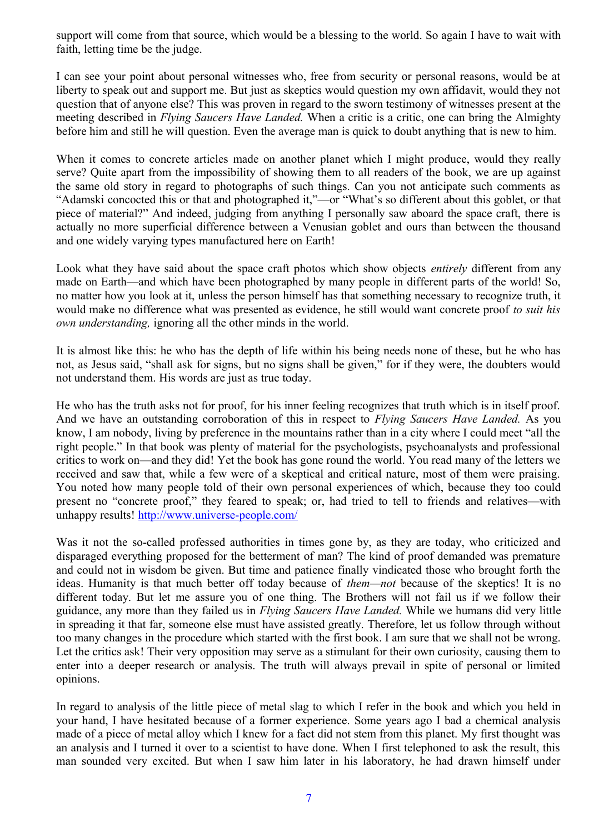support will come from that source, which would be a blessing to the world. So again I have to wait with faith, letting time be the judge.

I can see your point about personal witnesses who, free from security or personal reasons, would be at liberty to speak out and support me. But just as skeptics would question my own affidavit, would they not question that of anyone else? This was proven in regard to the sworn testimony of witnesses present at the meeting described in *Flying Saucers Have Landed.* When a critic is a critic, one can bring the Almighty before him and still he will question. Even the average man is quick to doubt anything that is new to him.

When it comes to concrete articles made on another planet which I might produce, would they really serve? Quite apart from the impossibility of showing them to all readers of the book, we are up against the same old story in regard to photographs of such things. Can you not anticipate such comments as "Adamski concocted this or that and photographed it,"—or "What's so different about this goblet, or that piece of material?" And indeed, judging from anything I personally saw aboard the space craft, there is actually no more superficial difference between a Venusian goblet and ours than between the thousand and one widely varying types manufactured here on Earth!

Look what they have said about the space craft photos which show objects *entirely* different from any made on Earth—and which have been photographed by many people in different parts of the world! So, no matter how you look at it, unless the person himself has that something necessary to recognize truth, it would make no difference what was presented as evidence, he still would want concrete proof *to suit his own understanding,* ignoring all the other minds in the world.

It is almost like this: he who has the depth of life within his being needs none of these, but he who has not, as Jesus said, "shall ask for signs, but no signs shall be given," for if they were, the doubters would not understand them. His words are just as true today.

He who has the truth asks not for proof, for his inner feeling recognizes that truth which is in itself proof. And we have an outstanding corroboration of this in respect to *Flying Saucers Have Landed.* As you know, I am nobody, living by preference in the mountains rather than in a city where I could meet "all the right people." In that book was plenty of material for the psychologists, psychoanalysts and professional critics to work on—and they did! Yet the book has gone round the world. You read many of the letters we received and saw that, while a few were of a skeptical and critical nature, most of them were praising. You noted how many people told of their own personal experiences of which, because they too could present no "concrete proof," they feared to speak; or, had tried to tell to friends and relatives—with unhappy results!<http://www.universe-people.com/>

Was it not the so-called professed authorities in times gone by, as they are today, who criticized and disparaged everything proposed for the betterment of man? The kind of proof demanded was premature and could not in wisdom be given. But time and patience finally vindicated those who brought forth the ideas. Humanity is that much better off today because of *them—not* because of the skeptics! It is no different today. But let me assure you of one thing. The Brothers will not fail us if we follow their guidance, any more than they failed us in *Flying Saucers Have Landed.* While we humans did very little in spreading it that far, someone else must have assisted greatly. Therefore, let us follow through without too many changes in the procedure which started with the first book. I am sure that we shall not be wrong. Let the critics ask! Their very opposition may serve as a stimulant for their own curiosity, causing them to enter into a deeper research or analysis. The truth will always prevail in spite of personal or limited opinions.

In regard to analysis of the little piece of metal slag to which I refer in the book and which you held in your hand, I have hesitated because of a former experience. Some years ago I bad a chemical analysis made of a piece of metal alloy which I knew for a fact did not stem from this planet. My first thought was an analysis and I turned it over to a scientist to have done. When I first telephoned to ask the result, this man sounded very excited. But when I saw him later in his laboratory, he had drawn himself under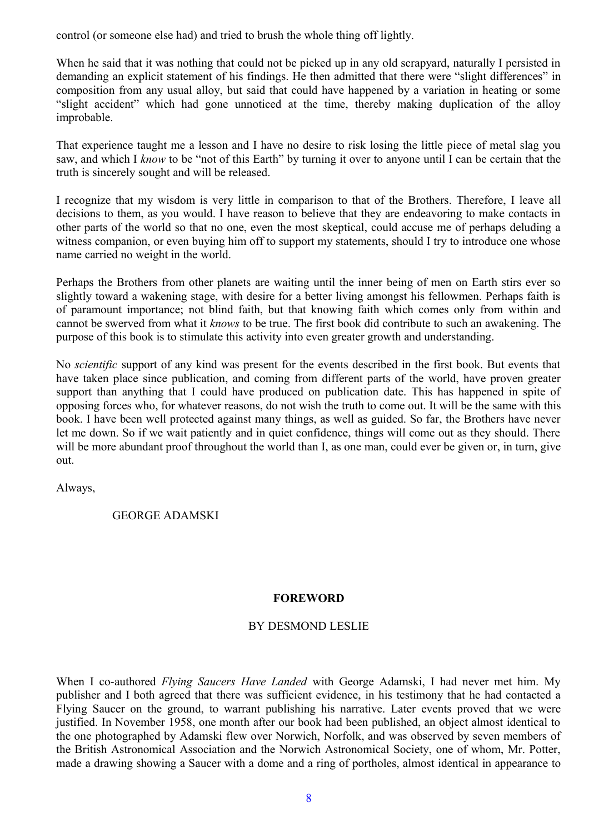control (or someone else had) and tried to brush the whole thing off lightly.

When he said that it was nothing that could not be picked up in any old scrapyard, naturally I persisted in demanding an explicit statement of his findings. He then admitted that there were "slight differences" in composition from any usual alloy, but said that could have happened by a variation in heating or some "slight accident" which had gone unnoticed at the time, thereby making duplication of the alloy improbable.

That experience taught me a lesson and I have no desire to risk losing the little piece of metal slag you saw, and which I *know* to be "not of this Earth" by turning it over to anyone until I can be certain that the truth is sincerely sought and will be released.

I recognize that my wisdom is very little in comparison to that of the Brothers. Therefore, I leave all decisions to them, as you would. I have reason to believe that they are endeavoring to make contacts in other parts of the world so that no one, even the most skeptical, could accuse me of perhaps deluding a witness companion, or even buying him off to support my statements, should I try to introduce one whose name carried no weight in the world.

Perhaps the Brothers from other planets are waiting until the inner being of men on Earth stirs ever so slightly toward a wakening stage, with desire for a better living amongst his fellowmen. Perhaps faith is of paramount importance; not blind faith, but that knowing faith which comes only from within and cannot be swerved from what it *knows* to be true. The first book did contribute to such an awakening. The purpose of this book is to stimulate this activity into even greater growth and understanding.

No *scientific* support of any kind was present for the events described in the first book. But events that have taken place since publication, and coming from different parts of the world, have proven greater support than anything that I could have produced on publication date. This has happened in spite of opposing forces who, for whatever reasons, do not wish the truth to come out. It will be the same with this book. I have been well protected against many things, as well as guided. So far, the Brothers have never let me down. So if we wait patiently and in quiet confidence, things will come out as they should. There will be more abundant proof throughout the world than I, as one man, could ever be given or, in turn, give out.

Always,

# GEORGE ADAMSKI

#### **FOREWORD**

# BY DESMOND LESLIE

When I co-authored *Flying Saucers Have Landed* with George Adamski, I had never met him. My publisher and I both agreed that there was sufficient evidence, in his testimony that he had contacted a Flying Saucer on the ground, to warrant publishing his narrative. Later events proved that we were justified. In November 1958, one month after our book had been published, an object almost identical to the one photographed by Adamski flew over Norwich, Norfolk, and was observed by seven members of the British Astronomical Association and the Norwich Astronomical Society, one of whom, Mr. Potter, made a drawing showing a Saucer with a dome and a ring of portholes, almost identical in appearance to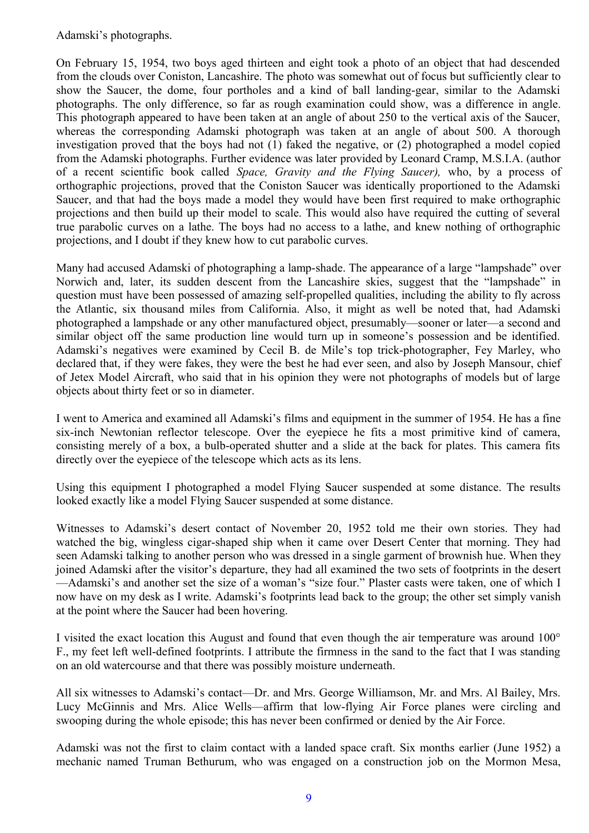Adamski's photographs.

On February 15, 1954, two boys aged thirteen and eight took a photo of an object that had descended from the clouds over Coniston, Lancashire. The photo was somewhat out of focus but sufficiently clear to show the Saucer, the dome, four portholes and a kind of ball landing-gear, similar to the Adamski photographs. The only difference, so far as rough examination could show, was a difference in angle. This photograph appeared to have been taken at an angle of about 250 to the vertical axis of the Saucer, whereas the corresponding Adamski photograph was taken at an angle of about 500. A thorough investigation proved that the boys had not (1) faked the negative, or (2) photographed a model copied from the Adamski photographs. Further evidence was later provided by Leonard Cramp, M.S.I.A. (author of a recent scientific book called *Space, Gravity and the Flying Saucer),* who, by a process of orthographic projections, proved that the Coniston Saucer was identically proportioned to the Adamski Saucer, and that had the boys made a model they would have been first required to make orthographic projections and then build up their model to scale. This would also have required the cutting of several true parabolic curves on a lathe. The boys had no access to a lathe, and knew nothing of orthographic projections, and I doubt if they knew how to cut parabolic curves.

Many had accused Adamski of photographing a lamp-shade. The appearance of a large "lampshade" over Norwich and, later, its sudden descent from the Lancashire skies, suggest that the "lampshade" in question must have been possessed of amazing self-propelled qualities, including the ability to fly across the Atlantic, six thousand miles from California. Also, it might as well be noted that, had Adamski photographed a lampshade or any other manufactured object, presumably—sooner or later—a second and similar object off the same production line would turn up in someone's possession and be identified. Adamski's negatives were examined by Cecil B. de Mile's top trick-photographer, Fey Marley, who declared that, if they were fakes, they were the best he had ever seen, and also by Joseph Mansour, chief of Jetex Model Aircraft, who said that in his opinion they were not photographs of models but of large objects about thirty feet or so in diameter.

I went to America and examined all Adamski's films and equipment in the summer of 1954. He has a fine six-inch Newtonian reflector telescope. Over the eyepiece he fits a most primitive kind of camera, consisting merely of a box, a bulb-operated shutter and a slide at the back for plates. This camera fits directly over the eyepiece of the telescope which acts as its lens.

Using this equipment I photographed a model Flying Saucer suspended at some distance. The results looked exactly like a model Flying Saucer suspended at some distance.

Witnesses to Adamski's desert contact of November 20, 1952 told me their own stories. They had watched the big, wingless cigar-shaped ship when it came over Desert Center that morning. They had seen Adamski talking to another person who was dressed in a single garment of brownish hue. When they joined Adamski after the visitor's departure, they had all examined the two sets of footprints in the desert —Adamski's and another set the size of a woman's "size four." Plaster casts were taken, one of which I now have on my desk as I write. Adamski's footprints lead back to the group; the other set simply vanish at the point where the Saucer had been hovering.

I visited the exact location this August and found that even though the air temperature was around 100° F., my feet left well-defined footprints. I attribute the firmness in the sand to the fact that I was standing on an old watercourse and that there was possibly moisture underneath.

All six witnesses to Adamski's contact—Dr. and Mrs. George Williamson, Mr. and Mrs. Al Bailey, Mrs. Lucy McGinnis and Mrs. Alice Wells—affirm that low-flying Air Force planes were circling and swooping during the whole episode; this has never been confirmed or denied by the Air Force.

Adamski was not the first to claim contact with a landed space craft. Six months earlier (June 1952) a mechanic named Truman Bethurum, who was engaged on a construction job on the Mormon Mesa,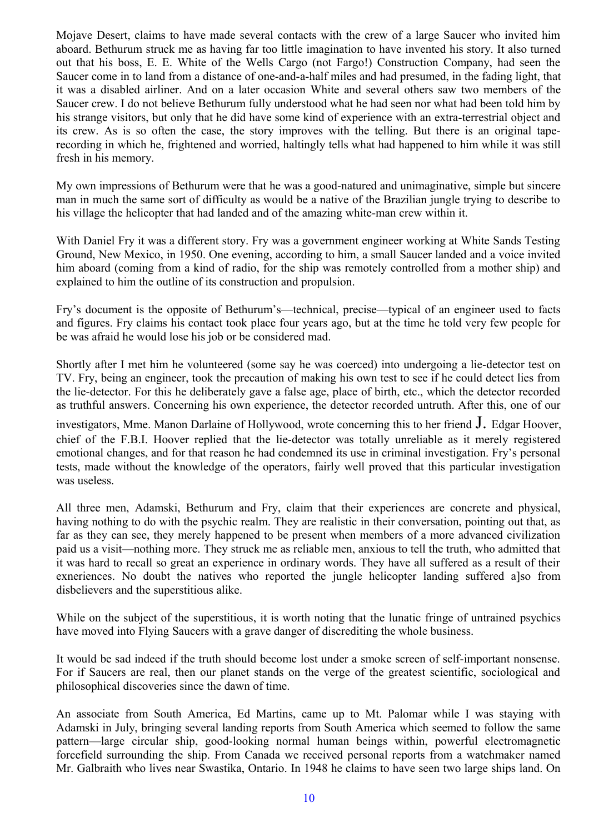Mojave Desert, claims to have made several contacts with the crew of a large Saucer who invited him aboard. Bethurum struck me as having far too little imagination to have invented his story. It also turned out that his boss, E. E. White of the Wells Cargo (not Fargo!) Construction Company, had seen the Saucer come in to land from a distance of one-and-a-half miles and had presumed, in the fading light, that it was a disabled airliner. And on a later occasion White and several others saw two members of the Saucer crew. I do not believe Bethurum fully understood what he had seen nor what had been told him by his strange visitors, but only that he did have some kind of experience with an extra-terrestrial object and its crew. As is so often the case, the story improves with the telling. But there is an original taperecording in which he, frightened and worried, haltingly tells what had happened to him while it was still fresh in his memory.

My own impressions of Bethurum were that he was a good-natured and unimaginative, simple but sincere man in much the same sort of difficulty as would be a native of the Brazilian jungle trying to describe to his village the helicopter that had landed and of the amazing white-man crew within it.

With Daniel Fry it was a different story. Fry was a government engineer working at White Sands Testing Ground, New Mexico, in 1950. One evening, according to him, a small Saucer landed and a voice invited him aboard (coming from a kind of radio, for the ship was remotely controlled from a mother ship) and explained to him the outline of its construction and propulsion.

Fry's document is the opposite of Bethurum's—technical, precise—typical of an engineer used to facts and figures. Fry claims his contact took place four years ago, but at the time he told very few people for be was afraid he would lose his job or be considered mad.

Shortly after I met him he volunteered (some say he was coerced) into undergoing a lie-detector test on TV. Fry, being an engineer, took the precaution of making his own test to see if he could detect lies from the lie-detector. For this he deliberately gave a false age, place of birth, etc., which the detector recorded as truthful answers. Concerning his own experience, the detector recorded untruth. After this, one of our

investigators, Mme. Manon Darlaine of Hollywood, wrote concerning this to her friend J. Edgar Hoover, chief of the F.B.I. Hoover replied that the lie-detector was totally unreliable as it merely registered emotional changes, and for that reason he had condemned its use in criminal investigation. Fry's personal tests, made without the knowledge of the operators, fairly well proved that this particular investigation was useless.

All three men, Adamski, Bethurum and Fry, claim that their experiences are concrete and physical, having nothing to do with the psychic realm. They are realistic in their conversation, pointing out that, as far as they can see, they merely happened to be present when members of a more advanced civilization paid us a visit—nothing more. They struck me as reliable men, anxious to tell the truth, who admitted that it was hard to recall so great an experience in ordinary words. They have all suffered as a result of their exneriences. No doubt the natives who reported the jungle helicopter landing suffered a]so from disbelievers and the superstitious alike.

While on the subject of the superstitious, it is worth noting that the lunatic fringe of untrained psychics have moved into Flying Saucers with a grave danger of discrediting the whole business.

It would be sad indeed if the truth should become lost under a smoke screen of self-important nonsense. For if Saucers are real, then our planet stands on the verge of the greatest scientific, sociological and philosophical discoveries since the dawn of time.

An associate from South America, Ed Martins, came up to Mt. Palomar while I was staying with Adamski in July, bringing several landing reports from South America which seemed to follow the same pattern—large circular ship, good-looking normal human beings within, powerful electromagnetic forcefield surrounding the ship. From Canada we received personal reports from a watchmaker named Mr. Galbraith who lives near Swastika, Ontario. In 1948 he claims to have seen two large ships land. On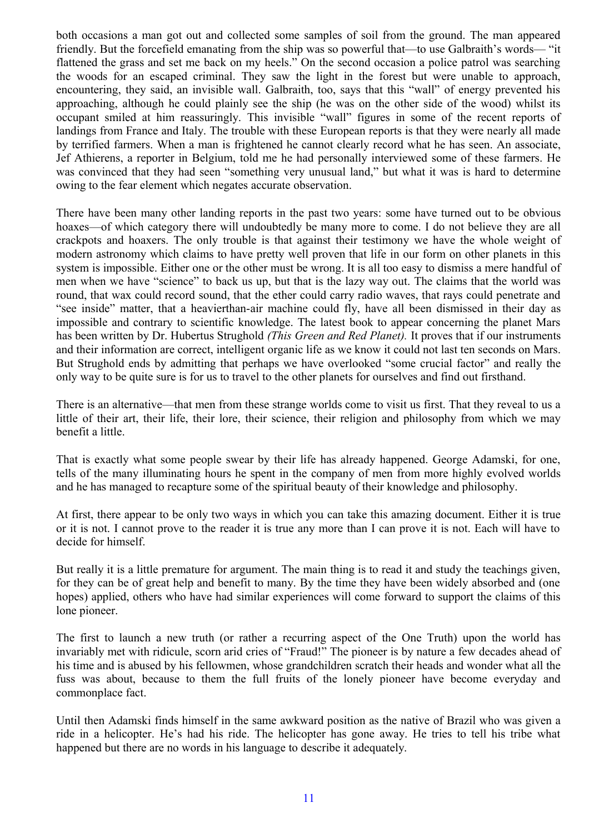both occasions a man got out and collected some samples of soil from the ground. The man appeared friendly. But the forcefield emanating from the ship was so powerful that—to use Galbraith's words— "it flattened the grass and set me back on my heels." On the second occasion a police patrol was searching the woods for an escaped criminal. They saw the light in the forest but were unable to approach, encountering, they said, an invisible wall. Galbraith, too, says that this "wall" of energy prevented his approaching, although he could plainly see the ship (he was on the other side of the wood) whilst its occupant smiled at him reassuringly. This invisible "wall" figures in some of the recent reports of landings from France and Italy. The trouble with these European reports is that they were nearly all made by terrified farmers. When a man is frightened he cannot clearly record what he has seen. An associate, Jef Athierens, a reporter in Belgium, told me he had personally interviewed some of these farmers. He was convinced that they had seen "something very unusual land," but what it was is hard to determine owing to the fear element which negates accurate observation.

There have been many other landing reports in the past two years: some have turned out to be obvious hoaxes—of which category there will undoubtedly be many more to come. I do not believe they are all crackpots and hoaxers. The only trouble is that against their testimony we have the whole weight of modern astronomy which claims to have pretty well proven that life in our form on other planets in this system is impossible. Either one or the other must be wrong. It is all too easy to dismiss a mere handful of men when we have "science" to back us up, but that is the lazy way out. The claims that the world was round, that wax could record sound, that the ether could carry radio waves, that rays could penetrate and "see inside" matter, that a heavierthan-air machine could fly, have all been dismissed in their day as impossible and contrary to scientific knowledge. The latest book to appear concerning the planet Mars has been written by Dr. Hubertus Strughold *(This Green and Red Planet).* It proves that if our instruments and their information are correct, intelligent organic life as we know it could not last ten seconds on Mars. But Strughold ends by admitting that perhaps we have overlooked "some crucial factor" and really the only way to be quite sure is for us to travel to the other planets for ourselves and find out firsthand.

There is an alternative—that men from these strange worlds come to visit us first. That they reveal to us a little of their art, their life, their lore, their science, their religion and philosophy from which we may benefit a little.

That is exactly what some people swear by their life has already happened. George Adamski, for one, tells of the many illuminating hours he spent in the company of men from more highly evolved worlds and he has managed to recapture some of the spiritual beauty of their knowledge and philosophy.

At first, there appear to be only two ways in which you can take this amazing document. Either it is true or it is not. I cannot prove to the reader it is true any more than I can prove it is not. Each will have to decide for himself.

But really it is a little premature for argument. The main thing is to read it and study the teachings given, for they can be of great help and benefit to many. By the time they have been widely absorbed and (one hopes) applied, others who have had similar experiences will come forward to support the claims of this lone pioneer.

The first to launch a new truth (or rather a recurring aspect of the One Truth) upon the world has invariably met with ridicule, scorn arid cries of "Fraud!" The pioneer is by nature a few decades ahead of his time and is abused by his fellowmen, whose grandchildren scratch their heads and wonder what all the fuss was about, because to them the full fruits of the lonely pioneer have become everyday and commonplace fact.

Until then Adamski finds himself in the same awkward position as the native of Brazil who was given a ride in a helicopter. He's had his ride. The helicopter has gone away. He tries to tell his tribe what happened but there are no words in his language to describe it adequately.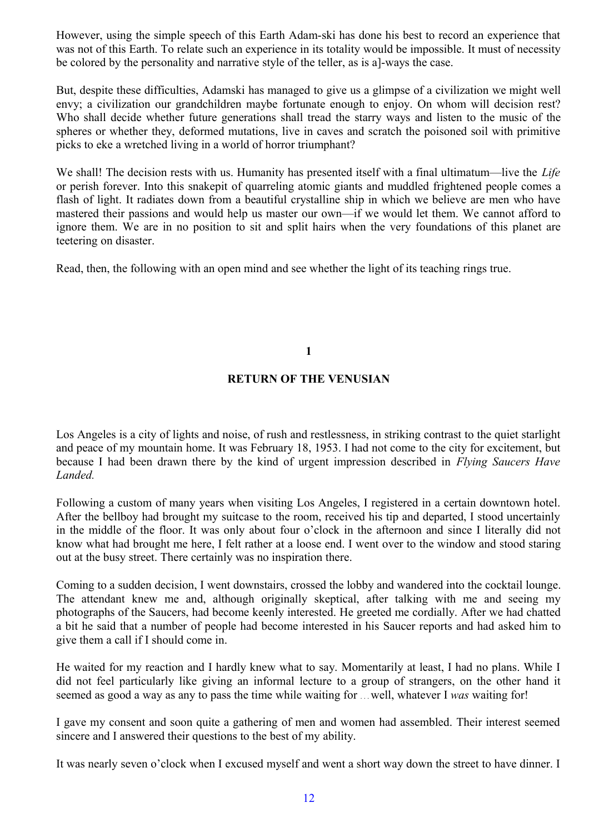However, using the simple speech of this Earth Adam-ski has done his best to record an experience that was not of this Earth. To relate such an experience in its totality would be impossible. It must of necessity be colored by the personality and narrative style of the teller, as is a]-ways the case.

But, despite these difficulties, Adamski has managed to give us a glimpse of a civilization we might well envy; a civilization our grandchildren maybe fortunate enough to enjoy. On whom will decision rest? Who shall decide whether future generations shall tread the starry ways and listen to the music of the spheres or whether they, deformed mutations, live in caves and scratch the poisoned soil with primitive picks to eke a wretched living in a world of horror triumphant?

We shall! The decision rests with us. Humanity has presented itself with a final ultimatum—live the *Life* or perish forever. Into this snakepit of quarreling atomic giants and muddled frightened people comes a flash of light. It radiates down from a beautiful crystalline ship in which we believe are men who have mastered their passions and would help us master our own—if we would let them. We cannot afford to ignore them. We are in no position to sit and split hairs when the very foundations of this planet are teetering on disaster.

Read, then, the following with an open mind and see whether the light of its teaching rings true.

# **1**

# **RETURN OF THE VENUSIAN**

Los Angeles is a city of lights and noise, of rush and restlessness, in striking contrast to the quiet starlight and peace of my mountain home. It was February 18, 1953. I had not come to the city for excitement, but because I had been drawn there by the kind of urgent impression described in *Flying Saucers Have Landed.*

Following a custom of many years when visiting Los Angeles, I registered in a certain downtown hotel. After the bellboy had brought my suitcase to the room, received his tip and departed, I stood uncertainly in the middle of the floor. It was only about four o'clock in the afternoon and since I literally did not know what had brought me here, I felt rather at a loose end. I went over to the window and stood staring out at the busy street. There certainly was no inspiration there.

Coming to a sudden decision, I went downstairs, crossed the lobby and wandered into the cocktail lounge. The attendant knew me and, although originally skeptical, after talking with me and seeing my photographs of the Saucers, had become keenly interested. He greeted me cordially. After we had chatted a bit he said that a number of people had become interested in his Saucer reports and had asked him to give them a call if I should come in.

He waited for my reaction and I hardly knew what to say. Momentarily at least, I had no plans. While I did not feel particularly like giving an informal lecture to a group of strangers, on the other hand it seemed as good a way as any to pass the time while waiting for . . . well, whatever I *was* waiting for!

I gave my consent and soon quite a gathering of men and women had assembled. Their interest seemed sincere and I answered their questions to the best of my ability.

It was nearly seven o'clock when I excused myself and went a short way down the street to have dinner. I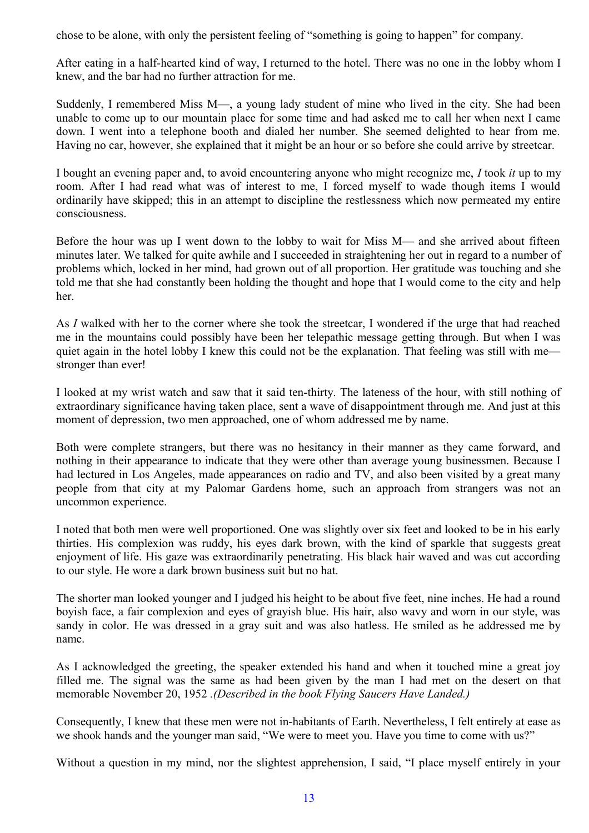chose to be alone, with only the persistent feeling of "something is going to happen" for company.

After eating in a half-hearted kind of way, I returned to the hotel. There was no one in the lobby whom I knew, and the bar had no further attraction for me.

Suddenly, I remembered Miss M—, a young lady student of mine who lived in the city. She had been unable to come up to our mountain place for some time and had asked me to call her when next I came down. I went into a telephone booth and dialed her number. She seemed delighted to hear from me. Having no car, however, she explained that it might be an hour or so before she could arrive by streetcar.

I bought an evening paper and, to avoid encountering anyone who might recognize me, *I* took *it* up to my room. After I had read what was of interest to me, I forced myself to wade though items I would ordinarily have skipped; this in an attempt to discipline the restlessness which now permeated my entire consciousness.

Before the hour was up I went down to the lobby to wait for Miss M— and she arrived about fifteen minutes later. We talked for quite awhile and I succeeded in straightening her out in regard to a number of problems which, locked in her mind, had grown out of all proportion. Her gratitude was touching and she told me that she had constantly been holding the thought and hope that I would come to the city and help her.

As *I* walked with her to the corner where she took the streetcar, I wondered if the urge that had reached me in the mountains could possibly have been her telepathic message getting through. But when I was quiet again in the hotel lobby I knew this could not be the explanation. That feeling was still with me stronger than ever!

I looked at my wrist watch and saw that it said ten-thirty. The lateness of the hour, with still nothing of extraordinary significance having taken place, sent a wave of disappointment through me. And just at this moment of depression, two men approached, one of whom addressed me by name.

Both were complete strangers, but there was no hesitancy in their manner as they came forward, and nothing in their appearance to indicate that they were other than average young businessmen. Because I had lectured in Los Angeles, made appearances on radio and TV, and also been visited by a great many people from that city at my Palomar Gardens home, such an approach from strangers was not an uncommon experience.

I noted that both men were well proportioned. One was slightly over six feet and looked to be in his early thirties. His complexion was ruddy, his eyes dark brown, with the kind of sparkle that suggests great enjoyment of life. His gaze was extraordinarily penetrating. His black hair waved and was cut according to our style. He wore a dark brown business suit but no hat.

The shorter man looked younger and I judged his height to be about five feet, nine inches. He had a round boyish face, a fair complexion and eyes of grayish blue. His hair, also wavy and worn in our style, was sandy in color. He was dressed in a gray suit and was also hatless. He smiled as he addressed me by name.

As I acknowledged the greeting, the speaker extended his hand and when it touched mine a great joy filled me. The signal was the same as had been given by the man I had met on the desert on that memorable November 20, 1952 *.(Described in the book Flying Saucers Have Landed.)*

Consequently, I knew that these men were not in-habitants of Earth. Nevertheless, I felt entirely at ease as we shook hands and the younger man said, "We were to meet you. Have you time to come with us?"

Without a question in my mind, nor the slightest apprehension, I said, "I place myself entirely in your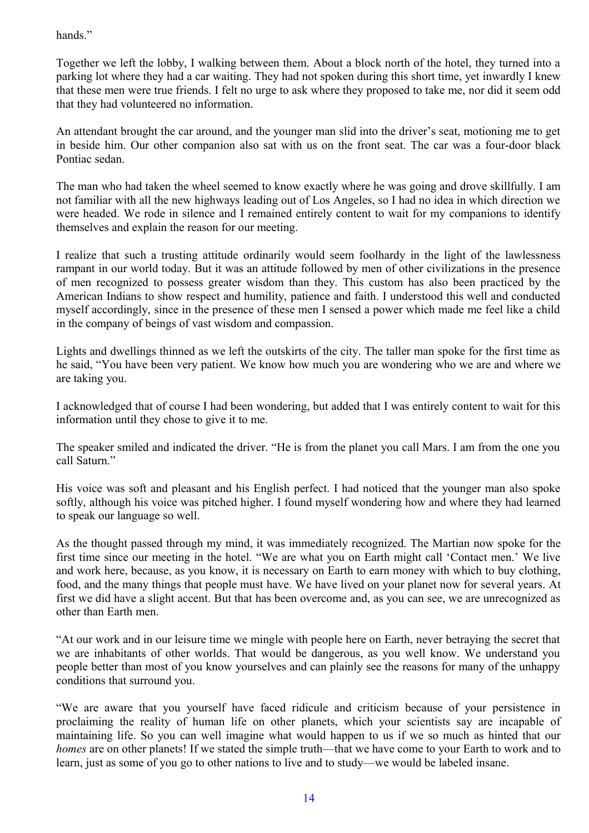hands."

Together we left the lobby, I walking between them. About a block north of the hotel, they turned into a parking lot where they had a car waiting. They had not spoken during this short time, yet inwardly I knew that these men were true friends. I felt no urge to ask where they proposed to take me, nor did it seem odd that they had volunteered no information.

An attendant brought the car around, and the younger man slid into the driver's seat, motioning me to get in beside him. Our other companion also sat with us on the front seat. The car was a four-door black Pontiac sedan.

The man who had taken the wheel seemed to know exactly where he was going and drove skillfully. I am not familiar with all the new highways leading out of Los Angeles, so I had no idea in which direction we were headed. We rode in silence and I remained entirely content to wait for my companions to identify themselves and explain the reason for our meeting.

I realize that such a trusting attitude ordinarily would seem foolhardy in the light of the lawlessness rampant in our world today. But it was an attitude followed by men of other civilizations in the presence of men recognized to possess greater wisdom than they. This custom has also been practiced by the American Indians to show respect and humility, patience and faith. I understood this well and conducted myself accordingly, since in the presence of these men I sensed a power which made me feel like a child in the company of beings of vast wisdom and compassion.

Lights and dwellings thinned as we left the outskirts of the city. The taller man spoke for the first time as he said, "You have been very patient. We know how much you are wondering who we are and where we are taking you.

I acknowledged that of course I had been wondering, but added that I was entirely content to wait for this information until they chose to give it to me.

The speaker smiled and indicated the driver. "He is from the planet you call Mars. I am from the one you call Saturn."

His voice was soft and pleasant and his English perfect. I had noticed that the younger man also spoke softly, although his voice was pitched higher. I found myself wondering how and where they had learned to speak our language so well.

As the thought passed through my mind, it was immediately recognized. The Martian now spoke for the first time since our meeting in the hotel. "We are what you on Earth might call 'Contact men.' We live and work here, because, as you know, it is necessary on Earth to earn money with which to buy clothing, food, and the many things that people must have. We have lived on your planet now for several years. At first we did have a slight accent. But that has been overcome and, as you can see, we are unrecognized as other than Earth men.

"At our work and in our leisure time we mingle with people here on Earth, never betraying the secret that we are inhabitants of other worlds. That would be dangerous, as you well know. We understand you people better than most of you know yourselves and can plainly see the reasons for many of the unhappy conditions that surround you.

"We are aware that you yourself have faced ridicule and criticism because of your persistence in proclaiming the reality of human life on other planets, which your scientists say are incapable of maintaining life. So you can well imagine what would happen to us if we so much as hinted that our *homes* are on other planets! If we stated the simple truth—that we have come to your Earth to work and to learn, just as some of you go to other nations to live and to study—we would be labeled insane.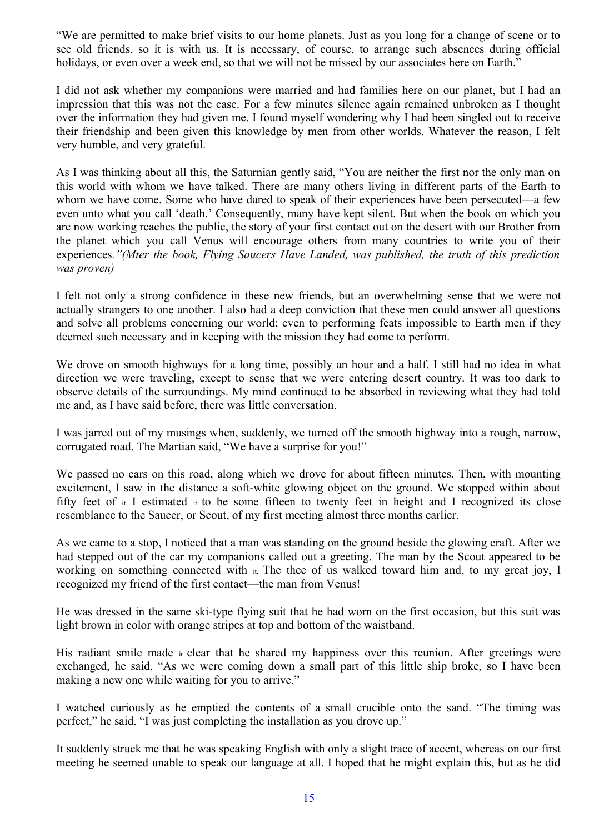"We are permitted to make brief visits to our home planets. Just as you long for a change of scene or to see old friends, so it is with us. It is necessary, of course, to arrange such absences during official holidays, or even over a week end, so that we will not be missed by our associates here on Earth."

I did not ask whether my companions were married and had families here on our planet, but I had an impression that this was not the case. For a few minutes silence again remained unbroken as I thought over the information they had given me. I found myself wondering why I had been singled out to receive their friendship and been given this knowledge by men from other worlds. Whatever the reason, I felt very humble, and very grateful.

As I was thinking about all this, the Saturnian gently said, "You are neither the first nor the only man on this world with whom we have talked. There are many others living in different parts of the Earth to whom we have come. Some who have dared to speak of their experiences have been persecuted—a few even unto what you call 'death.' Consequently, many have kept silent. But when the book on which you are now working reaches the public, the story of your first contact out on the desert with our Brother from the planet which you call Venus will encourage others from many countries to write you of their experiences*."(Mter the book, Flying Saucers Have Landed, was published, the truth of this prediction was proven)*

I felt not only a strong confidence in these new friends, but an overwhelming sense that we were not actually strangers to one another. I also had a deep conviction that these men could answer all questions and solve all problems concerning our world; even to performing feats impossible to Earth men if they deemed such necessary and in keeping with the mission they had come to perform.

We drove on smooth highways for a long time, possibly an hour and a half. I still had no idea in what direction we were traveling, except to sense that we were entering desert country. It was too dark to observe details of the surroundings. My mind continued to be absorbed in reviewing what they had told me and, as I have said before, there was little conversation.

I was jarred out of my musings when, suddenly, we turned off the smooth highway into a rough, narrow, corrugated road. The Martian said, "We have a surprise for you!"

We passed no cars on this road, along which we drove for about fifteen minutes. Then, with mounting excitement, I saw in the distance a soft-white glowing object on the ground. We stopped within about fifty feet of it. I estimated it to be some fifteen to twenty feet in height and I recognized its close resemblance to the Saucer, or Scout, of my first meeting almost three months earlier.

As we came to a stop, I noticed that a man was standing on the ground beside the glowing craft. After we had stepped out of the car my companions called out a greeting. The man by the Scout appeared to be working on something connected with it. The thee of us walked toward him and, to my great joy, I recognized my friend of the first contact—the man from Venus!

He was dressed in the same ski-type flying suit that he had worn on the first occasion, but this suit was light brown in color with orange stripes at top and bottom of the waistband.

His radiant smile made it clear that he shared my happiness over this reunion. After greetings were exchanged, he said, "As we were coming down a small part of this little ship broke, so I have been making a new one while waiting for you to arrive."

I watched curiously as he emptied the contents of a small crucible onto the sand. "The timing was perfect," he said. "I was just completing the installation as you drove up."

It suddenly struck me that he was speaking English with only a slight trace of accent, whereas on our first meeting he seemed unable to speak our language at all. I hoped that he might explain this, but as he did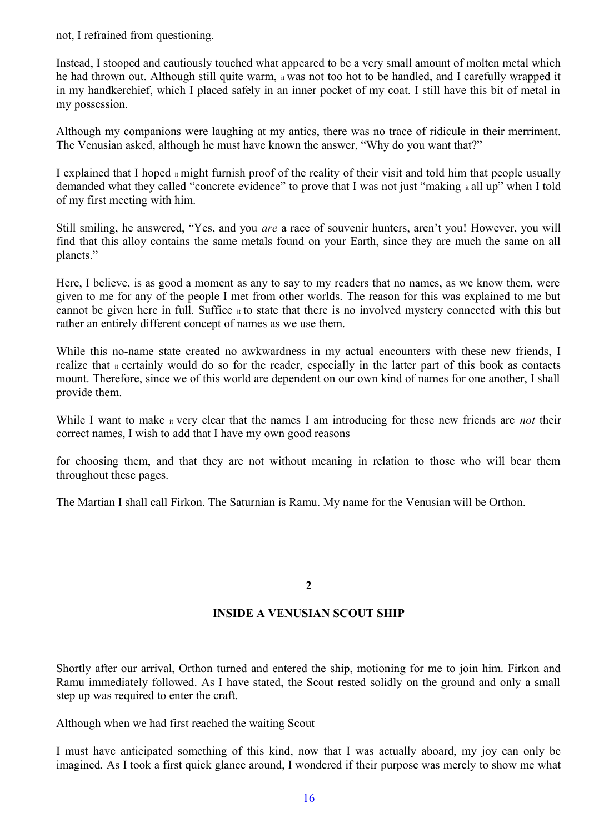not, I refrained from questioning.

Instead, I stooped and cautiously touched what appeared to be a very small amount of molten metal which he had thrown out. Although still quite warm, it was not too hot to be handled, and I carefully wrapped it in my handkerchief, which I placed safely in an inner pocket of my coat. I still have this bit of metal in my possession.

Although my companions were laughing at my antics, there was no trace of ridicule in their merriment. The Venusian asked, although he must have known the answer, "Why do you want that?"

I explained that I hoped it might furnish proof of the reality of their visit and told him that people usually demanded what they called "concrete evidence" to prove that I was not just "making it all up" when I told of my first meeting with him.

Still smiling, he answered, "Yes, and you *are* a race of souvenir hunters, aren't you! However, you will find that this alloy contains the same metals found on your Earth, since they are much the same on all planets."

Here, I believe, is as good a moment as any to say to my readers that no names, as we know them, were given to me for any of the people I met from other worlds. The reason for this was explained to me but cannot be given here in full. Suffice it to state that there is no involved mystery connected with this but rather an entirely different concept of names as we use them.

While this no-name state created no awkwardness in my actual encounters with these new friends, I realize that it certainly would do so for the reader, especially in the latter part of this book as contacts mount. Therefore, since we of this world are dependent on our own kind of names for one another, I shall provide them.

While I want to make it very clear that the names I am introducing for these new friends are *not* their correct names, I wish to add that I have my own good reasons

for choosing them, and that they are not without meaning in relation to those who will bear them throughout these pages.

The Martian I shall call Firkon. The Saturnian is Ramu. My name for the Venusian will be Orthon.

#### **2**

# **INSIDE A VENUSIAN SCOUT SHIP**

Shortly after our arrival, Orthon turned and entered the ship, motioning for me to join him. Firkon and Ramu immediately followed. As I have stated, the Scout rested solidly on the ground and only a small step up was required to enter the craft.

Although when we had first reached the waiting Scout

I must have anticipated something of this kind, now that I was actually aboard, my joy can only be imagined. As I took a first quick glance around, I wondered if their purpose was merely to show me what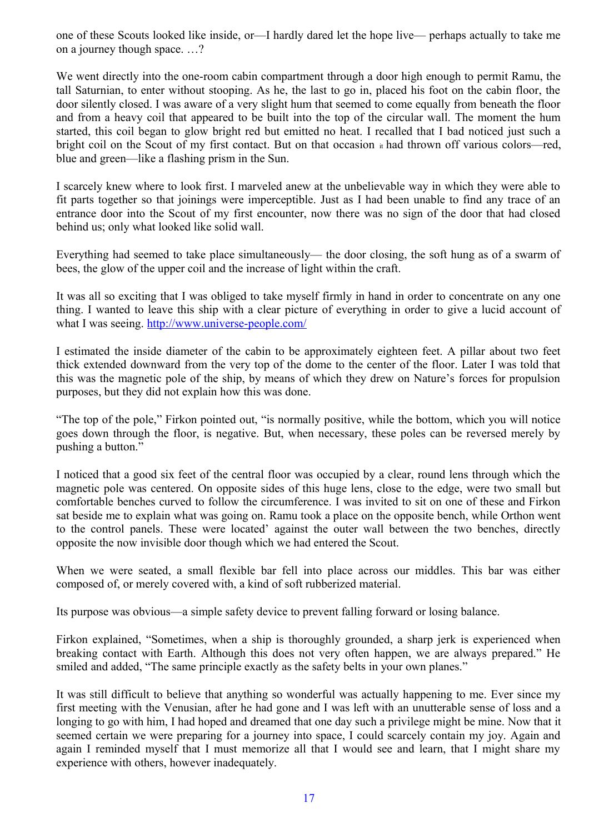one of these Scouts looked like inside, or—I hardly dared let the hope live— perhaps actually to take me on a journey though space. …?

We went directly into the one-room cabin compartment through a door high enough to permit Ramu, the tall Saturnian, to enter without stooping. As he, the last to go in, placed his foot on the cabin floor, the door silently closed. I was aware of a very slight hum that seemed to come equally from beneath the floor and from a heavy coil that appeared to be built into the top of the circular wall. The moment the hum started, this coil began to glow bright red but emitted no heat. I recalled that I bad noticed just such a bright coil on the Scout of my first contact. But on that occasion it had thrown off various colors—red, blue and green—like a flashing prism in the Sun.

I scarcely knew where to look first. I marveled anew at the unbelievable way in which they were able to fit parts together so that joinings were imperceptible. Just as I had been unable to find any trace of an entrance door into the Scout of my first encounter, now there was no sign of the door that had closed behind us; only what looked like solid wall.

Everything had seemed to take place simultaneously— the door closing, the soft hung as of a swarm of bees, the glow of the upper coil and the increase of light within the craft.

It was all so exciting that I was obliged to take myself firmly in hand in order to concentrate on any one thing. I wanted to leave this ship with a clear picture of everything in order to give a lucid account of what I was seeing.<http://www.universe-people.com/>

I estimated the inside diameter of the cabin to be approximately eighteen feet. A pillar about two feet thick extended downward from the very top of the dome to the center of the floor. Later I was told that this was the magnetic pole of the ship, by means of which they drew on Nature's forces for propulsion purposes, but they did not explain how this was done.

"The top of the pole," Firkon pointed out, "is normally positive, while the bottom, which you will notice goes down through the floor, is negative. But, when necessary, these poles can be reversed merely by pushing a button."

I noticed that a good six feet of the central floor was occupied by a clear, round lens through which the magnetic pole was centered. On opposite sides of this huge lens, close to the edge, were two small but comfortable benches curved to follow the circumference. I was invited to sit on one of these and Firkon sat beside me to explain what was going on. Ramu took a place on the opposite bench, while Orthon went to the control panels. These were located' against the outer wall between the two benches, directly opposite the now invisible door though which we had entered the Scout.

When we were seated, a small flexible bar fell into place across our middles. This bar was either composed of, or merely covered with, a kind of soft rubberized material.

Its purpose was obvious—a simple safety device to prevent falling forward or losing balance.

Firkon explained, "Sometimes, when a ship is thoroughly grounded, a sharp jerk is experienced when breaking contact with Earth. Although this does not very often happen, we are always prepared." He smiled and added, "The same principle exactly as the safety belts in your own planes."

It was still difficult to believe that anything so wonderful was actually happening to me. Ever since my first meeting with the Venusian, after he had gone and I was left with an unutterable sense of loss and a longing to go with him, I had hoped and dreamed that one day such a privilege might be mine. Now that it seemed certain we were preparing for a journey into space, I could scarcely contain my joy. Again and again I reminded myself that I must memorize all that I would see and learn, that I might share my experience with others, however inadequately.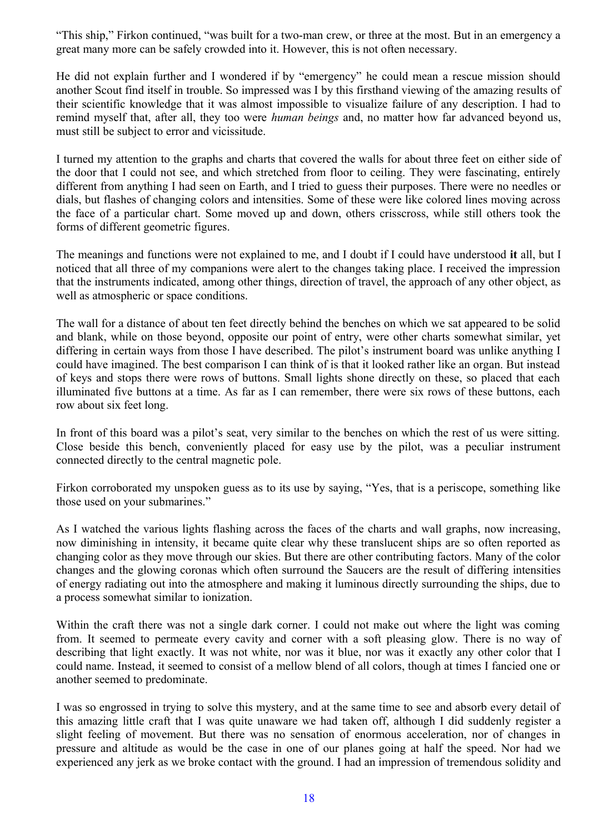"This ship," Firkon continued, "was built for a two-man crew, or three at the most. But in an emergency a great many more can be safely crowded into it. However, this is not often necessary.

He did not explain further and I wondered if by "emergency" he could mean a rescue mission should another Scout find itself in trouble. So impressed was I by this firsthand viewing of the amazing results of their scientific knowledge that it was almost impossible to visualize failure of any description. I had to remind myself that, after all, they too were *human beings* and, no matter how far advanced beyond us, must still be subject to error and vicissitude.

I turned my attention to the graphs and charts that covered the walls for about three feet on either side of the door that I could not see, and which stretched from floor to ceiling. They were fascinating, entirely different from anything I had seen on Earth, and I tried to guess their purposes. There were no needles or dials, but flashes of changing colors and intensities. Some of these were like colored lines moving across the face of a particular chart. Some moved up and down, others crisscross, while still others took the forms of different geometric figures.

The meanings and functions were not explained to me, and I doubt if I could have understood **it** all, but I noticed that all three of my companions were alert to the changes taking place. I received the impression that the instruments indicated, among other things, direction of travel, the approach of any other object, as well as atmospheric or space conditions.

The wall for a distance of about ten feet directly behind the benches on which we sat appeared to be solid and blank, while on those beyond, opposite our point of entry, were other charts somewhat similar, yet differing in certain ways from those I have described. The pilot's instrument board was unlike anything I could have imagined. The best comparison I can think of is that it looked rather like an organ. But instead of keys and stops there were rows of buttons. Small lights shone directly on these, so placed that each illuminated five buttons at a time. As far as I can remember, there were six rows of these buttons, each row about six feet long.

In front of this board was a pilot's seat, very similar to the benches on which the rest of us were sitting. Close beside this bench, conveniently placed for easy use by the pilot, was a peculiar instrument connected directly to the central magnetic pole.

Firkon corroborated my unspoken guess as to its use by saying, "Yes, that is a periscope, something like those used on your submarines."

As I watched the various lights flashing across the faces of the charts and wall graphs, now increasing, now diminishing in intensity, it became quite clear why these translucent ships are so often reported as changing color as they move through our skies. But there are other contributing factors. Many of the color changes and the glowing coronas which often surround the Saucers are the result of differing intensities of energy radiating out into the atmosphere and making it luminous directly surrounding the ships, due to a process somewhat similar to ionization.

Within the craft there was not a single dark corner. I could not make out where the light was coming from. It seemed to permeate every cavity and corner with a soft pleasing glow. There is no way of describing that light exactly. It was not white, nor was it blue, nor was it exactly any other color that I could name. Instead, it seemed to consist of a mellow blend of all colors, though at times I fancied one or another seemed to predominate.

I was so engrossed in trying to solve this mystery, and at the same time to see and absorb every detail of this amazing little craft that I was quite unaware we had taken off, although I did suddenly register a slight feeling of movement. But there was no sensation of enormous acceleration, nor of changes in pressure and altitude as would be the case in one of our planes going at half the speed. Nor had we experienced any jerk as we broke contact with the ground. I had an impression of tremendous solidity and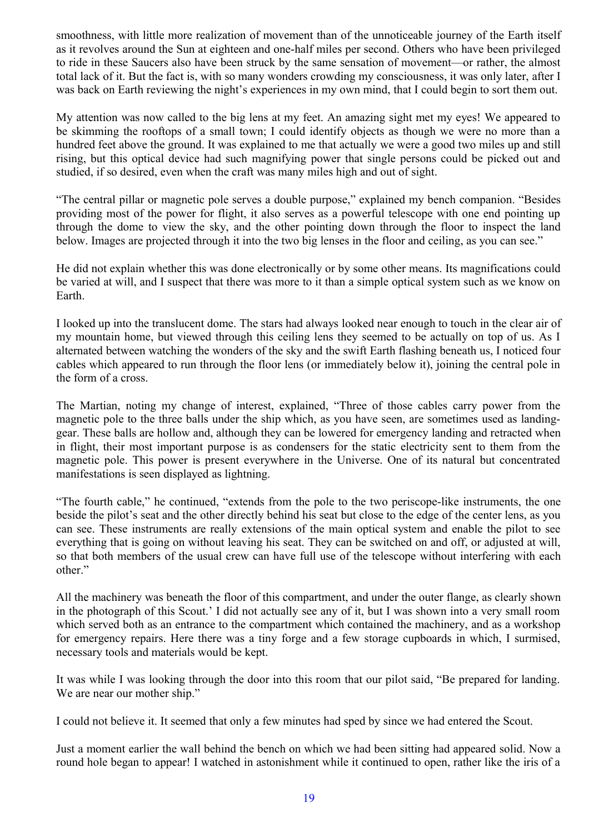smoothness, with little more realization of movement than of the unnoticeable journey of the Earth itself as it revolves around the Sun at eighteen and one-half miles per second. Others who have been privileged to ride in these Saucers also have been struck by the same sensation of movement—or rather, the almost total lack of it. But the fact is, with so many wonders crowding my consciousness, it was only later, after I was back on Earth reviewing the night's experiences in my own mind, that I could begin to sort them out.

My attention was now called to the big lens at my feet. An amazing sight met my eyes! We appeared to be skimming the rooftops of a small town; I could identify objects as though we were no more than a hundred feet above the ground. It was explained to me that actually we were a good two miles up and still rising, but this optical device had such magnifying power that single persons could be picked out and studied, if so desired, even when the craft was many miles high and out of sight.

"The central pillar or magnetic pole serves a double purpose," explained my bench companion. "Besides providing most of the power for flight, it also serves as a powerful telescope with one end pointing up through the dome to view the sky, and the other pointing down through the floor to inspect the land below. Images are projected through it into the two big lenses in the floor and ceiling, as you can see."

He did not explain whether this was done electronically or by some other means. Its magnifications could be varied at will, and I suspect that there was more to it than a simple optical system such as we know on Earth.

I looked up into the translucent dome. The stars had always looked near enough to touch in the clear air of my mountain home, but viewed through this ceiling lens they seemed to be actually on top of us. As I alternated between watching the wonders of the sky and the swift Earth flashing beneath us, I noticed four cables which appeared to run through the floor lens (or immediately below it), joining the central pole in the form of a cross.

The Martian, noting my change of interest, explained, "Three of those cables carry power from the magnetic pole to the three balls under the ship which, as you have seen, are sometimes used as landinggear. These balls are hollow and, although they can be lowered for emergency landing and retracted when in flight, their most important purpose is as condensers for the static electricity sent to them from the magnetic pole. This power is present everywhere in the Universe. One of its natural but concentrated manifestations is seen displayed as lightning.

"The fourth cable," he continued, "extends from the pole to the two periscope-like instruments, the one beside the pilot's seat and the other directly behind his seat but close to the edge of the center lens, as you can see. These instruments are really extensions of the main optical system and enable the pilot to see everything that is going on without leaving his seat. They can be switched on and off, or adjusted at will, so that both members of the usual crew can have full use of the telescope without interfering with each other."

All the machinery was beneath the floor of this compartment, and under the outer flange, as clearly shown in the photograph of this Scout.' I did not actually see any of it, but I was shown into a very small room which served both as an entrance to the compartment which contained the machinery, and as a workshop for emergency repairs. Here there was a tiny forge and a few storage cupboards in which, I surmised, necessary tools and materials would be kept.

It was while I was looking through the door into this room that our pilot said, "Be prepared for landing. We are near our mother ship."

I could not believe it. It seemed that only a few minutes had sped by since we had entered the Scout.

Just a moment earlier the wall behind the bench on which we had been sitting had appeared solid. Now a round hole began to appear! I watched in astonishment while it continued to open, rather like the iris of a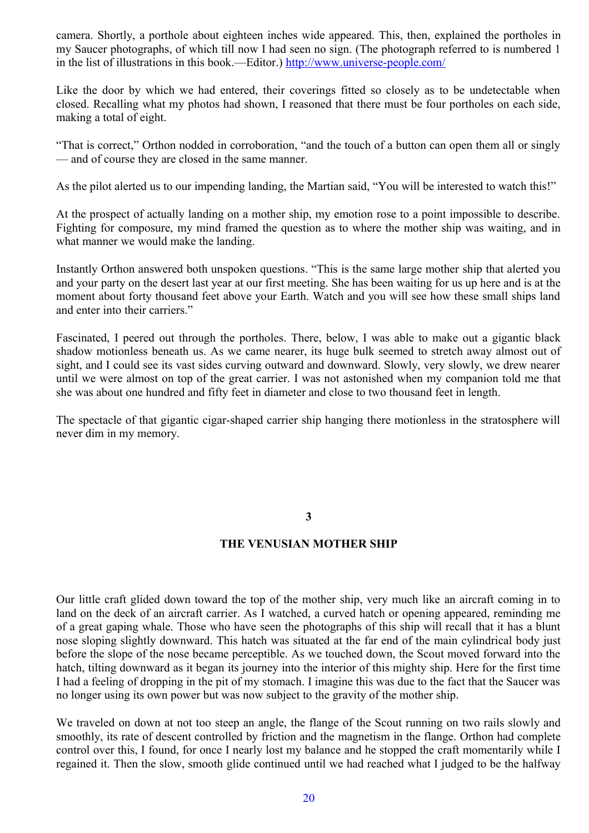camera. Shortly, a porthole about eighteen inches wide appeared. This, then, explained the portholes in my Saucer photographs, of which till now I had seen no sign. (The photograph referred to is numbered 1 in the list of illustrations in this book.—Editor.)<http://www.universe-people.com/>

Like the door by which we had entered, their coverings fitted so closely as to be undetectable when closed. Recalling what my photos had shown, I reasoned that there must be four portholes on each side, making a total of eight.

"That is correct," Orthon nodded in corroboration, "and the touch of a button can open them all or singly — and of course they are closed in the same manner.

As the pilot alerted us to our impending landing, the Martian said, "You will be interested to watch this!"

At the prospect of actually landing on a mother ship, my emotion rose to a point impossible to describe. Fighting for composure, my mind framed the question as to where the mother ship was waiting, and in what manner we would make the landing.

Instantly Orthon answered both unspoken questions. "This is the same large mother ship that alerted you and your party on the desert last year at our first meeting. She has been waiting for us up here and is at the moment about forty thousand feet above your Earth. Watch and you will see how these small ships land and enter into their carriers."

Fascinated, I peered out through the portholes. There, below, I was able to make out a gigantic black shadow motionless beneath us. As we came nearer, its huge bulk seemed to stretch away almost out of sight, and I could see its vast sides curving outward and downward. Slowly, very slowly, we drew nearer until we were almost on top of the great carrier. I was not astonished when my companion told me that she was about one hundred and fifty feet in diameter and close to two thousand feet in length.

The spectacle of that gigantic cigar-shaped carrier ship hanging there motionless in the stratosphere will never dim in my memory.

#### **3**

#### **THE VENUSIAN MOTHER SHIP**

Our little craft glided down toward the top of the mother ship, very much like an aircraft coming in to land on the deck of an aircraft carrier. As I watched, a curved hatch or opening appeared, reminding me of a great gaping whale. Those who have seen the photographs of this ship will recall that it has a blunt nose sloping slightly downward. This hatch was situated at the far end of the main cylindrical body just before the slope of the nose became perceptible. As we touched down, the Scout moved forward into the hatch, tilting downward as it began its journey into the interior of this mighty ship. Here for the first time I had a feeling of dropping in the pit of my stomach. I imagine this was due to the fact that the Saucer was no longer using its own power but was now subject to the gravity of the mother ship.

We traveled on down at not too steep an angle, the flange of the Scout running on two rails slowly and smoothly, its rate of descent controlled by friction and the magnetism in the flange. Orthon had complete control over this, I found, for once I nearly lost my balance and he stopped the craft momentarily while I regained it. Then the slow, smooth glide continued until we had reached what I judged to be the halfway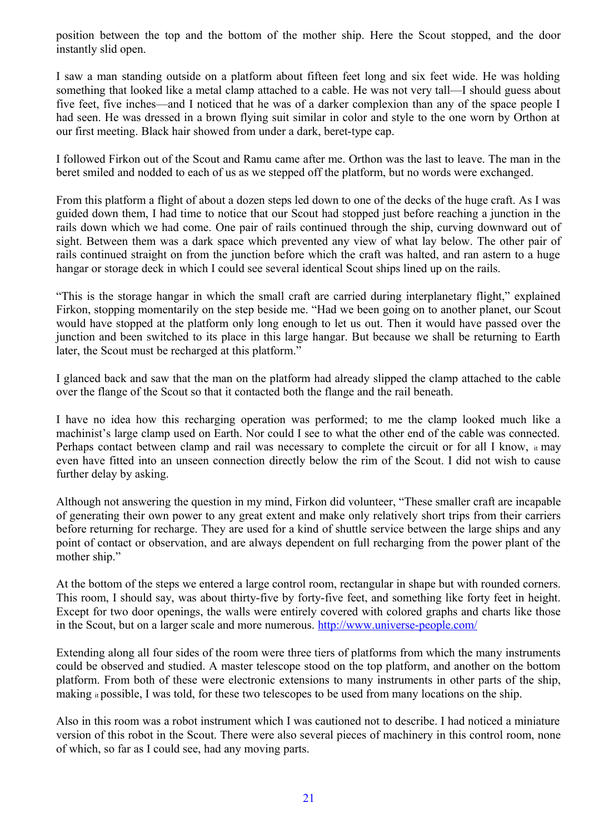position between the top and the bottom of the mother ship. Here the Scout stopped, and the door instantly slid open.

I saw a man standing outside on a platform about fifteen feet long and six feet wide. He was holding something that looked like a metal clamp attached to a cable. He was not very tall—I should guess about five feet, five inches—and I noticed that he was of a darker complexion than any of the space people I had seen. He was dressed in a brown flying suit similar in color and style to the one worn by Orthon at our first meeting. Black hair showed from under a dark, beret-type cap.

I followed Firkon out of the Scout and Ramu came after me. Orthon was the last to leave. The man in the beret smiled and nodded to each of us as we stepped off the platform, but no words were exchanged.

From this platform a flight of about a dozen steps led down to one of the decks of the huge craft. As I was guided down them, I had time to notice that our Scout had stopped just before reaching a junction in the rails down which we had come. One pair of rails continued through the ship, curving downward out of sight. Between them was a dark space which prevented any view of what lay below. The other pair of rails continued straight on from the junction before which the craft was halted, and ran astern to a huge hangar or storage deck in which I could see several identical Scout ships lined up on the rails.

"This is the storage hangar in which the small craft are carried during interplanetary flight," explained Firkon, stopping momentarily on the step beside me. "Had we been going on to another planet, our Scout would have stopped at the platform only long enough to let us out. Then it would have passed over the junction and been switched to its place in this large hangar. But because we shall be returning to Earth later, the Scout must be recharged at this platform."

I glanced back and saw that the man on the platform had already slipped the clamp attached to the cable over the flange of the Scout so that it contacted both the flange and the rail beneath.

I have no idea how this recharging operation was performed; to me the clamp looked much like a machinist's large clamp used on Earth. Nor could I see to what the other end of the cable was connected. Perhaps contact between clamp and rail was necessary to complete the circuit or for all I know, it may even have fitted into an unseen connection directly below the rim of the Scout. I did not wish to cause further delay by asking.

Although not answering the question in my mind, Firkon did volunteer, "These smaller craft are incapable of generating their own power to any great extent and make only relatively short trips from their carriers before returning for recharge. They are used for a kind of shuttle service between the large ships and any point of contact or observation, and are always dependent on full recharging from the power plant of the mother ship."

At the bottom of the steps we entered a large control room, rectangular in shape but with rounded corners. This room, I should say, was about thirty-five by forty-five feet, and something like forty feet in height. Except for two door openings, the walls were entirely covered with colored graphs and charts like those in the Scout, but on a larger scale and more numerous.<http://www.universe-people.com/>

Extending along all four sides of the room were three tiers of platforms from which the many instruments could be observed and studied. A master telescope stood on the top platform, and another on the bottom platform. From both of these were electronic extensions to many instruments in other parts of the ship, making <sub>it</sub> possible. I was told, for these two telescopes to be used from many locations on the ship.

Also in this room was a robot instrument which I was cautioned not to describe. I had noticed a miniature version of this robot in the Scout. There were also several pieces of machinery in this control room, none of which, so far as I could see, had any moving parts.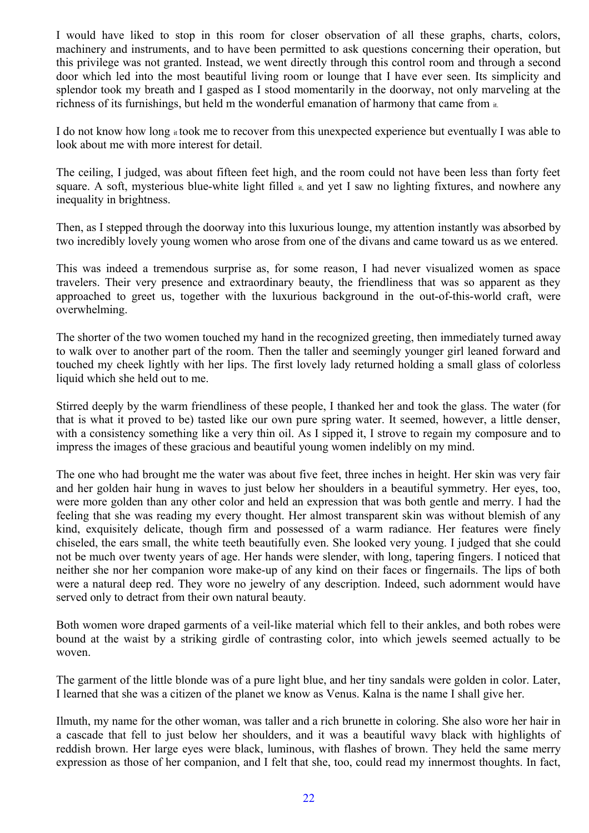I would have liked to stop in this room for closer observation of all these graphs, charts, colors, machinery and instruments, and to have been permitted to ask questions concerning their operation, but this privilege was not granted. Instead, we went directly through this control room and through a second door which led into the most beautiful living room or lounge that I have ever seen. Its simplicity and splendor took my breath and I gasped as I stood momentarily in the doorway, not only marveling at the richness of its furnishings, but held m the wonderful emanation of harmony that came from it.

I do not know how long it took me to recover from this unexpected experience but eventually I was able to look about me with more interest for detail.

The ceiling, I judged, was about fifteen feet high, and the room could not have been less than forty feet square. A soft, mysterious blue-white light filled it, and yet I saw no lighting fixtures, and nowhere any inequality in brightness.

Then, as I stepped through the doorway into this luxurious lounge, my attention instantly was absorbed by two incredibly lovely young women who arose from one of the divans and came toward us as we entered.

This was indeed a tremendous surprise as, for some reason, I had never visualized women as space travelers. Their very presence and extraordinary beauty, the friendliness that was so apparent as they approached to greet us, together with the luxurious background in the out-of-this-world craft, were overwhelming.

The shorter of the two women touched my hand in the recognized greeting, then immediately turned away to walk over to another part of the room. Then the taller and seemingly younger girl leaned forward and touched my cheek lightly with her lips. The first lovely lady returned holding a small glass of colorless liquid which she held out to me.

Stirred deeply by the warm friendliness of these people, I thanked her and took the glass. The water (for that is what it proved to be) tasted like our own pure spring water. It seemed, however, a little denser, with a consistency something like a very thin oil. As I sipped it, I strove to regain my composure and to impress the images of these gracious and beautiful young women indelibly on my mind.

The one who had brought me the water was about five feet, three inches in height. Her skin was very fair and her golden hair hung in waves to just below her shoulders in a beautiful symmetry. Her eyes, too, were more golden than any other color and held an expression that was both gentle and merry. I had the feeling that she was reading my every thought. Her almost transparent skin was without blemish of any kind, exquisitely delicate, though firm and possessed of a warm radiance. Her features were finely chiseled, the ears small, the white teeth beautifully even. She looked very young. I judged that she could not be much over twenty years of age. Her hands were slender, with long, tapering fingers. I noticed that neither she nor her companion wore make-up of any kind on their faces or fingernails. The lips of both were a natural deep red. They wore no jewelry of any description. Indeed, such adornment would have served only to detract from their own natural beauty.

Both women wore draped garments of a veil-like material which fell to their ankles, and both robes were bound at the waist by a striking girdle of contrasting color, into which jewels seemed actually to be woven.

The garment of the little blonde was of a pure light blue, and her tiny sandals were golden in color. Later, I learned that she was a citizen of the planet we know as Venus. Kalna is the name I shall give her.

Ilmuth, my name for the other woman, was taller and a rich brunette in coloring. She also wore her hair in a cascade that fell to just below her shoulders, and it was a beautiful wavy black with highlights of reddish brown. Her large eyes were black, luminous, with flashes of brown. They held the same merry expression as those of her companion, and I felt that she, too, could read my innermost thoughts. In fact,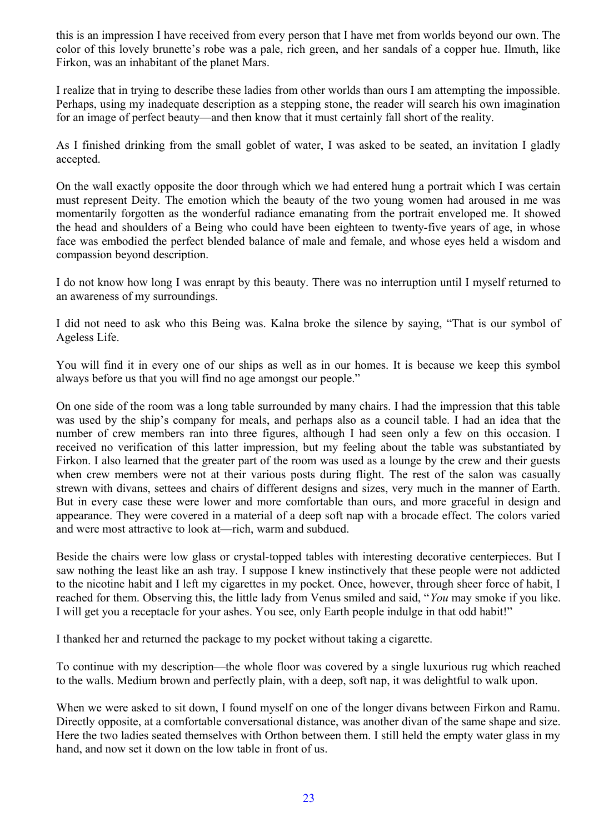this is an impression I have received from every person that I have met from worlds beyond our own. The color of this lovely brunette's robe was a pale, rich green, and her sandals of a copper hue. Ilmuth, like Firkon, was an inhabitant of the planet Mars.

I realize that in trying to describe these ladies from other worlds than ours I am attempting the impossible. Perhaps, using my inadequate description as a stepping stone, the reader will search his own imagination for an image of perfect beauty—and then know that it must certainly fall short of the reality.

As I finished drinking from the small goblet of water, I was asked to be seated, an invitation I gladly accepted.

On the wall exactly opposite the door through which we had entered hung a portrait which I was certain must represent Deity. The emotion which the beauty of the two young women had aroused in me was momentarily forgotten as the wonderful radiance emanating from the portrait enveloped me. It showed the head and shoulders of a Being who could have been eighteen to twenty-five years of age, in whose face was embodied the perfect blended balance of male and female, and whose eyes held a wisdom and compassion beyond description.

I do not know how long I was enrapt by this beauty. There was no interruption until I myself returned to an awareness of my surroundings.

I did not need to ask who this Being was. Kalna broke the silence by saying, "That is our symbol of Ageless Life.

You will find it in every one of our ships as well as in our homes. It is because we keep this symbol always before us that you will find no age amongst our people."

On one side of the room was a long table surrounded by many chairs. I had the impression that this table was used by the ship's company for meals, and perhaps also as a council table. I had an idea that the number of crew members ran into three figures, although I had seen only a few on this occasion. I received no verification of this latter impression, but my feeling about the table was substantiated by Firkon. I also learned that the greater part of the room was used as a lounge by the crew and their guests when crew members were not at their various posts during flight. The rest of the salon was casually strewn with divans, settees and chairs of different designs and sizes, very much in the manner of Earth. But in every case these were lower and more comfortable than ours, and more graceful in design and appearance. They were covered in a material of a deep soft nap with a brocade effect. The colors varied and were most attractive to look at—rich, warm and subdued.

Beside the chairs were low glass or crystal-topped tables with interesting decorative centerpieces. But I saw nothing the least like an ash tray. I suppose I knew instinctively that these people were not addicted to the nicotine habit and I left my cigarettes in my pocket. Once, however, through sheer force of habit, I reached for them. Observing this, the little lady from Venus smiled and said, "*You* may smoke if you like. I will get you a receptacle for your ashes. You see, only Earth people indulge in that odd habit!"

I thanked her and returned the package to my pocket without taking a cigarette.

To continue with my description—the whole floor was covered by a single luxurious rug which reached to the walls. Medium brown and perfectly plain, with a deep, soft nap, it was delightful to walk upon.

When we were asked to sit down, I found myself on one of the longer divans between Firkon and Ramu. Directly opposite, at a comfortable conversational distance, was another divan of the same shape and size. Here the two ladies seated themselves with Orthon between them. I still held the empty water glass in my hand, and now set it down on the low table in front of us.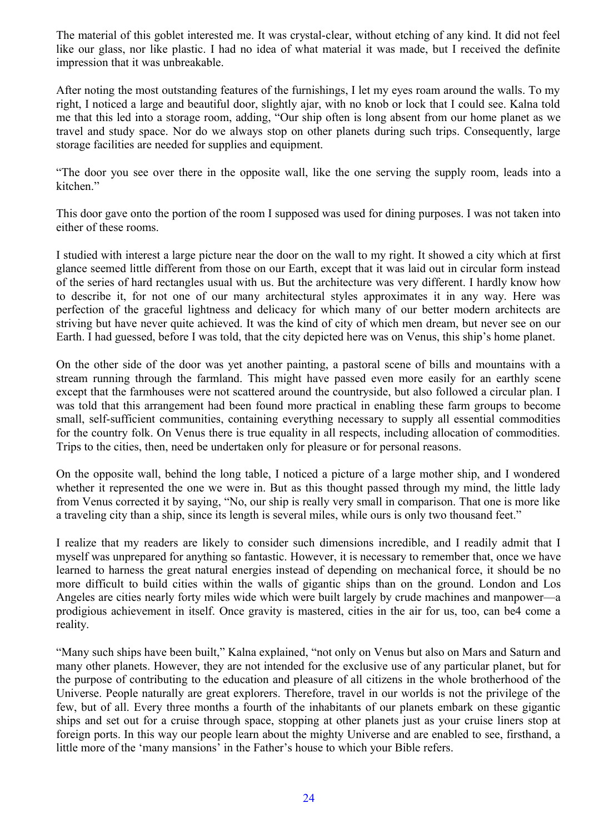The material of this goblet interested me. It was crystal-clear, without etching of any kind. It did not feel like our glass, nor like plastic. I had no idea of what material it was made, but I received the definite impression that it was unbreakable.

After noting the most outstanding features of the furnishings, I let my eyes roam around the walls. To my right, I noticed a large and beautiful door, slightly ajar, with no knob or lock that I could see. Kalna told me that this led into a storage room, adding, "Our ship often is long absent from our home planet as we travel and study space. Nor do we always stop on other planets during such trips. Consequently, large storage facilities are needed for supplies and equipment.

"The door you see over there in the opposite wall, like the one serving the supply room, leads into a kitchen."

This door gave onto the portion of the room I supposed was used for dining purposes. I was not taken into either of these rooms.

I studied with interest a large picture near the door on the wall to my right. It showed a city which at first glance seemed little different from those on our Earth, except that it was laid out in circular form instead of the series of hard rectangles usual with us. But the architecture was very different. I hardly know how to describe it, for not one of our many architectural styles approximates it in any way. Here was perfection of the graceful lightness and delicacy for which many of our better modern architects are striving but have never quite achieved. It was the kind of city of which men dream, but never see on our Earth. I had guessed, before I was told, that the city depicted here was on Venus, this ship's home planet.

On the other side of the door was yet another painting, a pastoral scene of bills and mountains with a stream running through the farmland. This might have passed even more easily for an earthly scene except that the farmhouses were not scattered around the countryside, but also followed a circular plan. I was told that this arrangement had been found more practical in enabling these farm groups to become small, self-sufficient communities, containing everything necessary to supply all essential commodities for the country folk. On Venus there is true equality in all respects, including allocation of commodities. Trips to the cities, then, need be undertaken only for pleasure or for personal reasons.

On the opposite wall, behind the long table, I noticed a picture of a large mother ship, and I wondered whether it represented the one we were in. But as this thought passed through my mind, the little lady from Venus corrected it by saying, "No, our ship is really very small in comparison. That one is more like a traveling city than a ship, since its length is several miles, while ours is only two thousand feet."

I realize that my readers are likely to consider such dimensions incredible, and I readily admit that I myself was unprepared for anything so fantastic. However, it is necessary to remember that, once we have learned to harness the great natural energies instead of depending on mechanical force, it should be no more difficult to build cities within the walls of gigantic ships than on the ground. London and Los Angeles are cities nearly forty miles wide which were built largely by crude machines and manpower—a prodigious achievement in itself. Once gravity is mastered, cities in the air for us, too, can be4 come a reality.

"Many such ships have been built," Kalna explained, "not only on Venus but also on Mars and Saturn and many other planets. However, they are not intended for the exclusive use of any particular planet, but for the purpose of contributing to the education and pleasure of all citizens in the whole brotherhood of the Universe. People naturally are great explorers. Therefore, travel in our worlds is not the privilege of the few, but of all. Every three months a fourth of the inhabitants of our planets embark on these gigantic ships and set out for a cruise through space, stopping at other planets just as your cruise liners stop at foreign ports. In this way our people learn about the mighty Universe and are enabled to see, firsthand, a little more of the 'many mansions' in the Father's house to which your Bible refers.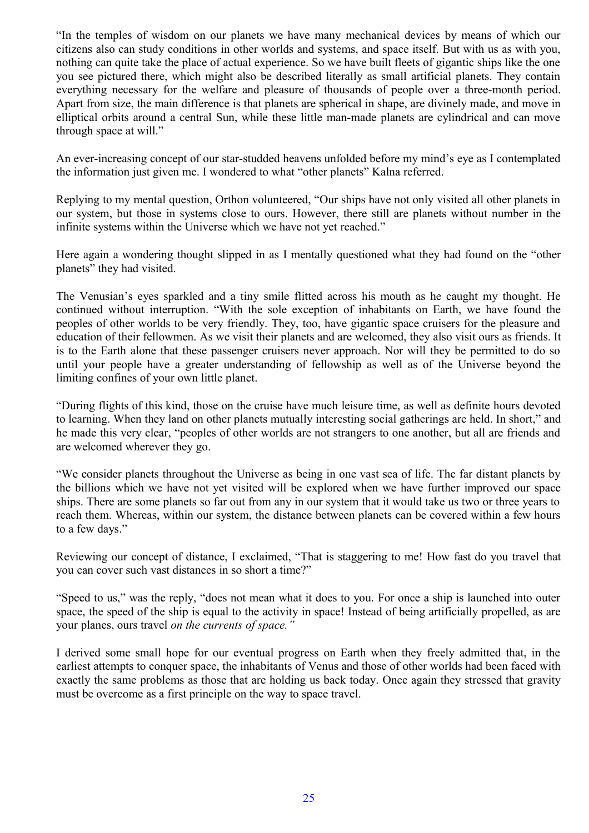"In the temples of wisdom on our planets we have many mechanical devices by means of which our citizens also can study conditions in other worlds and systems, and space itself. But with us as with you, nothing can quite take the place of actual experience. So we have built fleets of gigantic ships like the one you see pictured there, which might also be described literally as small artificial planets. They contain everything necessary for the welfare and pleasure of thousands of people over a three-month period. Apart from size, the main difference is that planets are spherical in shape, are divinely made, and move in elliptical orbits around a central Sun, while these little man-made planets are cylindrical and can move through space at will."

An ever-increasing concept of our star-studded heavens unfolded before my mind's eye as I contemplated the information just given me. I wondered to what "other planets" Kalna referred.

Replying to my mental question, Orthon volunteered, "Our ships have not only visited all other planets in our system, but those in systems close to ours. However, there still are planets without number in the infinite systems within the Universe which we have not yet reached."

Here again a wondering thought slipped in as I mentally questioned what they had found on the "other planets" they had visited.

The Venusian's eyes sparkled and a tiny smile flitted across his mouth as he caught my thought. He continued without interruption. "With the sole exception of inhabitants on Earth, we have found the peoples of other worlds to be very friendly. They, too, have gigantic space cruisers for the pleasure and education of their fellowmen. As we visit their planets and are welcomed, they also visit ours as friends. It is to the Earth alone that these passenger cruisers never approach. Nor will they be permitted to do so until your people have a greater understanding of fellowship as well as of the Universe beyond the limiting confines of your own little planet.

"During flights of this kind, those on the cruise have much leisure time, as well as definite hours devoted to learning. When they land on other planets mutually interesting social gatherings are held. In short," and he made this very clear, "peoples of other worlds are not strangers to one another, but all are friends and are welcomed wherever they go.

"We consider planets throughout the Universe as being in one vast sea of life. The far distant planets by the billions which we have not yet visited will be explored when we have further improved our space ships. There are some planets so far out from any in our system that it would take us two or three years to reach them. Whereas, within our system, the distance between planets can be covered within a few hours to a few days."

Reviewing our concept of distance, I exclaimed, "That is staggering to me! How fast do you travel that you can cover such vast distances in so short a time?"

"Speed to us," was the reply, "does not mean what it does to you. For once a ship is launched into outer space, the speed of the ship is equal to the activity in space! Instead of being artificially propelled, as are your planes, ours travel *on the currents of space."*

I derived some small hope for our eventual progress on Earth when they freely admitted that, in the earliest attempts to conquer space, the inhabitants of Venus and those of other worlds had been faced with exactly the same problems as those that are holding us back today. Once again they stressed that gravity must be overcome as a first principle on the way to space travel.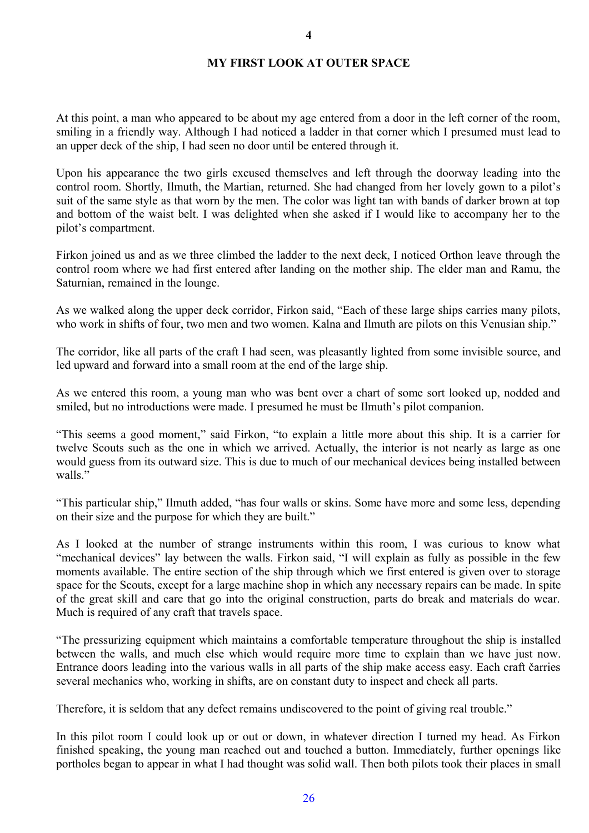#### **MY FIRST LOOK AT OUTER SPACE**

At this point, a man who appeared to be about my age entered from a door in the left corner of the room, smiling in a friendly way. Although I had noticed a ladder in that corner which I presumed must lead to an upper deck of the ship, I had seen no door until be entered through it.

Upon his appearance the two girls excused themselves and left through the doorway leading into the control room. Shortly, Ilmuth, the Martian, returned. She had changed from her lovely gown to a pilot's suit of the same style as that worn by the men. The color was light tan with bands of darker brown at top and bottom of the waist belt. I was delighted when she asked if I would like to accompany her to the pilot's compartment.

Firkon joined us and as we three climbed the ladder to the next deck, I noticed Orthon leave through the control room where we had first entered after landing on the mother ship. The elder man and Ramu, the Saturnian, remained in the lounge.

As we walked along the upper deck corridor, Firkon said, "Each of these large ships carries many pilots, who work in shifts of four, two men and two women. Kalna and Ilmuth are pilots on this Venusian ship."

The corridor, like all parts of the craft I had seen, was pleasantly lighted from some invisible source, and led upward and forward into a small room at the end of the large ship.

As we entered this room, a young man who was bent over a chart of some sort looked up, nodded and smiled, but no introductions were made. I presumed he must be Ilmuth's pilot companion.

"This seems a good moment," said Firkon, "to explain a little more about this ship. It is a carrier for twelve Scouts such as the one in which we arrived. Actually, the interior is not nearly as large as one would guess from its outward size. This is due to much of our mechanical devices being installed between walls"

"This particular ship," Ilmuth added, "has four walls or skins. Some have more and some less, depending on their size and the purpose for which they are built."

As I looked at the number of strange instruments within this room, I was curious to know what "mechanical devices" lay between the walls. Firkon said, "I will explain as fully as possible in the few moments available. The entire section of the ship through which we first entered is given over to storage space for the Scouts, except for a large machine shop in which any necessary repairs can be made. In spite of the great skill and care that go into the original construction, parts do break and materials do wear. Much is required of any craft that travels space.

"The pressurizing equipment which maintains a comfortable temperature throughout the ship is installed between the walls, and much else which would require more time to explain than we have just now. Entrance doors leading into the various walls in all parts of the ship make access easy. Each craft čarries several mechanics who, working in shifts, are on constant duty to inspect and check all parts.

Therefore, it is seldom that any defect remains undiscovered to the point of giving real trouble."

In this pilot room I could look up or out or down, in whatever direction I turned my head. As Firkon finished speaking, the young man reached out and touched a button. Immediately, further openings like portholes began to appear in what I had thought was solid wall. Then both pilots took their places in small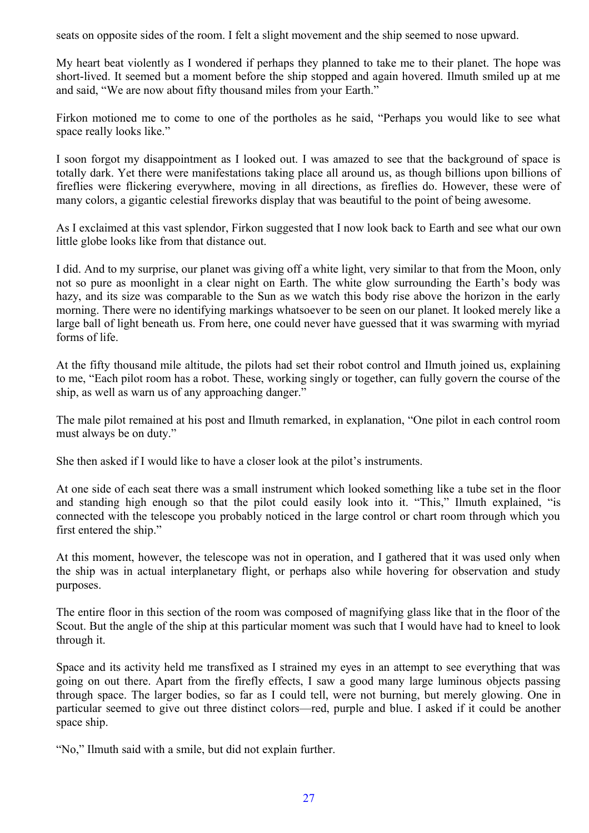seats on opposite sides of the room. I felt a slight movement and the ship seemed to nose upward.

My heart beat violently as I wondered if perhaps they planned to take me to their planet. The hope was short-lived. It seemed but a moment before the ship stopped and again hovered. Ilmuth smiled up at me and said, "We are now about fifty thousand miles from your Earth."

Firkon motioned me to come to one of the portholes as he said, "Perhaps you would like to see what space really looks like."

I soon forgot my disappointment as I looked out. I was amazed to see that the background of space is totally dark. Yet there were manifestations taking place all around us, as though billions upon billions of fireflies were flickering everywhere, moving in all directions, as fireflies do. However, these were of many colors, a gigantic celestial fireworks display that was beautiful to the point of being awesome.

As I exclaimed at this vast splendor, Firkon suggested that I now look back to Earth and see what our own little globe looks like from that distance out.

I did. And to my surprise, our planet was giving off a white light, very similar to that from the Moon, only not so pure as moonlight in a clear night on Earth. The white glow surrounding the Earth's body was hazy, and its size was comparable to the Sun as we watch this body rise above the horizon in the early morning. There were no identifying markings whatsoever to be seen on our planet. It looked merely like a large ball of light beneath us. From here, one could never have guessed that it was swarming with myriad forms of life.

At the fifty thousand mile altitude, the pilots had set their robot control and Ilmuth joined us, explaining to me, "Each pilot room has a robot. These, working singly or together, can fully govern the course of the ship, as well as warn us of any approaching danger."

The male pilot remained at his post and Ilmuth remarked, in explanation, "One pilot in each control room must always be on duty."

She then asked if I would like to have a closer look at the pilot's instruments.

At one side of each seat there was a small instrument which looked something like a tube set in the floor and standing high enough so that the pilot could easily look into it. "This," Ilmuth explained, "is connected with the telescope you probably noticed in the large control or chart room through which you first entered the ship."

At this moment, however, the telescope was not in operation, and I gathered that it was used only when the ship was in actual interplanetary flight, or perhaps also while hovering for observation and study purposes.

The entire floor in this section of the room was composed of magnifying glass like that in the floor of the Scout. But the angle of the ship at this particular moment was such that I would have had to kneel to look through it.

Space and its activity held me transfixed as I strained my eyes in an attempt to see everything that was going on out there. Apart from the firefly effects, I saw a good many large luminous objects passing through space. The larger bodies, so far as I could tell, were not burning, but merely glowing. One in particular seemed to give out three distinct colors—red, purple and blue. I asked if it could be another space ship.

"No," Ilmuth said with a smile, but did not explain further.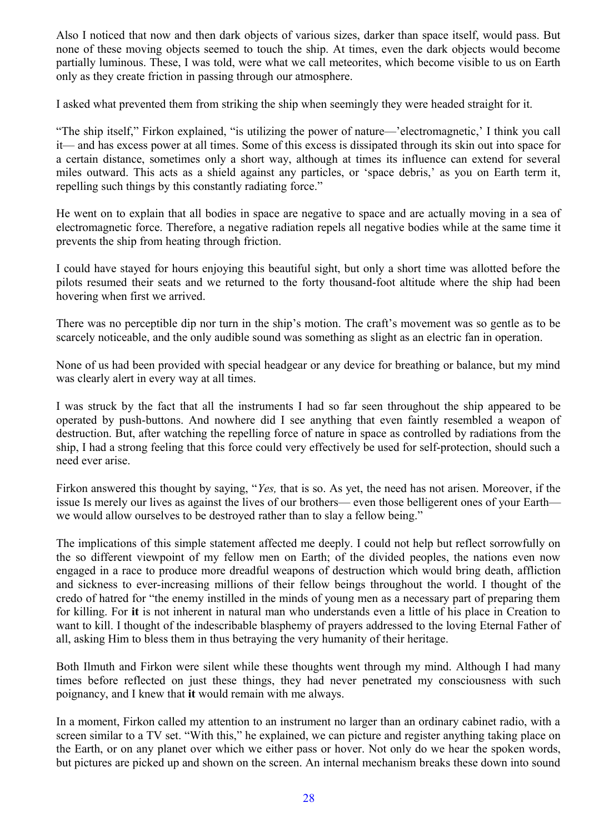Also I noticed that now and then dark objects of various sizes, darker than space itself, would pass. But none of these moving objects seemed to touch the ship. At times, even the dark objects would become partially luminous. These, I was told, were what we call meteorites, which become visible to us on Earth only as they create friction in passing through our atmosphere.

I asked what prevented them from striking the ship when seemingly they were headed straight for it.

"The ship itself," Firkon explained, "is utilizing the power of nature—'electromagnetic,' I think you call it— and has excess power at all times. Some of this excess is dissipated through its skin out into space for a certain distance, sometimes only a short way, although at times its influence can extend for several miles outward. This acts as a shield against any particles, or 'space debris,' as you on Earth term it, repelling such things by this constantly radiating force."

He went on to explain that all bodies in space are negative to space and are actually moving in a sea of electromagnetic force. Therefore, a negative radiation repels all negative bodies while at the same time it prevents the ship from heating through friction.

I could have stayed for hours enjoying this beautiful sight, but only a short time was allotted before the pilots resumed their seats and we returned to the forty thousand-foot altitude where the ship had been hovering when first we arrived.

There was no perceptible dip nor turn in the ship's motion. The craft's movement was so gentle as to be scarcely noticeable, and the only audible sound was something as slight as an electric fan in operation.

None of us had been provided with special headgear or any device for breathing or balance, but my mind was clearly alert in every way at all times.

I was struck by the fact that all the instruments I had so far seen throughout the ship appeared to be operated by push-buttons. And nowhere did I see anything that even faintly resembled a weapon of destruction. But, after watching the repelling force of nature in space as controlled by radiations from the ship, I had a strong feeling that this force could very effectively be used for self-protection, should such a need ever arise.

Firkon answered this thought by saying, "*Yes,* that is so. As yet, the need has not arisen. Moreover, if the issue Is merely our lives as against the lives of our brothers— even those belligerent ones of your Earth we would allow ourselves to be destroyed rather than to slay a fellow being."

The implications of this simple statement affected me deeply. I could not help but reflect sorrowfully on the so different viewpoint of my fellow men on Earth; of the divided peoples, the nations even now engaged in a race to produce more dreadful weapons of destruction which would bring death, affliction and sickness to ever-increasing millions of their fellow beings throughout the world. I thought of the credo of hatred for "the enemy instilled in the minds of young men as a necessary part of preparing them for killing. For **it** is not inherent in natural man who understands even a little of his place in Creation to want to kill. I thought of the indescribable blasphemy of prayers addressed to the loving Eternal Father of all, asking Him to bless them in thus betraying the very humanity of their heritage.

Both Ilmuth and Firkon were silent while these thoughts went through my mind. Although I had many times before reflected on just these things, they had never penetrated my consciousness with such poignancy, and I knew that **it** would remain with me always.

In a moment, Firkon called my attention to an instrument no larger than an ordinary cabinet radio, with a screen similar to a TV set. "With this," he explained, we can picture and register anything taking place on the Earth, or on any planet over which we either pass or hover. Not only do we hear the spoken words, but pictures are picked up and shown on the screen. An internal mechanism breaks these down into sound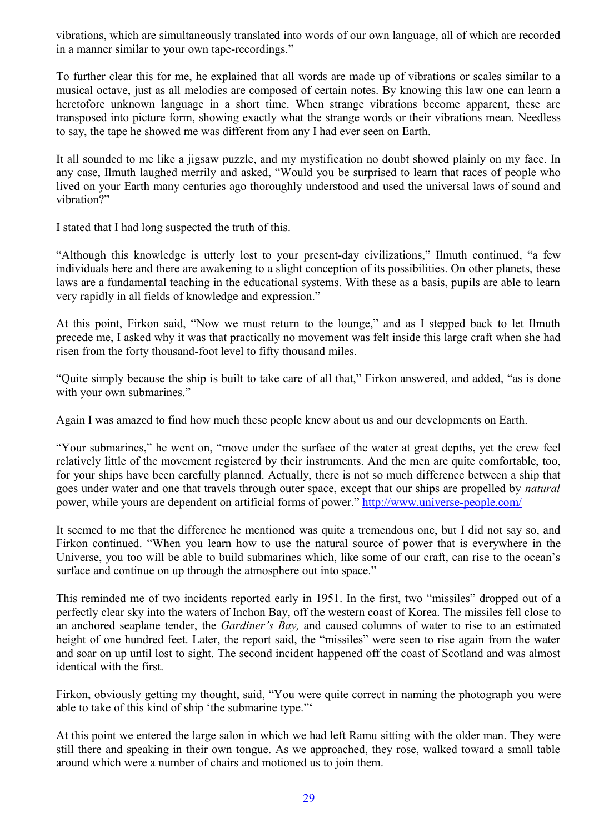vibrations, which are simultaneously translated into words of our own language, all of which are recorded in a manner similar to your own tape-recordings."

To further clear this for me, he explained that all words are made up of vibrations or scales similar to a musical octave, just as all melodies are composed of certain notes. By knowing this law one can learn a heretofore unknown language in a short time. When strange vibrations become apparent, these are transposed into picture form, showing exactly what the strange words or their vibrations mean. Needless to say, the tape he showed me was different from any I had ever seen on Earth.

It all sounded to me like a jigsaw puzzle, and my mystification no doubt showed plainly on my face. In any case, Ilmuth laughed merrily and asked, "Would you be surprised to learn that races of people who lived on your Earth many centuries ago thoroughly understood and used the universal laws of sound and vibration?"

I stated that I had long suspected the truth of this.

"Although this knowledge is utterly lost to your present-day civilizations," Ilmuth continued, "a few individuals here and there are awakening to a slight conception of its possibilities. On other planets, these laws are a fundamental teaching in the educational systems. With these as a basis, pupils are able to learn very rapidly in all fields of knowledge and expression."

At this point, Firkon said, "Now we must return to the lounge," and as I stepped back to let Ilmuth precede me, I asked why it was that practically no movement was felt inside this large craft when she had risen from the forty thousand-foot level to fifty thousand miles.

"Quite simply because the ship is built to take care of all that," Firkon answered, and added, "as is done with your own submarines."

Again I was amazed to find how much these people knew about us and our developments on Earth.

"Your submarines," he went on, "move under the surface of the water at great depths, yet the crew feel relatively little of the movement registered by their instruments. And the men are quite comfortable, too, for your ships have been carefully planned. Actually, there is not so much difference between a ship that goes under water and one that travels through outer space, except that our ships are propelled by *natural* power, while yours are dependent on artificial forms of power."<http://www.universe-people.com/>

It seemed to me that the difference he mentioned was quite a tremendous one, but I did not say so, and Firkon continued. "When you learn how to use the natural source of power that is everywhere in the Universe, you too will be able to build submarines which, like some of our craft, can rise to the ocean's surface and continue on up through the atmosphere out into space."

This reminded me of two incidents reported early in 1951. In the first, two "missiles" dropped out of a perfectly clear sky into the waters of Inchon Bay, off the western coast of Korea. The missiles fell close to an anchored seaplane tender, the *Gardiner's Bay,* and caused columns of water to rise to an estimated height of one hundred feet. Later, the report said, the "missiles" were seen to rise again from the water and soar on up until lost to sight. The second incident happened off the coast of Scotland and was almost identical with the first.

Firkon, obviously getting my thought, said, "You were quite correct in naming the photograph you were able to take of this kind of ship 'the submarine type."'

At this point we entered the large salon in which we had left Ramu sitting with the older man. They were still there and speaking in their own tongue. As we approached, they rose, walked toward a small table around which were a number of chairs and motioned us to join them.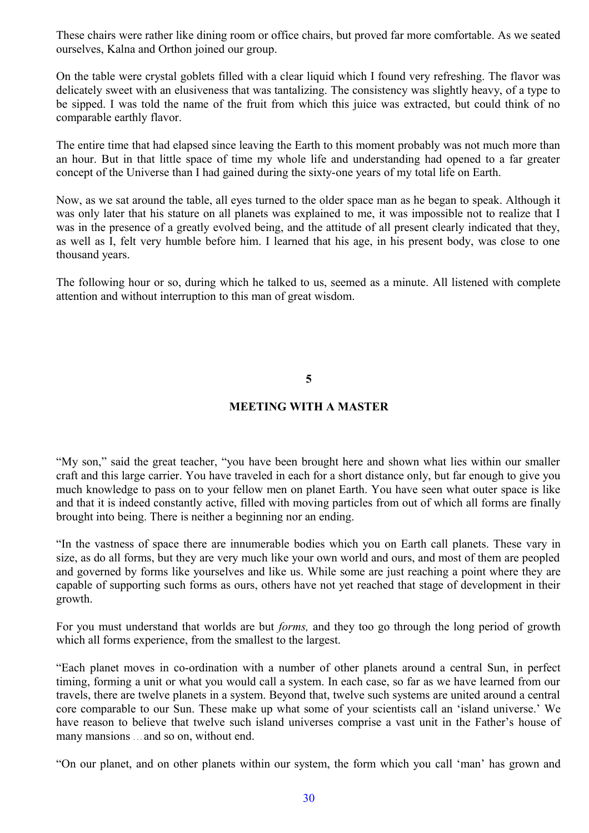These chairs were rather like dining room or office chairs, but proved far more comfortable. As we seated ourselves, Kalna and Orthon joined our group.

On the table were crystal goblets filled with a clear liquid which I found very refreshing. The flavor was delicately sweet with an elusiveness that was tantalizing. The consistency was slightly heavy, of a type to be sipped. I was told the name of the fruit from which this juice was extracted, but could think of no comparable earthly flavor.

The entire time that had elapsed since leaving the Earth to this moment probably was not much more than an hour. But in that little space of time my whole life and understanding had opened to a far greater concept of the Universe than I had gained during the sixty-one years of my total life on Earth.

Now, as we sat around the table, all eyes turned to the older space man as he began to speak. Although it was only later that his stature on all planets was explained to me, it was impossible not to realize that I was in the presence of a greatly evolved being, and the attitude of all present clearly indicated that they, as well as I, felt very humble before him. I learned that his age, in his present body, was close to one thousand years.

The following hour or so, during which he talked to us, seemed as a minute. All listened with complete attention and without interruption to this man of great wisdom.

# **5**

# **MEETING WITH A MASTER**

"My son," said the great teacher, "you have been brought here and shown what lies within our smaller craft and this large carrier. You have traveled in each for a short distance only, but far enough to give you much knowledge to pass on to your fellow men on planet Earth. You have seen what outer space is like and that it is indeed constantly active, filled with moving particles from out of which all forms are finally brought into being. There is neither a beginning nor an ending.

"In the vastness of space there are innumerable bodies which you on Earth call planets. These vary in size, as do all forms, but they are very much like your own world and ours, and most of them are peopled and governed by forms like yourselves and like us. While some are just reaching a point where they are capable of supporting such forms as ours, others have not yet reached that stage of development in their growth.

For you must understand that worlds are but *forms,* and they too go through the long period of growth which all forms experience, from the smallest to the largest.

"Each planet moves in co-ordination with a number of other planets around a central Sun, in perfect timing, forming a unit or what you would call a system. In each case, so far as we have learned from our travels, there are twelve planets in a system. Beyond that, twelve such systems are united around a central core comparable to our Sun. These make up what some of your scientists call an 'island universe.' We have reason to believe that twelve such island universes comprise a vast unit in the Father's house of many mansions ... and so on, without end.

"On our planet, and on other planets within our system, the form which you call 'man' has grown and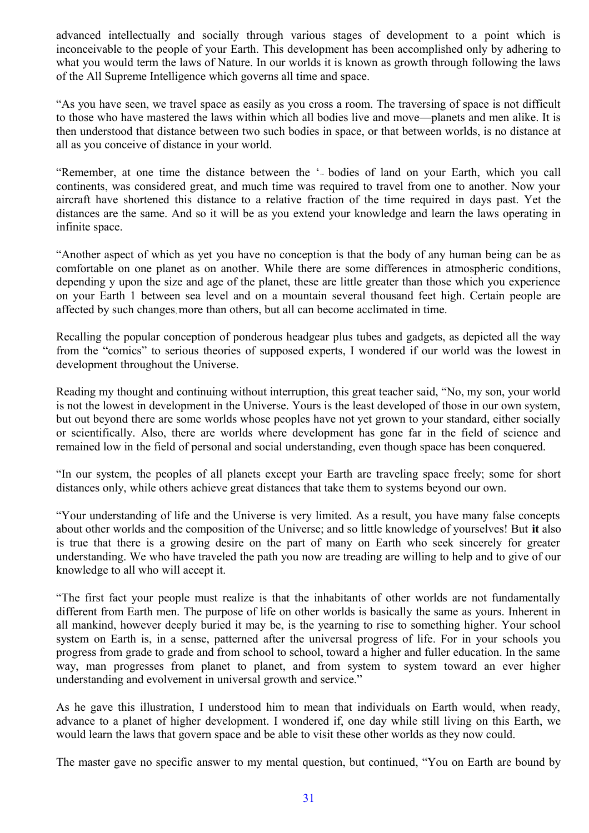advanced intellectually and socially through various stages of development to a point which is inconceivable to the people of your Earth. This development has been accomplished only by adhering to what you would term the laws of Nature. In our worlds it is known as growth through following the laws of the All Supreme Intelligence which governs all time and space.

"As you have seen, we travel space as easily as you cross a room. The traversing of space is not difficult to those who have mastered the laws within which all bodies live and move—planets and men alike. It is then understood that distance between two such bodies in space, or that between worlds, is no distance at all as you conceive of distance in your world.

"Remember, at one time the distance between the '~ bodies of land on your Earth, which you call continents, was considered great, and much time was required to travel from one to another. Now your aircraft have shortened this distance to a relative fraction of the time required in days past. Yet the distances are the same. And so it will be as you extend your knowledge and learn the laws operating in infinite space.

"Another aspect of which as yet you have no conception is that the body of any human being can be as comfortable on one planet as on another. While there are some differences in atmospheric conditions, depending y upon the size and age of the planet, these are little greater than those which you experience on your Earth 1 between sea level and on a mountain several thousand feet high. Certain people are affected by such changes, more than others, but all can become acclimated in time.

Recalling the popular conception of ponderous headgear plus tubes and gadgets, as depicted all the way from the "comics" to serious theories of supposed experts, I wondered if our world was the lowest in development throughout the Universe.

Reading my thought and continuing without interruption, this great teacher said, "No, my son, your world is not the lowest in development in the Universe. Yours is the least developed of those in our own system, but out beyond there are some worlds whose peoples have not yet grown to your standard, either socially or scientifically. Also, there are worlds where development has gone far in the field of science and remained low in the field of personal and social understanding, even though space has been conquered.

"In our system, the peoples of all planets except your Earth are traveling space freely; some for short distances only, while others achieve great distances that take them to systems beyond our own.

"Your understanding of life and the Universe is very limited. As a result, you have many false concepts about other worlds and the composition of the Universe; and so little knowledge of yourselves! But **it** also is true that there is a growing desire on the part of many on Earth who seek sincerely for greater understanding. We who have traveled the path you now are treading are willing to help and to give of our knowledge to all who will accept it.

"The first fact your people must realize is that the inhabitants of other worlds are not fundamentally different from Earth men. The purpose of life on other worlds is basically the same as yours. Inherent in all mankind, however deeply buried it may be, is the yearning to rise to something higher. Your school system on Earth is, in a sense, patterned after the universal progress of life. For in your schools you progress from grade to grade and from school to school, toward a higher and fuller education. In the same way, man progresses from planet to planet, and from system to system toward an ever higher understanding and evolvement in universal growth and service."

As he gave this illustration, I understood him to mean that individuals on Earth would, when ready, advance to a planet of higher development. I wondered if, one day while still living on this Earth, we would learn the laws that govern space and be able to visit these other worlds as they now could.

The master gave no specific answer to my mental question, but continued, "You on Earth are bound by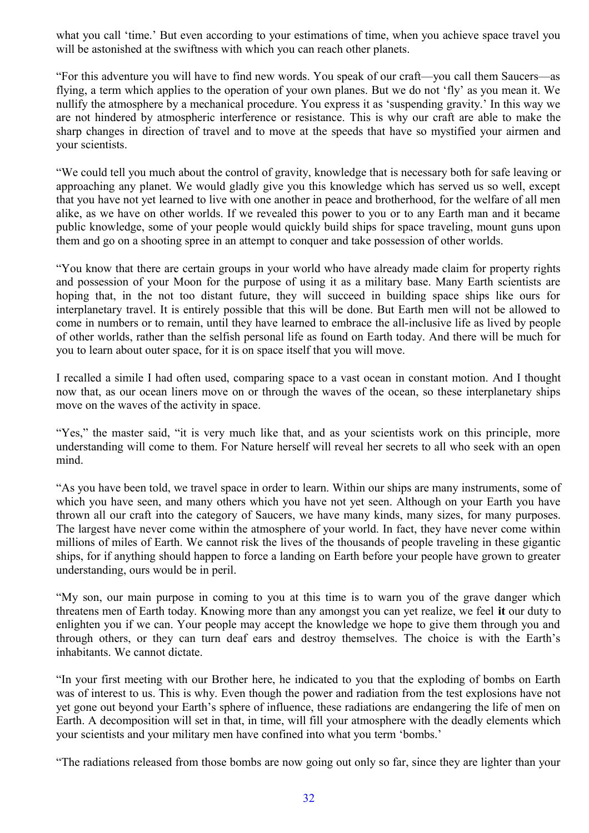what you call 'time.' But even according to your estimations of time, when you achieve space travel you will be astonished at the swiftness with which you can reach other planets.

"For this adventure you will have to find new words. You speak of our craft—you call them Saucers—as flying, a term which applies to the operation of your own planes. But we do not 'fly' as you mean it. We nullify the atmosphere by a mechanical procedure. You express it as 'suspending gravity.' In this way we are not hindered by atmospheric interference or resistance. This is why our craft are able to make the sharp changes in direction of travel and to move at the speeds that have so mystified your airmen and your scientists.

"We could tell you much about the control of gravity, knowledge that is necessary both for safe leaving or approaching any planet. We would gladly give you this knowledge which has served us so well, except that you have not yet learned to live with one another in peace and brotherhood, for the welfare of all men alike, as we have on other worlds. If we revealed this power to you or to any Earth man and it became public knowledge, some of your people would quickly build ships for space traveling, mount guns upon them and go on a shooting spree in an attempt to conquer and take possession of other worlds.

"You know that there are certain groups in your world who have already made claim for property rights and possession of your Moon for the purpose of using it as a military base. Many Earth scientists are hoping that, in the not too distant future, they will succeed in building space ships like ours for interplanetary travel. It is entirely possible that this will be done. But Earth men will not be allowed to come in numbers or to remain, until they have learned to embrace the all-inclusive life as lived by people of other worlds, rather than the selfish personal life as found on Earth today. And there will be much for you to learn about outer space, for it is on space itself that you will move.

I recalled a simile I had often used, comparing space to a vast ocean in constant motion. And I thought now that, as our ocean liners move on or through the waves of the ocean, so these interplanetary ships move on the waves of the activity in space.

"Yes," the master said, "it is very much like that, and as your scientists work on this principle, more understanding will come to them. For Nature herself will reveal her secrets to all who seek with an open mind.

"As you have been told, we travel space in order to learn. Within our ships are many instruments, some of which you have seen, and many others which you have not yet seen. Although on your Earth you have thrown all our craft into the category of Saucers, we have many kinds, many sizes, for many purposes. The largest have never come within the atmosphere of your world. In fact, they have never come within millions of miles of Earth. We cannot risk the lives of the thousands of people traveling in these gigantic ships, for if anything should happen to force a landing on Earth before your people have grown to greater understanding, ours would be in peril.

"My son, our main purpose in coming to you at this time is to warn you of the grave danger which threatens men of Earth today. Knowing more than any amongst you can yet realize, we feel **it** our duty to enlighten you if we can. Your people may accept the knowledge we hope to give them through you and through others, or they can turn deaf ears and destroy themselves. The choice is with the Earth's inhabitants. We cannot dictate.

"In your first meeting with our Brother here, he indicated to you that the exploding of bombs on Earth was of interest to us. This is why. Even though the power and radiation from the test explosions have not yet gone out beyond your Earth's sphere of influence, these radiations are endangering the life of men on Earth. A decomposition will set in that, in time, will fill your atmosphere with the deadly elements which your scientists and your military men have confined into what you term 'bombs.'

"The radiations released from those bombs are now going out only so far, since they are lighter than your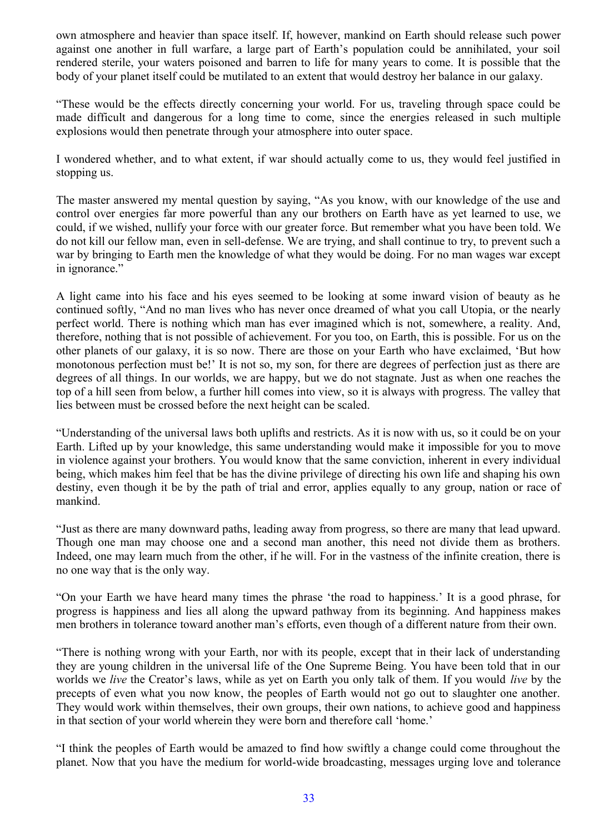own atmosphere and heavier than space itself. If, however, mankind on Earth should release such power against one another in full warfare, a large part of Earth's population could be annihilated, your soil rendered sterile, your waters poisoned and barren to life for many years to come. It is possible that the body of your planet itself could be mutilated to an extent that would destroy her balance in our galaxy.

"These would be the effects directly concerning your world. For us, traveling through space could be made difficult and dangerous for a long time to come, since the energies released in such multiple explosions would then penetrate through your atmosphere into outer space.

I wondered whether, and to what extent, if war should actually come to us, they would feel justified in stopping us.

The master answered my mental question by saying, "As you know, with our knowledge of the use and control over energies far more powerful than any our brothers on Earth have as yet learned to use, we could, if we wished, nullify your force with our greater force. But remember what you have been told. We do not kill our fellow man, even in sell-defense. We are trying, and shall continue to try, to prevent such a war by bringing to Earth men the knowledge of what they would be doing. For no man wages war except in ignorance."

A light came into his face and his eyes seemed to be looking at some inward vision of beauty as he continued softly, "And no man lives who has never once dreamed of what you call Utopia, or the nearly perfect world. There is nothing which man has ever imagined which is not, somewhere, a reality. And, therefore, nothing that is not possible of achievement. For you too, on Earth, this is possible. For us on the other planets of our galaxy, it is so now. There are those on your Earth who have exclaimed, 'But how monotonous perfection must be!' It is not so, my son, for there are degrees of perfection just as there are degrees of all things. In our worlds, we are happy, but we do not stagnate. Just as when one reaches the top of a hill seen from below, a further hill comes into view, so it is always with progress. The valley that lies between must be crossed before the next height can be scaled.

"Understanding of the universal laws both uplifts and restricts. As it is now with us, so it could be on your Earth. Lifted up by your knowledge, this same understanding would make it impossible for you to move in violence against your brothers. You would know that the same conviction, inherent in every individual being, which makes him feel that be has the divine privilege of directing his own life and shaping his own destiny, even though it be by the path of trial and error, applies equally to any group, nation or race of mankind.

"Just as there are many downward paths, leading away from progress, so there are many that lead upward. Though one man may choose one and a second man another, this need not divide them as brothers. Indeed, one may learn much from the other, if he will. For in the vastness of the infinite creation, there is no one way that is the only way.

"On your Earth we have heard many times the phrase 'the road to happiness.' It is a good phrase, for progress is happiness and lies all along the upward pathway from its beginning. And happiness makes men brothers in tolerance toward another man's efforts, even though of a different nature from their own.

"There is nothing wrong with your Earth, nor with its people, except that in their lack of understanding they are young children in the universal life of the One Supreme Being. You have been told that in our worlds we *live* the Creator's laws, while as yet on Earth you only talk of them. If you would *live* by the precepts of even what you now know, the peoples of Earth would not go out to slaughter one another. They would work within themselves, their own groups, their own nations, to achieve good and happiness in that section of your world wherein they were born and therefore call 'home.'

"I think the peoples of Earth would be amazed to find how swiftly a change could come throughout the planet. Now that you have the medium for world-wide broadcasting, messages urging love and tolerance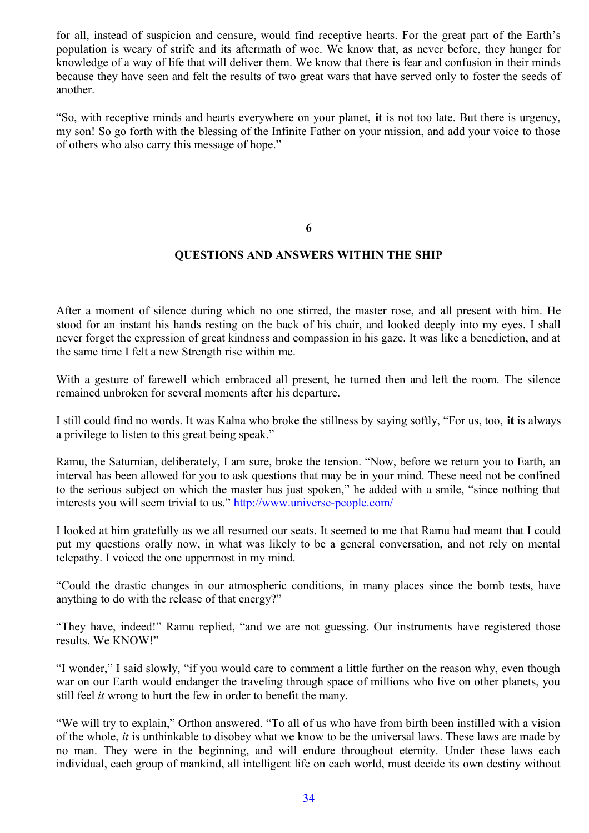for all, instead of suspicion and censure, would find receptive hearts. For the great part of the Earth's population is weary of strife and its aftermath of woe. We know that, as never before, they hunger for knowledge of a way of life that will deliver them. We know that there is fear and confusion in their minds because they have seen and felt the results of two great wars that have served only to foster the seeds of another.

"So, with receptive minds and hearts everywhere on your planet, **it** is not too late. But there is urgency, my son! So go forth with the blessing of the Infinite Father on your mission, and add your voice to those of others who also carry this message of hope."

**6**

# **QUESTIONS AND ANSWERS WITHIN THE SHIP**

After a moment of silence during which no one stirred, the master rose, and all present with him. He stood for an instant his hands resting on the back of his chair, and looked deeply into my eyes. I shall never forget the expression of great kindness and compassion in his gaze. It was like a benediction, and at the same time I felt a new Strength rise within me.

With a gesture of farewell which embraced all present, he turned then and left the room. The silence remained unbroken for several moments after his departure.

I still could find no words. It was Kalna who broke the stillness by saying softly, "For us, too, **it** is always a privilege to listen to this great being speak."

Ramu, the Saturnian, deliberately, I am sure, broke the tension. "Now, before we return you to Earth, an interval has been allowed for you to ask questions that may be in your mind. These need not be confined to the serious subject on which the master has just spoken," he added with a smile, "since nothing that interests you will seem trivial to us."<http://www.universe-people.com/>

I looked at him gratefully as we all resumed our seats. It seemed to me that Ramu had meant that I could put my questions orally now, in what was likely to be a general conversation, and not rely on mental telepathy. I voiced the one uppermost in my mind.

"Could the drastic changes in our atmospheric conditions, in many places since the bomb tests, have anything to do with the release of that energy?"

"They have, indeed!" Ramu replied, "and we are not guessing. Our instruments have registered those results. We KNOW!"

"I wonder," I said slowly, "if you would care to comment a little further on the reason why, even though war on our Earth would endanger the traveling through space of millions who live on other planets, you still feel *it* wrong to hurt the few in order to benefit the many.

"We will try to explain," Orthon answered. "To all of us who have from birth been instilled with a vision of the whole, *it* is unthinkable to disobey what we know to be the universal laws. These laws are made by no man. They were in the beginning, and will endure throughout eternity. Under these laws each individual, each group of mankind, all intelligent life on each world, must decide its own destiny without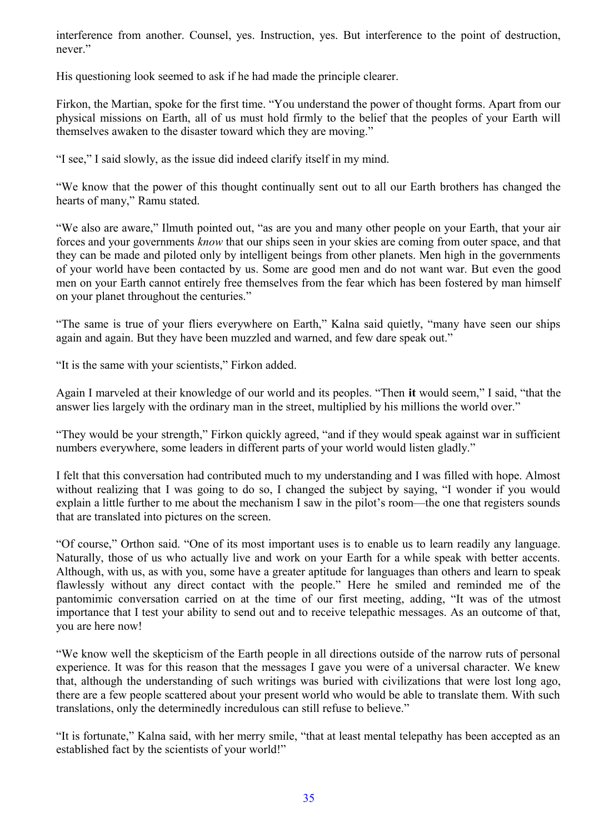interference from another. Counsel, yes. Instruction, yes. But interference to the point of destruction, never."

His questioning look seemed to ask if he had made the principle clearer.

Firkon, the Martian, spoke for the first time. "You understand the power of thought forms. Apart from our physical missions on Earth, all of us must hold firmly to the belief that the peoples of your Earth will themselves awaken to the disaster toward which they are moving."

"I see," I said slowly, as the issue did indeed clarify itself in my mind.

"We know that the power of this thought continually sent out to all our Earth brothers has changed the hearts of many," Ramu stated.

"We also are aware," Ilmuth pointed out, "as are you and many other people on your Earth, that your air forces and your governments *know* that our ships seen in your skies are coming from outer space, and that they can be made and piloted only by intelligent beings from other planets. Men high in the governments of your world have been contacted by us. Some are good men and do not want war. But even the good men on your Earth cannot entirely free themselves from the fear which has been fostered by man himself on your planet throughout the centuries."

"The same is true of your fliers everywhere on Earth," Kalna said quietly, "many have seen our ships again and again. But they have been muzzled and warned, and few dare speak out."

"It is the same with your scientists," Firkon added.

Again I marveled at their knowledge of our world and its peoples. "Then **it** would seem," I said, "that the answer lies largely with the ordinary man in the street, multiplied by his millions the world over."

"They would be your strength," Firkon quickly agreed, "and if they would speak against war in sufficient numbers everywhere, some leaders in different parts of your world would listen gladly."

I felt that this conversation had contributed much to my understanding and I was filled with hope. Almost without realizing that I was going to do so, I changed the subject by saying, "I wonder if you would explain a little further to me about the mechanism I saw in the pilot's room—the one that registers sounds that are translated into pictures on the screen.

"Of course," Orthon said. "One of its most important uses is to enable us to learn readily any language. Naturally, those of us who actually live and work on your Earth for a while speak with better accents. Although, with us, as with you, some have a greater aptitude for languages than others and learn to speak flawlessly without any direct contact with the people." Here he smiled and reminded me of the pantomimic conversation carried on at the time of our first meeting, adding, "It was of the utmost importance that I test your ability to send out and to receive telepathic messages. As an outcome of that, you are here now!

"We know well the skepticism of the Earth people in all directions outside of the narrow ruts of personal experience. It was for this reason that the messages I gave you were of a universal character. We knew that, although the understanding of such writings was buried with civilizations that were lost long ago, there are a few people scattered about your present world who would be able to translate them. With such translations, only the determinedly incredulous can still refuse to believe."

"It is fortunate," Kalna said, with her merry smile, "that at least mental telepathy has been accepted as an established fact by the scientists of your world!"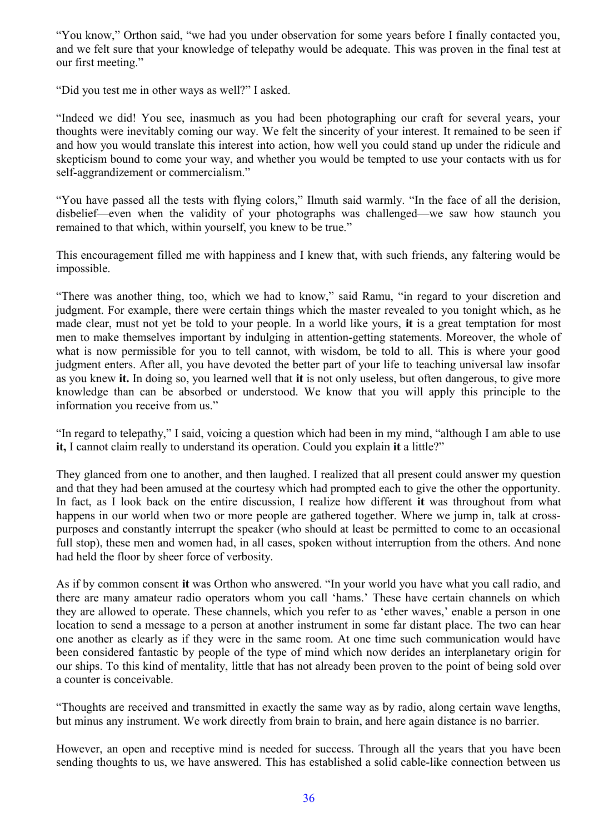"You know," Orthon said, "we had you under observation for some years before I finally contacted you, and we felt sure that your knowledge of telepathy would be adequate. This was proven in the final test at our first meeting."

"Did you test me in other ways as well?" I asked.

"Indeed we did! You see, inasmuch as you had been photographing our craft for several years, your thoughts were inevitably coming our way. We felt the sincerity of your interest. It remained to be seen if and how you would translate this interest into action, how well you could stand up under the ridicule and skepticism bound to come your way, and whether you would be tempted to use your contacts with us for self-aggrandizement or commercialism."

"You have passed all the tests with flying colors," Ilmuth said warmly. "In the face of all the derision, disbelief—even when the validity of your photographs was challenged—we saw how staunch you remained to that which, within yourself, you knew to be true."

This encouragement filled me with happiness and I knew that, with such friends, any faltering would be impossible.

"There was another thing, too, which we had to know," said Ramu, "in regard to your discretion and judgment. For example, there were certain things which the master revealed to you tonight which, as he made clear, must not yet be told to your people. In a world like yours, **it** is a great temptation for most men to make themselves important by indulging in attention-getting statements. Moreover, the whole of what is now permissible for you to tell cannot, with wisdom, be told to all. This is where your good judgment enters. After all, you have devoted the better part of your life to teaching universal law insofar as you knew **it.** In doing so, you learned well that **it** is not only useless, but often dangerous, to give more knowledge than can be absorbed or understood. We know that you will apply this principle to the information you receive from us."

"In regard to telepathy," I said, voicing a question which had been in my mind, "although I am able to use **it,** I cannot claim really to understand its operation. Could you explain **it** a little?"

They glanced from one to another, and then laughed. I realized that all present could answer my question and that they had been amused at the courtesy which had prompted each to give the other the opportunity. In fact, as I look back on the entire discussion, I realize how different **it** was throughout from what happens in our world when two or more people are gathered together. Where we jump in, talk at crosspurposes and constantly interrupt the speaker (who should at least be permitted to come to an occasional full stop), these men and women had, in all cases, spoken without interruption from the others. And none had held the floor by sheer force of verbosity.

As if by common consent **it** was Orthon who answered. "In your world you have what you call radio, and there are many amateur radio operators whom you call 'hams.' These have certain channels on which they are allowed to operate. These channels, which you refer to as 'ether waves,' enable a person in one location to send a message to a person at another instrument in some far distant place. The two can hear one another as clearly as if they were in the same room. At one time such communication would have been considered fantastic by people of the type of mind which now derides an interplanetary origin for our ships. To this kind of mentality, little that has not already been proven to the point of being sold over a counter is conceivable.

"Thoughts are received and transmitted in exactly the same way as by radio, along certain wave lengths, but minus any instrument. We work directly from brain to brain, and here again distance is no barrier.

However, an open and receptive mind is needed for success. Through all the years that you have been sending thoughts to us, we have answered. This has established a solid cable-like connection between us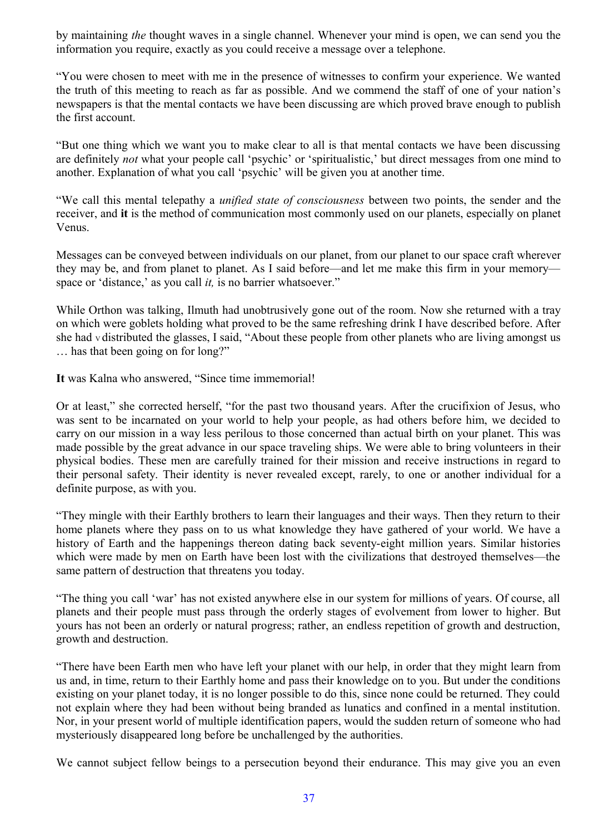by maintaining *the* thought waves in a single channel. Whenever your mind is open, we can send you the information you require, exactly as you could receive a message over a telephone.

"You were chosen to meet with me in the presence of witnesses to confirm your experience. We wanted the truth of this meeting to reach as far as possible. And we commend the staff of one of your nation's newspapers is that the mental contacts we have been discussing are which proved brave enough to publish the first account.

"But one thing which we want you to make clear to all is that mental contacts we have been discussing are definitely *not* what your people call 'psychic' or 'spiritualistic,' but direct messages from one mind to another. Explanation of what you call 'psychic' will be given you at another time.

"We call this mental telepathy a *unified state of consciousness* between two points, the sender and the receiver, and **it** is the method of communication most commonly used on our planets, especially on planet Venus.

Messages can be conveyed between individuals on our planet, from our planet to our space craft wherever they may be, and from planet to planet. As I said before—and let me make this firm in your memory space or 'distance,' as you call *it*, is no barrier whatsoever."

While Orthon was talking, Ilmuth had unobtrusively gone out of the room. Now she returned with a tray on which were goblets holding what proved to be the same refreshing drink I have described before. After she had v distributed the glasses, I said, "About these people from other planets who are living amongst us … has that been going on for long?"

**It** was Kalna who answered, "Since time immemorial!

Or at least," she corrected herself, "for the past two thousand years. After the crucifixion of Jesus, who was sent to be incarnated on your world to help your people, as had others before him, we decided to carry on our mission in a way less perilous to those concerned than actual birth on your planet. This was made possible by the great advance in our space traveling ships. We were able to bring volunteers in their physical bodies. These men are carefully trained for their mission and receive instructions in regard to their personal safety. Their identity is never revealed except, rarely, to one or another individual for a definite purpose, as with you.

"They mingle with their Earthly brothers to learn their languages and their ways. Then they return to their home planets where they pass on to us what knowledge they have gathered of your world. We have a history of Earth and the happenings thereon dating back seventy-eight million years. Similar histories which were made by men on Earth have been lost with the civilizations that destroyed themselves—the same pattern of destruction that threatens you today.

"The thing you call 'war' has not existed anywhere else in our system for millions of years. Of course, all planets and their people must pass through the orderly stages of evolvement from lower to higher. But yours has not been an orderly or natural progress; rather, an endless repetition of growth and destruction, growth and destruction.

"There have been Earth men who have left your planet with our help, in order that they might learn from us and, in time, return to their Earthly home and pass their knowledge on to you. But under the conditions existing on your planet today, it is no longer possible to do this, since none could be returned. They could not explain where they had been without being branded as lunatics and confined in a mental institution. Nor, in your present world of multiple identification papers, would the sudden return of someone who had mysteriously disappeared long before be unchallenged by the authorities.

We cannot subject fellow beings to a persecution beyond their endurance. This may give you an even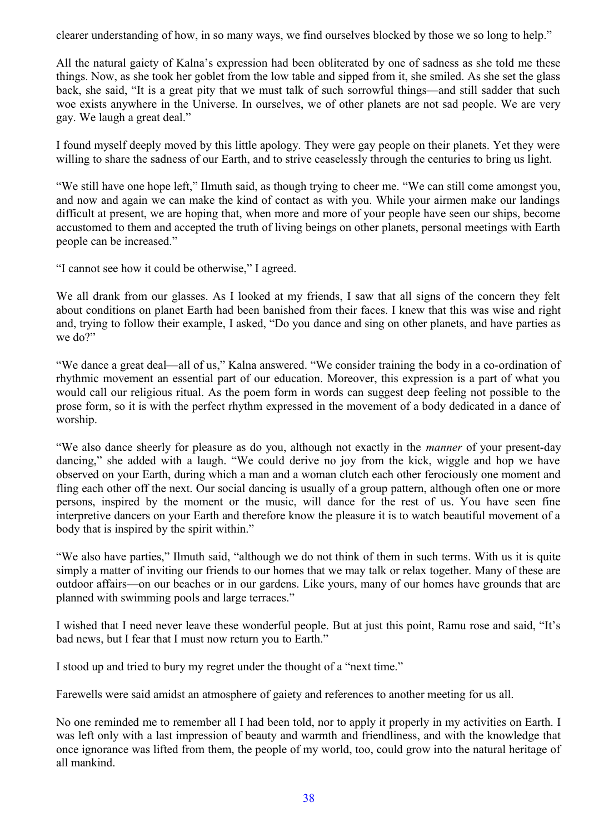clearer understanding of how, in so many ways, we find ourselves blocked by those we so long to help."

All the natural gaiety of Kalna's expression had been obliterated by one of sadness as she told me these things. Now, as she took her goblet from the low table and sipped from it, she smiled. As she set the glass back, she said, "It is a great pity that we must talk of such sorrowful things—and still sadder that such woe exists anywhere in the Universe. In ourselves, we of other planets are not sad people. We are very gay. We laugh a great deal."

I found myself deeply moved by this little apology. They were gay people on their planets. Yet they were willing to share the sadness of our Earth, and to strive ceaselessly through the centuries to bring us light.

"We still have one hope left," Ilmuth said, as though trying to cheer me. "We can still come amongst you, and now and again we can make the kind of contact as with you. While your airmen make our landings difficult at present, we are hoping that, when more and more of your people have seen our ships, become accustomed to them and accepted the truth of living beings on other planets, personal meetings with Earth people can be increased."

"I cannot see how it could be otherwise," I agreed.

We all drank from our glasses. As I looked at my friends, I saw that all signs of the concern they felt about conditions on planet Earth had been banished from their faces. I knew that this was wise and right and, trying to follow their example, I asked, "Do you dance and sing on other planets, and have parties as we do?"

"We dance a great deal—all of us," Kalna answered. "We consider training the body in a co-ordination of rhythmic movement an essential part of our education. Moreover, this expression is a part of what you would call our religious ritual. As the poem form in words can suggest deep feeling not possible to the prose form, so it is with the perfect rhythm expressed in the movement of a body dedicated in a dance of worship.

"We also dance sheerly for pleasure as do you, although not exactly in the *manner* of your present-day dancing," she added with a laugh. "We could derive no joy from the kick, wiggle and hop we have observed on your Earth, during which a man and a woman clutch each other ferociously one moment and fling each other off the next. Our social dancing is usually of a group pattern, although often one or more persons, inspired by the moment or the music, will dance for the rest of us. You have seen fine interpretive dancers on your Earth and therefore know the pleasure it is to watch beautiful movement of a body that is inspired by the spirit within."

"We also have parties," Ilmuth said, "although we do not think of them in such terms. With us it is quite simply a matter of inviting our friends to our homes that we may talk or relax together. Many of these are outdoor affairs—on our beaches or in our gardens. Like yours, many of our homes have grounds that are planned with swimming pools and large terraces."

I wished that I need never leave these wonderful people. But at just this point, Ramu rose and said, "It's bad news, but I fear that I must now return you to Earth."

I stood up and tried to bury my regret under the thought of a "next time."

Farewells were said amidst an atmosphere of gaiety and references to another meeting for us all.

No one reminded me to remember all I had been told, nor to apply it properly in my activities on Earth. I was left only with a last impression of beauty and warmth and friendliness, and with the knowledge that once ignorance was lifted from them, the people of my world, too, could grow into the natural heritage of all mankind.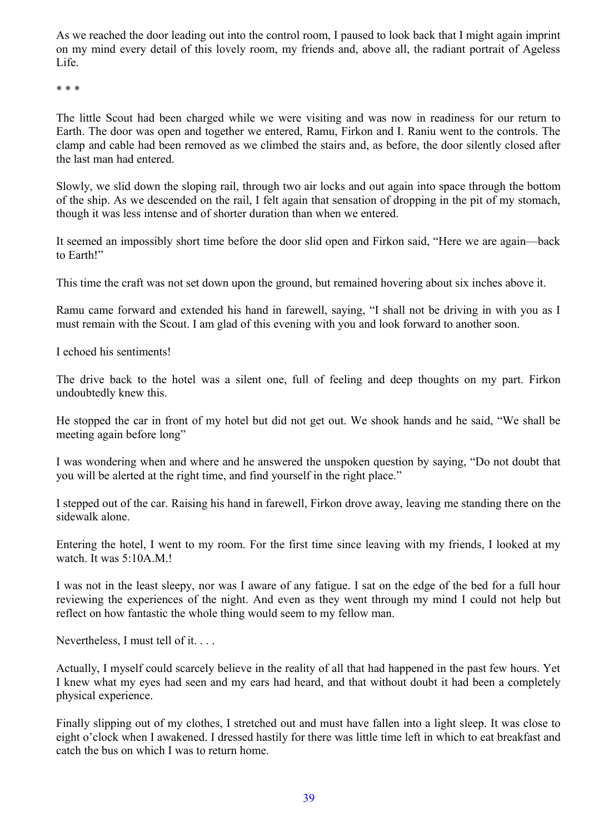As we reached the door leading out into the control room, I paused to look back that I might again imprint on my mind every detail of this lovely room, my friends and, above all, the radiant portrait of Ageless Life.

\* \* \*

The little Scout had been charged while we were visiting and was now in readiness for our return to Earth. The door was open and together we entered, Ramu, Firkon and I. Raniu went to the controls. The clamp and cable had been removed as we climbed the stairs and, as before, the door silently closed after the last man had entered.

Slowly, we slid down the sloping rail, through two air locks and out again into space through the bottom of the ship. As we descended on the rail, I felt again that sensation of dropping in the pit of my stomach, though it was less intense and of shorter duration than when we entered.

It seemed an impossibly short time before the door slid open and Firkon said, "Here we are again—back to Earth!"

This time the craft was not set down upon the ground, but remained hovering about six inches above it.

Ramu came forward and extended his hand in farewell, saying, "I shall not be driving in with you as I must remain with the Scout. I am glad of this evening with you and look forward to another soon.

I echoed his sentiments!

The drive back to the hotel was a silent one, full of feeling and deep thoughts on my part. Firkon undoubtedly knew this.

He stopped the car in front of my hotel but did not get out. We shook hands and he said, "We shall be meeting again before long"

I was wondering when and where and he answered the unspoken question by saying, "Do not doubt that you will be alerted at the right time, and find yourself in the right place."

I stepped out of the car. Raising his hand in farewell, Firkon drove away, leaving me standing there on the sidewalk alone.

Entering the hotel, I went to my room. For the first time since leaving with my friends, I looked at my watch. It was 5:10A.M.!

I was not in the least sleepy, nor was I aware of any fatigue. I sat on the edge of the bed for a full hour reviewing the experiences of the night. And even as they went through my mind I could not help but reflect on how fantastic the whole thing would seem to my fellow man.

Nevertheless, I must tell of it. . . .

Actually, I myself could scarcely believe in the reality of all that had happened in the past few hours. Yet I knew what my eyes had seen and my ears had heard, and that without doubt it had been a completely physical experience.

Finally slipping out of my clothes, I stretched out and must have fallen into a light sleep. It was close to eight o'clock when I awakened. I dressed hastily for there was little time left in which to eat breakfast and catch the bus on which I was to return home.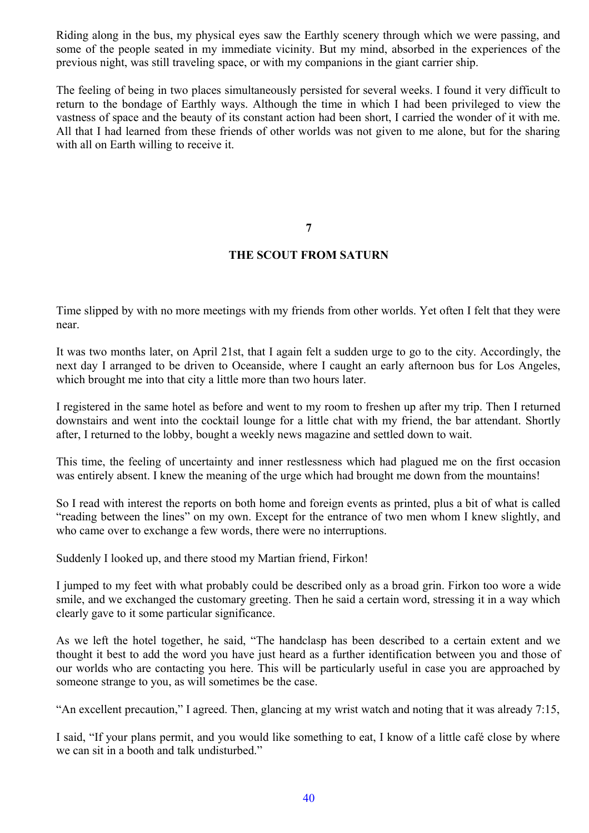Riding along in the bus, my physical eyes saw the Earthly scenery through which we were passing, and some of the people seated in my immediate vicinity. But my mind, absorbed in the experiences of the previous night, was still traveling space, or with my companions in the giant carrier ship.

The feeling of being in two places simultaneously persisted for several weeks. I found it very difficult to return to the bondage of Earthly ways. Although the time in which I had been privileged to view the vastness of space and the beauty of its constant action had been short, I carried the wonder of it with me. All that I had learned from these friends of other worlds was not given to me alone, but for the sharing with all on Earth willing to receive it.

**7**

# **THE SCOUT FROM SATURN**

Time slipped by with no more meetings with my friends from other worlds. Yet often I felt that they were near.

It was two months later, on April 21st, that I again felt a sudden urge to go to the city. Accordingly, the next day I arranged to be driven to Oceanside, where I caught an early afternoon bus for Los Angeles, which brought me into that city a little more than two hours later.

I registered in the same hotel as before and went to my room to freshen up after my trip. Then I returned downstairs and went into the cocktail lounge for a little chat with my friend, the bar attendant. Shortly after, I returned to the lobby, bought a weekly news magazine and settled down to wait.

This time, the feeling of uncertainty and inner restlessness which had plagued me on the first occasion was entirely absent. I knew the meaning of the urge which had brought me down from the mountains!

So I read with interest the reports on both home and foreign events as printed, plus a bit of what is called "reading between the lines" on my own. Except for the entrance of two men whom I knew slightly, and who came over to exchange a few words, there were no interruptions.

Suddenly I looked up, and there stood my Martian friend, Firkon!

I jumped to my feet with what probably could be described only as a broad grin. Firkon too wore a wide smile, and we exchanged the customary greeting. Then he said a certain word, stressing it in a way which clearly gave to it some particular significance.

As we left the hotel together, he said, "The handclasp has been described to a certain extent and we thought it best to add the word you have just heard as a further identification between you and those of our worlds who are contacting you here. This will be particularly useful in case you are approached by someone strange to you, as will sometimes be the case.

"An excellent precaution," I agreed. Then, glancing at my wrist watch and noting that it was already 7:15,

I said, "If your plans permit, and you would like something to eat, I know of a little café close by where we can sit in a booth and talk undisturbed."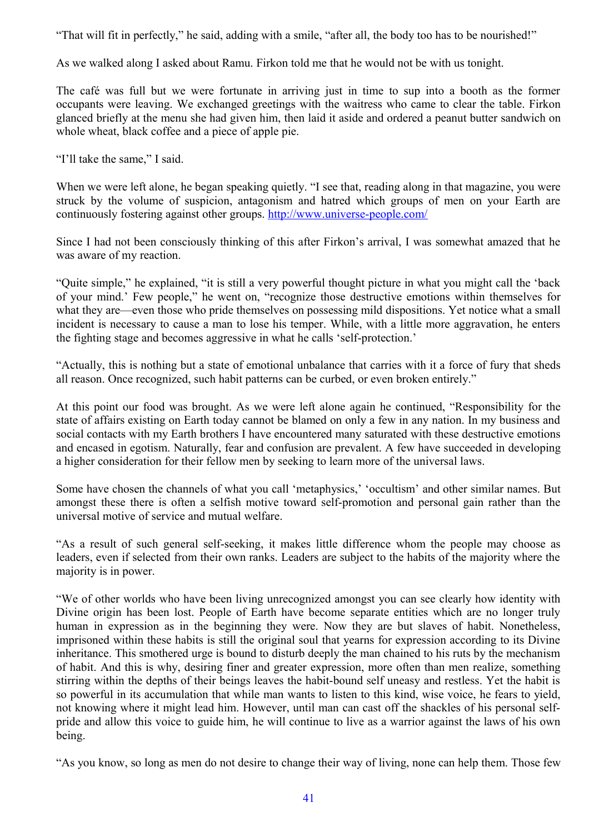"That will fit in perfectly," he said, adding with a smile, "after all, the body too has to be nourished!"

As we walked along I asked about Ramu. Firkon told me that he would not be with us tonight.

The café was full but we were fortunate in arriving just in time to sup into a booth as the former occupants were leaving. We exchanged greetings with the waitress who came to clear the table. Firkon glanced briefly at the menu she had given him, then laid it aside and ordered a peanut butter sandwich on whole wheat, black coffee and a piece of apple pie.

"I'll take the same," I said.

When we were left alone, he began speaking quietly. "I see that, reading along in that magazine, you were struck by the volume of suspicion, antagonism and hatred which groups of men on your Earth are continuously fostering against other groups.<http://www.universe-people.com/>

Since I had not been consciously thinking of this after Firkon's arrival, I was somewhat amazed that he was aware of my reaction.

"Quite simple," he explained, "it is still a very powerful thought picture in what you might call the 'back of your mind.' Few people," he went on, "recognize those destructive emotions within themselves for what they are—even those who pride themselves on possessing mild dispositions. Yet notice what a small incident is necessary to cause a man to lose his temper. While, with a little more aggravation, he enters the fighting stage and becomes aggressive in what he calls 'self-protection.'

"Actually, this is nothing but a state of emotional unbalance that carries with it a force of fury that sheds all reason. Once recognized, such habit patterns can be curbed, or even broken entirely."

At this point our food was brought. As we were left alone again he continued, "Responsibility for the state of affairs existing on Earth today cannot be blamed on only a few in any nation. In my business and social contacts with my Earth brothers I have encountered many saturated with these destructive emotions and encased in egotism. Naturally, fear and confusion are prevalent. A few have succeeded in developing a higher consideration for their fellow men by seeking to learn more of the universal laws.

Some have chosen the channels of what you call 'metaphysics,' 'occultism' and other similar names. But amongst these there is often a selfish motive toward self-promotion and personal gain rather than the universal motive of service and mutual welfare.

"As a result of such general self-seeking, it makes little difference whom the people may choose as leaders, even if selected from their own ranks. Leaders are subject to the habits of the majority where the majority is in power.

"We of other worlds who have been living unrecognized amongst you can see clearly how identity with Divine origin has been lost. People of Earth have become separate entities which are no longer truly human in expression as in the beginning they were. Now they are but slaves of habit. Nonetheless, imprisoned within these habits is still the original soul that yearns for expression according to its Divine inheritance. This smothered urge is bound to disturb deeply the man chained to his ruts by the mechanism of habit. And this is why, desiring finer and greater expression, more often than men realize, something stirring within the depths of their beings leaves the habit-bound self uneasy and restless. Yet the habit is so powerful in its accumulation that while man wants to listen to this kind, wise voice, he fears to yield, not knowing where it might lead him. However, until man can cast off the shackles of his personal selfpride and allow this voice to guide him, he will continue to live as a warrior against the laws of his own being.

"As you know, so long as men do not desire to change their way of living, none can help them. Those few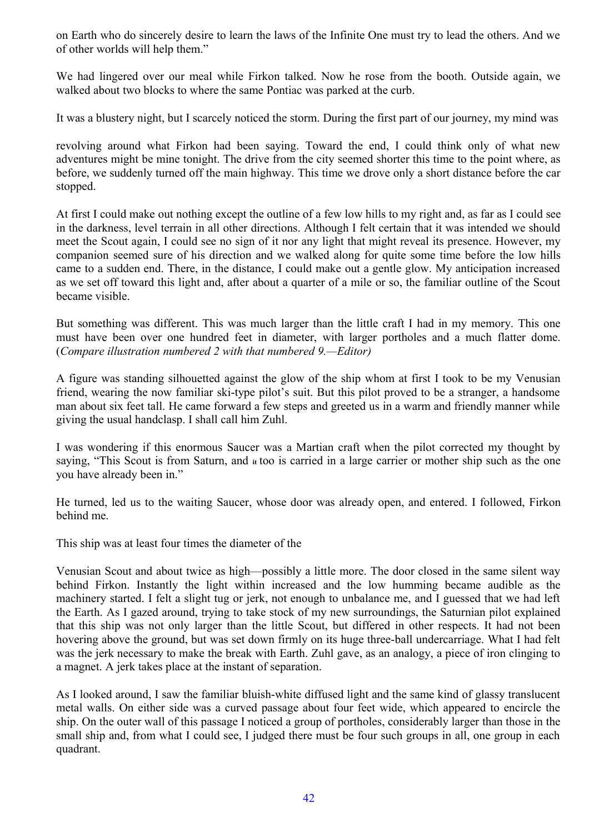on Earth who do sincerely desire to learn the laws of the Infinite One must try to lead the others. And we of other worlds will help them."

We had lingered over our meal while Firkon talked. Now he rose from the booth. Outside again, we walked about two blocks to where the same Pontiac was parked at the curb.

It was a blustery night, but I scarcely noticed the storm. During the first part of our journey, my mind was

revolving around what Firkon had been saying. Toward the end, I could think only of what new adventures might be mine tonight. The drive from the city seemed shorter this time to the point where, as before, we suddenly turned off the main highway. This time we drove only a short distance before the car stopped.

At first I could make out nothing except the outline of a few low hills to my right and, as far as I could see in the darkness, level terrain in all other directions. Although I felt certain that it was intended we should meet the Scout again, I could see no sign of it nor any light that might reveal its presence. However, my companion seemed sure of his direction and we walked along for quite some time before the low hills came to a sudden end. There, in the distance, I could make out a gentle glow. My anticipation increased as we set off toward this light and, after about a quarter of a mile or so, the familiar outline of the Scout became visible.

But something was different. This was much larger than the little craft I had in my memory. This one must have been over one hundred feet in diameter, with larger portholes and a much flatter dome. (*Compare illustration numbered 2 with that numbered 9.—Editor)*

A figure was standing silhouetted against the glow of the ship whom at first I took to be my Venusian friend, wearing the now familiar ski-type pilot's suit. But this pilot proved to be a stranger, a handsome man about six feet tall. He came forward a few steps and greeted us in a warm and friendly manner while giving the usual handclasp. I shall call him Zuhl.

I was wondering if this enormous Saucer was a Martian craft when the pilot corrected my thought by saying, "This Scout is from Saturn, and **it** too is carried in a large carrier or mother ship such as the one you have already been in."

He turned, led us to the waiting Saucer, whose door was already open, and entered. I followed, Firkon behind me.

This ship was at least four times the diameter of the

Venusian Scout and about twice as high—possibly a little more. The door closed in the same silent way behind Firkon. Instantly the light within increased and the low humming became audible as the machinery started. I felt a slight tug or jerk, not enough to unbalance me, and I guessed that we had left the Earth. As I gazed around, trying to take stock of my new surroundings, the Saturnian pilot explained that this ship was not only larger than the little Scout, but differed in other respects. It had not been hovering above the ground, but was set down firmly on its huge three-ball undercarriage. What I had felt was the jerk necessary to make the break with Earth. Zuhl gave, as an analogy, a piece of iron clinging to a magnet. A jerk takes place at the instant of separation.

As I looked around, I saw the familiar bluish-white diffused light and the same kind of glassy translucent metal walls. On either side was a curved passage about four feet wide, which appeared to encircle the ship. On the outer wall of this passage I noticed a group of portholes, considerably larger than those in the small ship and, from what I could see, I judged there must be four such groups in all, one group in each quadrant.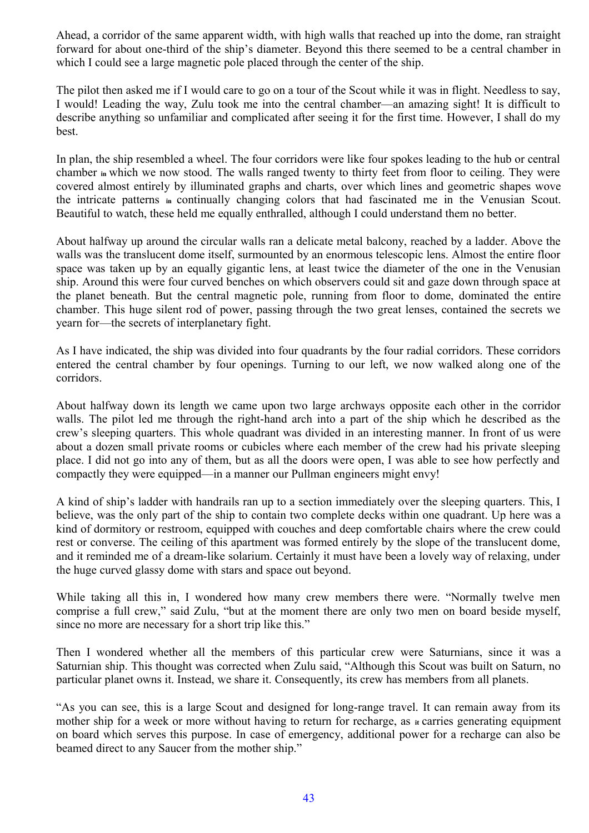Ahead, a corridor of the same apparent width, with high walls that reached up into the dome, ran straight forward for about one-third of the ship's diameter. Beyond this there seemed to be a central chamber in which I could see a large magnetic pole placed through the center of the ship.

The pilot then asked me if I would care to go on a tour of the Scout while it was in flight. Needless to say, I would! Leading the way, Zulu took me into the central chamber—an amazing sight! It is difficult to describe anything so unfamiliar and complicated after seeing it for the first time. However, I shall do my best.

In plan, the ship resembled a wheel. The four corridors were like four spokes leading to the hub or central chamber **in** which we now stood. The walls ranged twenty to thirty feet from floor to ceiling. They were covered almost entirely by illuminated graphs and charts, over which lines and geometric shapes wove the intricate patterns **in** continually changing colors that had fascinated me in the Venusian Scout. Beautiful to watch, these held me equally enthralled, although I could understand them no better.

About halfway up around the circular walls ran a delicate metal balcony, reached by a ladder. Above the walls was the translucent dome itself, surmounted by an enormous telescopic lens. Almost the entire floor space was taken up by an equally gigantic lens, at least twice the diameter of the one in the Venusian ship. Around this were four curved benches on which observers could sit and gaze down through space at the planet beneath. But the central magnetic pole, running from floor to dome, dominated the entire chamber. This huge silent rod of power, passing through the two great lenses, contained the secrets we yearn for—the secrets of interplanetary fight.

As I have indicated, the ship was divided into four quadrants by the four radial corridors. These corridors entered the central chamber by four openings. Turning to our left, we now walked along one of the corridors.

About halfway down its length we came upon two large archways opposite each other in the corridor walls. The pilot led me through the right-hand arch into a part of the ship which he described as the crew's sleeping quarters. This whole quadrant was divided in an interesting manner. In front of us were about a dozen small private rooms or cubicles where each member of the crew had his private sleeping place. I did not go into any of them, but as all the doors were open, I was able to see how perfectly and compactly they were equipped—in a manner our Pullman engineers might envy!

A kind of ship's ladder with handrails ran up to a section immediately over the sleeping quarters. This, I believe, was the only part of the ship to contain two complete decks within one quadrant. Up here was a kind of dormitory or restroom, equipped with couches and deep comfortable chairs where the crew could rest or converse. The ceiling of this apartment was formed entirely by the slope of the translucent dome, and it reminded me of a dream-like solarium. Certainly it must have been a lovely way of relaxing, under the huge curved glassy dome with stars and space out beyond.

While taking all this in, I wondered how many crew members there were. "Normally twelve men comprise a full crew," said Zulu, "but at the moment there are only two men on board beside myself, since no more are necessary for a short trip like this."

Then I wondered whether all the members of this particular crew were Saturnians, since it was a Saturnian ship. This thought was corrected when Zulu said, "Although this Scout was built on Saturn, no particular planet owns it. Instead, we share it. Consequently, its crew has members from all planets.

"As you can see, this is a large Scout and designed for long-range travel. It can remain away from its mother ship for a week or more without having to return for recharge, as **it** carries generating equipment on board which serves this purpose. In case of emergency, additional power for a recharge can also be beamed direct to any Saucer from the mother ship."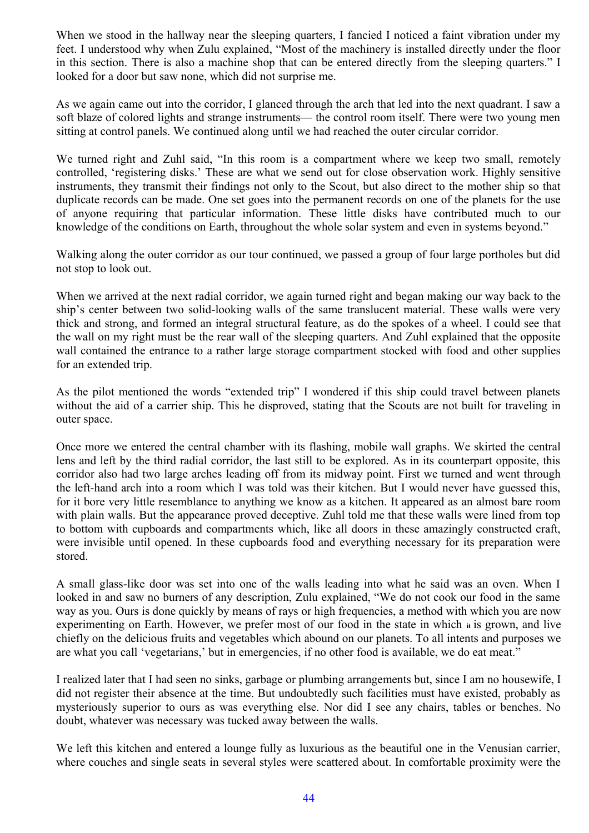When we stood in the hallway near the sleeping quarters. I fancied I noticed a faint vibration under my feet. I understood why when Zulu explained, "Most of the machinery is installed directly under the floor in this section. There is also a machine shop that can be entered directly from the sleeping quarters." I looked for a door but saw none, which did not surprise me.

As we again came out into the corridor, I glanced through the arch that led into the next quadrant. I saw a soft blaze of colored lights and strange instruments— the control room itself. There were two young men sitting at control panels. We continued along until we had reached the outer circular corridor.

We turned right and Zuhl said, "In this room is a compartment where we keep two small, remotely controlled, 'registering disks.' These are what we send out for close observation work. Highly sensitive instruments, they transmit their findings not only to the Scout, but also direct to the mother ship so that duplicate records can be made. One set goes into the permanent records on one of the planets for the use of anyone requiring that particular information. These little disks have contributed much to our knowledge of the conditions on Earth, throughout the whole solar system and even in systems beyond."

Walking along the outer corridor as our tour continued, we passed a group of four large portholes but did not stop to look out.

When we arrived at the next radial corridor, we again turned right and began making our way back to the ship's center between two solid-looking walls of the same translucent material. These walls were very thick and strong, and formed an integral structural feature, as do the spokes of a wheel. I could see that the wall on my right must be the rear wall of the sleeping quarters. And Zuhl explained that the opposite wall contained the entrance to a rather large storage compartment stocked with food and other supplies for an extended trip.

As the pilot mentioned the words "extended trip" I wondered if this ship could travel between planets without the aid of a carrier ship. This he disproved, stating that the Scouts are not built for traveling in outer space.

Once more we entered the central chamber with its flashing, mobile wall graphs. We skirted the central lens and left by the third radial corridor, the last still to be explored. As in its counterpart opposite, this corridor also had two large arches leading off from its midway point. First we turned and went through the left-hand arch into a room which I was told was their kitchen. But I would never have guessed this, for it bore very little resemblance to anything we know as a kitchen. It appeared as an almost bare room with plain walls. But the appearance proved deceptive. Zuhl told me that these walls were lined from top to bottom with cupboards and compartments which, like all doors in these amazingly constructed craft, were invisible until opened. In these cupboards food and everything necessary for its preparation were stored.

A small glass-like door was set into one of the walls leading into what he said was an oven. When I looked in and saw no burners of any description, Zulu explained, "We do not cook our food in the same way as you. Ours is done quickly by means of rays or high frequencies, a method with which you are now experimenting on Earth. However, we prefer most of our food in the state in which it is grown, and live chiefly on the delicious fruits and vegetables which abound on our planets. To all intents and purposes we are what you call 'vegetarians,' but in emergencies, if no other food is available, we do eat meat."

I realized later that I had seen no sinks, garbage or plumbing arrangements but, since I am no housewife, I did not register their absence at the time. But undoubtedly such facilities must have existed, probably as mysteriously superior to ours as was everything else. Nor did I see any chairs, tables or benches. No doubt, whatever was necessary was tucked away between the walls.

We left this kitchen and entered a lounge fully as luxurious as the beautiful one in the Venusian carrier, where couches and single seats in several styles were scattered about. In comfortable proximity were the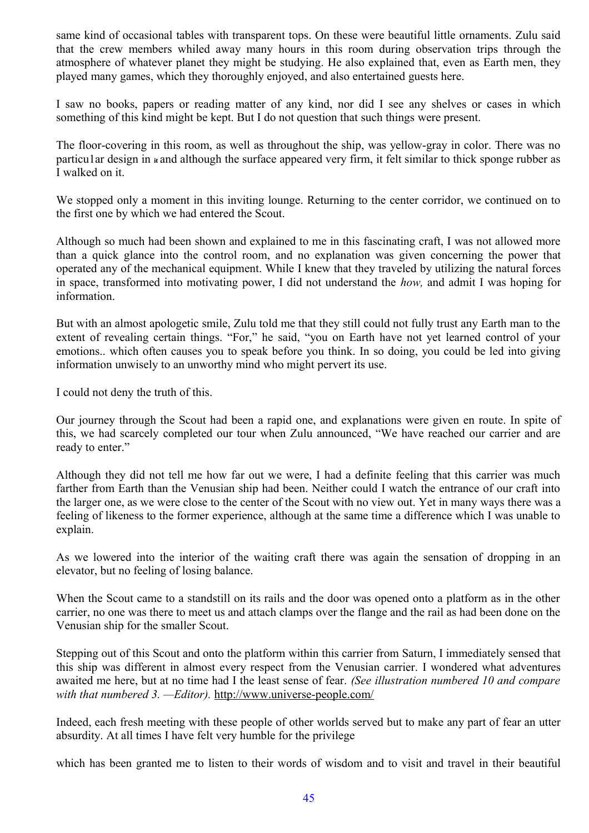same kind of occasional tables with transparent tops. On these were beautiful little ornaments. Zulu said that the crew members whiled away many hours in this room during observation trips through the atmosphere of whatever planet they might be studying. He also explained that, even as Earth men, they played many games, which they thoroughly enjoyed, and also entertained guests here.

I saw no books, papers or reading matter of any kind, nor did I see any shelves or cases in which something of this kind might be kept. But I do not question that such things were present.

The floor-covering in this room, as well as throughout the ship, was yellow-gray in color. There was no particu1ar design in **it** and although the surface appeared very firm, it felt similar to thick sponge rubber as I walked on it.

We stopped only a moment in this inviting lounge. Returning to the center corridor, we continued on to the first one by which we had entered the Scout.

Although so much had been shown and explained to me in this fascinating craft, I was not allowed more than a quick glance into the control room, and no explanation was given concerning the power that operated any of the mechanical equipment. While I knew that they traveled by utilizing the natural forces in space, transformed into motivating power, I did not understand the *how,* and admit I was hoping for information.

But with an almost apologetic smile, Zulu told me that they still could not fully trust any Earth man to the extent of revealing certain things. "For," he said, "you on Earth have not yet learned control of your emotions.. which often causes you to speak before you think. In so doing, you could be led into giving information unwisely to an unworthy mind who might pervert its use.

I could not deny the truth of this.

Our journey through the Scout had been a rapid one, and explanations were given en route. In spite of this, we had scarcely completed our tour when Zulu announced, "We have reached our carrier and are ready to enter."

Although they did not tell me how far out we were, I had a definite feeling that this carrier was much farther from Earth than the Venusian ship had been. Neither could I watch the entrance of our craft into the larger one, as we were close to the center of the Scout with no view out. Yet in many ways there was a feeling of likeness to the former experience, although at the same time a difference which I was unable to explain.

As we lowered into the interior of the waiting craft there was again the sensation of dropping in an elevator, but no feeling of losing balance.

When the Scout came to a standstill on its rails and the door was opened onto a platform as in the other carrier, no one was there to meet us and attach clamps over the flange and the rail as had been done on the Venusian ship for the smaller Scout.

Stepping out of this Scout and onto the platform within this carrier from Saturn, I immediately sensed that this ship was different in almost every respect from the Venusian carrier. I wondered what adventures awaited me here, but at no time had I the least sense of fear. *(See illustration numbered 10 and compare with that numbered 3. —Editor).* <http://www.universe-people.com/>

Indeed, each fresh meeting with these people of other worlds served but to make any part of fear an utter absurdity. At all times I have felt very humble for the privilege

which has been granted me to listen to their words of wisdom and to visit and travel in their beautiful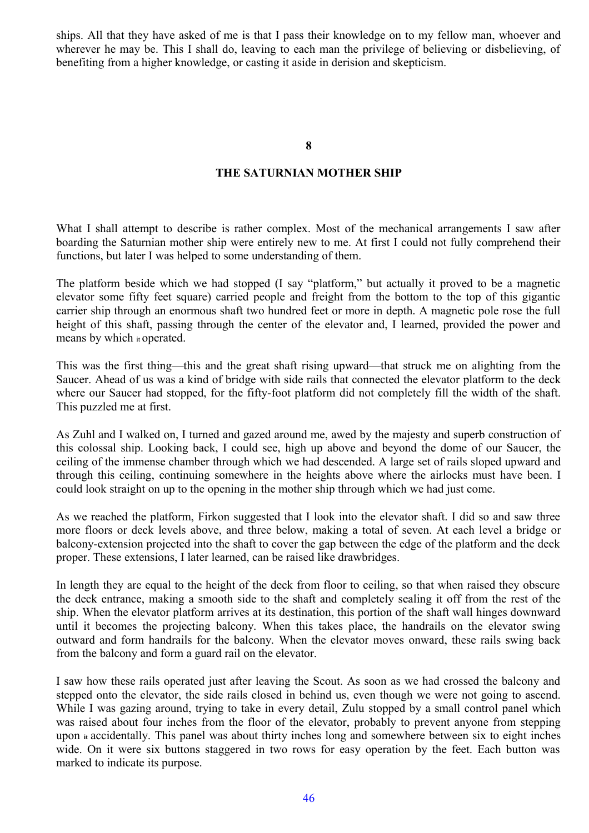ships. All that they have asked of me is that I pass their knowledge on to my fellow man, whoever and wherever he may be. This I shall do, leaving to each man the privilege of believing or disbelieving, of benefiting from a higher knowledge, or casting it aside in derision and skepticism.

**8**

### **THE SATURNIAN MOTHER SHIP**

What I shall attempt to describe is rather complex. Most of the mechanical arrangements I saw after boarding the Saturnian mother ship were entirely new to me. At first I could not fully comprehend their functions, but later I was helped to some understanding of them.

The platform beside which we had stopped (I say "platform," but actually it proved to be a magnetic elevator some fifty feet square) carried people and freight from the bottom to the top of this gigantic carrier ship through an enormous shaft two hundred feet or more in depth. A magnetic pole rose the full height of this shaft, passing through the center of the elevator and, I learned, provided the power and means by which it operated.

This was the first thing—this and the great shaft rising upward—that struck me on alighting from the Saucer. Ahead of us was a kind of bridge with side rails that connected the elevator platform to the deck where our Saucer had stopped, for the fifty-foot platform did not completely fill the width of the shaft. This puzzled me at first.

As Zuhl and I walked on, I turned and gazed around me, awed by the majesty and superb construction of this colossal ship. Looking back, I could see, high up above and beyond the dome of our Saucer, the ceiling of the immense chamber through which we had descended. A large set of rails sloped upward and through this ceiling, continuing somewhere in the heights above where the airlocks must have been. I could look straight on up to the opening in the mother ship through which we had just come.

As we reached the platform, Firkon suggested that I look into the elevator shaft. I did so and saw three more floors or deck levels above, and three below, making a total of seven. At each level a bridge or balcony-extension projected into the shaft to cover the gap between the edge of the platform and the deck proper. These extensions, I later learned, can be raised like drawbridges.

In length they are equal to the height of the deck from floor to ceiling, so that when raised they obscure the deck entrance, making a smooth side to the shaft and completely sealing it off from the rest of the ship. When the elevator platform arrives at its destination, this portion of the shaft wall hinges downward until it becomes the projecting balcony. When this takes place, the handrails on the elevator swing outward and form handrails for the balcony. When the elevator moves onward, these rails swing back from the balcony and form a guard rail on the elevator.

I saw how these rails operated just after leaving the Scout. As soon as we had crossed the balcony and stepped onto the elevator, the side rails closed in behind us, even though we were not going to ascend. While I was gazing around, trying to take in every detail, Zulu stopped by a small control panel which was raised about four inches from the floor of the elevator, probably to prevent anyone from stepping upon **it** accidentally. This panel was about thirty inches long and somewhere between six to eight inches wide. On it were six buttons staggered in two rows for easy operation by the feet. Each button was marked to indicate its purpose.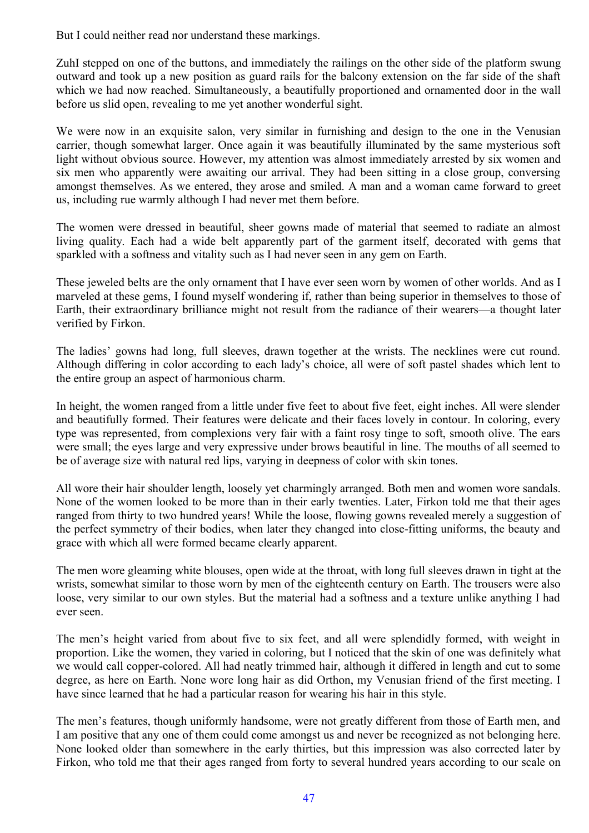But I could neither read nor understand these markings.

ZuhI stepped on one of the buttons, and immediately the railings on the other side of the platform swung outward and took up a new position as guard rails for the balcony extension on the far side of the shaft which we had now reached. Simultaneously, a beautifully proportioned and ornamented door in the wall before us slid open, revealing to me yet another wonderful sight.

We were now in an exquisite salon, very similar in furnishing and design to the one in the Venusian carrier, though somewhat larger. Once again it was beautifully illuminated by the same mysterious soft light without obvious source. However, my attention was almost immediately arrested by six women and six men who apparently were awaiting our arrival. They had been sitting in a close group, conversing amongst themselves. As we entered, they arose and smiled. A man and a woman came forward to greet us, including rue warmly although I had never met them before.

The women were dressed in beautiful, sheer gowns made of material that seemed to radiate an almost living quality. Each had a wide belt apparently part of the garment itself, decorated with gems that sparkled with a softness and vitality such as I had never seen in any gem on Earth.

These jeweled belts are the only ornament that I have ever seen worn by women of other worlds. And as I marveled at these gems, I found myself wondering if, rather than being superior in themselves to those of Earth, their extraordinary brilliance might not result from the radiance of their wearers—a thought later verified by Firkon.

The ladies' gowns had long, full sleeves, drawn together at the wrists. The necklines were cut round. Although differing in color according to each lady's choice, all were of soft pastel shades which lent to the entire group an aspect of harmonious charm.

In height, the women ranged from a little under five feet to about five feet, eight inches. All were slender and beautifully formed. Their features were delicate and their faces lovely in contour. In coloring, every type was represented, from complexions very fair with a faint rosy tinge to soft, smooth olive. The ears were small; the eyes large and very expressive under brows beautiful in line. The mouths of all seemed to be of average size with natural red lips, varying in deepness of color with skin tones.

All wore their hair shoulder length, loosely yet charmingly arranged. Both men and women wore sandals. None of the women looked to be more than in their early twenties. Later, Firkon told me that their ages ranged from thirty to two hundred years! While the loose, flowing gowns revealed merely a suggestion of the perfect symmetry of their bodies, when later they changed into close-fitting uniforms, the beauty and grace with which all were formed became clearly apparent.

The men wore gleaming white blouses, open wide at the throat, with long full sleeves drawn in tight at the wrists, somewhat similar to those worn by men of the eighteenth century on Earth. The trousers were also loose, very similar to our own styles. But the material had a softness and a texture unlike anything I had ever seen.

The men's height varied from about five to six feet, and all were splendidly formed, with weight in proportion. Like the women, they varied in coloring, but I noticed that the skin of one was definitely what we would call copper-colored. All had neatly trimmed hair, although it differed in length and cut to some degree, as here on Earth. None wore long hair as did Orthon, my Venusian friend of the first meeting. I have since learned that he had a particular reason for wearing his hair in this style.

The men's features, though uniformly handsome, were not greatly different from those of Earth men, and I am positive that any one of them could come amongst us and never be recognized as not belonging here. None looked older than somewhere in the early thirties, but this impression was also corrected later by Firkon, who told me that their ages ranged from forty to several hundred years according to our scale on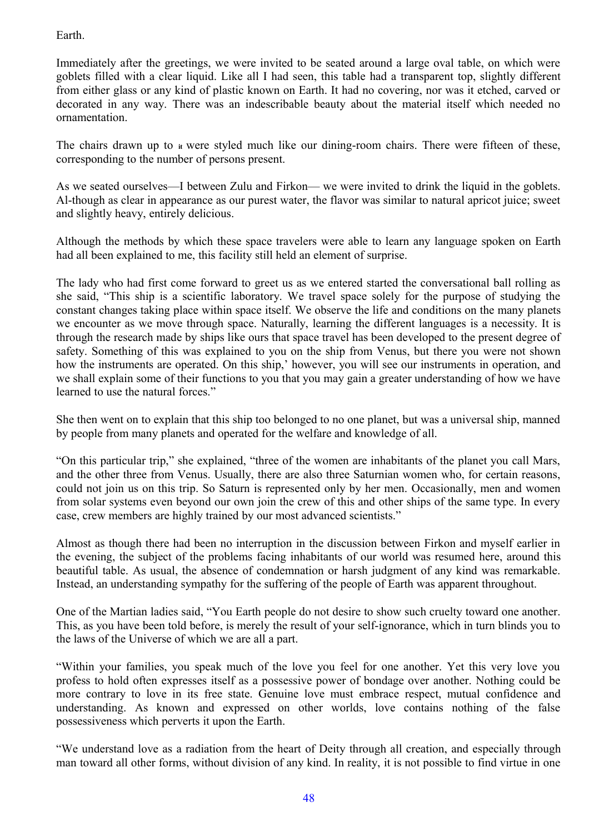Earth.

Immediately after the greetings, we were invited to be seated around a large oval table, on which were goblets filled with a clear liquid. Like all I had seen, this table had a transparent top, slightly different from either glass or any kind of plastic known on Earth. It had no covering, nor was it etched, carved or decorated in any way. There was an indescribable beauty about the material itself which needed no ornamentation.

The chairs drawn up to *it* were styled much like our dining-room chairs. There were fifteen of these, corresponding to the number of persons present.

As we seated ourselves—I between Zulu and Firkon— we were invited to drink the liquid in the goblets. Al-though as clear in appearance as our purest water, the flavor was similar to natural apricot juice; sweet and slightly heavy, entirely delicious.

Although the methods by which these space travelers were able to learn any language spoken on Earth had all been explained to me, this facility still held an element of surprise.

The lady who had first come forward to greet us as we entered started the conversational ball rolling as she said, "This ship is a scientific laboratory. We travel space solely for the purpose of studying the constant changes taking place within space itself. We observe the life and conditions on the many planets we encounter as we move through space. Naturally, learning the different languages is a necessity. It is through the research made by ships like ours that space travel has been developed to the present degree of safety. Something of this was explained to you on the ship from Venus, but there you were not shown how the instruments are operated. On this ship,' however, you will see our instruments in operation, and we shall explain some of their functions to you that you may gain a greater understanding of how we have learned to use the natural forces."

She then went on to explain that this ship too belonged to no one planet, but was a universal ship, manned by people from many planets and operated for the welfare and knowledge of all.

"On this particular trip," she explained, "three of the women are inhabitants of the planet you call Mars, and the other three from Venus. Usually, there are also three Saturnian women who, for certain reasons, could not join us on this trip. So Saturn is represented only by her men. Occasionally, men and women from solar systems even beyond our own join the crew of this and other ships of the same type. In every case, crew members are highly trained by our most advanced scientists."

Almost as though there had been no interruption in the discussion between Firkon and myself earlier in the evening, the subject of the problems facing inhabitants of our world was resumed here, around this beautiful table. As usual, the absence of condemnation or harsh judgment of any kind was remarkable. Instead, an understanding sympathy for the suffering of the people of Earth was apparent throughout.

One of the Martian ladies said, "You Earth people do not desire to show such cruelty toward one another. This, as you have been told before, is merely the result of your self-ignorance, which in turn blinds you to the laws of the Universe of which we are all a part.

"Within your families, you speak much of the love you feel for one another. Yet this very love you profess to hold often expresses itself as a possessive power of bondage over another. Nothing could be more contrary to love in its free state. Genuine love must embrace respect, mutual confidence and understanding. As known and expressed on other worlds, love contains nothing of the false possessiveness which perverts it upon the Earth.

"We understand love as a radiation from the heart of Deity through all creation, and especially through man toward all other forms, without division of any kind. In reality, it is not possible to find virtue in one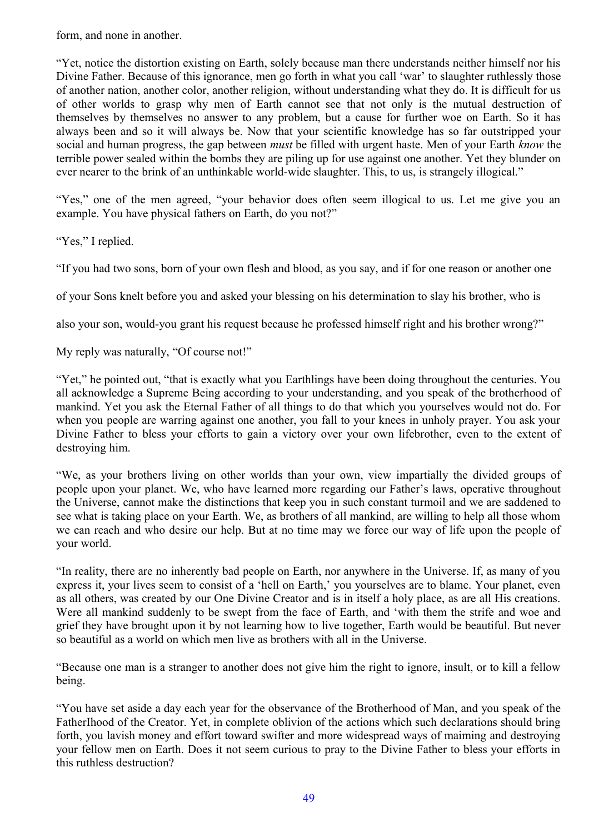form, and none in another.

"Yet, notice the distortion existing on Earth, solely because man there understands neither himself nor his Divine Father. Because of this ignorance, men go forth in what you call 'war' to slaughter ruthlessly those of another nation, another color, another religion, without understanding what they do. It is difficult for us of other worlds to grasp why men of Earth cannot see that not only is the mutual destruction of themselves by themselves no answer to any problem, but a cause for further woe on Earth. So it has always been and so it will always be. Now that your scientific knowledge has so far outstripped your social and human progress, the gap between *must* be filled with urgent haste. Men of your Earth *know* the terrible power sealed within the bombs they are piling up for use against one another. Yet they blunder on ever nearer to the brink of an unthinkable world-wide slaughter. This, to us, is strangely illogical."

"Yes," one of the men agreed, "your behavior does often seem illogical to us. Let me give you an example. You have physical fathers on Earth, do you not?"

# "Yes," I replied.

"If you had two sons, born of your own flesh and blood, as you say, and if for one reason or another one

of your Sons knelt before you and asked your blessing on his determination to slay his brother, who is

also your son, would-you grant his request because he professed himself right and his brother wrong?"

My reply was naturally, "Of course not!"

"Yet," he pointed out, "that is exactly what you Earthlings have been doing throughout the centuries. You all acknowledge a Supreme Being according to your understanding, and you speak of the brotherhood of mankind. Yet you ask the Eternal Father of all things to do that which you yourselves would not do. For when you people are warring against one another, you fall to your knees in unholy prayer. You ask your Divine Father to bless your efforts to gain a victory over your own lifebrother, even to the extent of destroying him.

"We, as your brothers living on other worlds than your own, view impartially the divided groups of people upon your planet. We, who have learned more regarding our Father's laws, operative throughout the Universe, cannot make the distinctions that keep you in such constant turmoil and we are saddened to see what is taking place on your Earth. We, as brothers of all mankind, are willing to help all those whom we can reach and who desire our help. But at no time may we force our way of life upon the people of your world.

"In reality, there are no inherently bad people on Earth, nor anywhere in the Universe. If, as many of you express it, your lives seem to consist of a 'hell on Earth,' you yourselves are to blame. Your planet, even as all others, was created by our One Divine Creator and is in itself a holy place, as are all His creations. Were all mankind suddenly to be swept from the face of Earth, and 'with them the strife and woe and grief they have brought upon it by not learning how to live together, Earth would be beautiful. But never so beautiful as a world on which men live as brothers with all in the Universe.

"Because one man is a stranger to another does not give him the right to ignore, insult, or to kill a fellow being.

"You have set aside a day each year for the observance of the Brotherhood of Man, and you speak of the FatherIhood of the Creator. Yet, in complete oblivion of the actions which such declarations should bring forth, you lavish money and effort toward swifter and more widespread ways of maiming and destroying your fellow men on Earth. Does it not seem curious to pray to the Divine Father to bless your efforts in this ruthless destruction?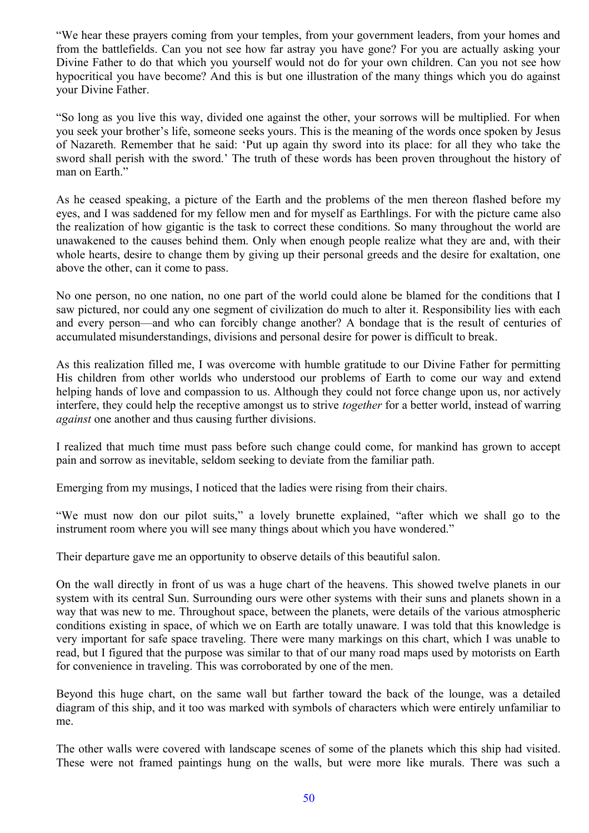"We hear these prayers coming from your temples, from your government leaders, from your homes and from the battlefields. Can you not see how far astray you have gone? For you are actually asking your Divine Father to do that which you yourself would not do for your own children. Can you not see how hypocritical you have become? And this is but one illustration of the many things which you do against your Divine Father.

"So long as you live this way, divided one against the other, your sorrows will be multiplied. For when you seek your brother's life, someone seeks yours. This is the meaning of the words once spoken by Jesus of Nazareth. Remember that he said: 'Put up again thy sword into its place: for all they who take the sword shall perish with the sword.' The truth of these words has been proven throughout the history of man on Earth"

As he ceased speaking, a picture of the Earth and the problems of the men thereon flashed before my eyes, and I was saddened for my fellow men and for myself as Earthlings. For with the picture came also the realization of how gigantic is the task to correct these conditions. So many throughout the world are unawakened to the causes behind them. Only when enough people realize what they are and, with their whole hearts, desire to change them by giving up their personal greeds and the desire for exaltation, one above the other, can it come to pass.

No one person, no one nation, no one part of the world could alone be blamed for the conditions that I saw pictured, nor could any one segment of civilization do much to alter it. Responsibility lies with each and every person—and who can forcibly change another? A bondage that is the result of centuries of accumulated misunderstandings, divisions and personal desire for power is difficult to break.

As this realization filled me, I was overcome with humble gratitude to our Divine Father for permitting His children from other worlds who understood our problems of Earth to come our way and extend helping hands of love and compassion to us. Although they could not force change upon us, nor actively interfere, they could help the receptive amongst us to strive *together* for a better world, instead of warring *against* one another and thus causing further divisions.

I realized that much time must pass before such change could come, for mankind has grown to accept pain and sorrow as inevitable, seldom seeking to deviate from the familiar path.

Emerging from my musings, I noticed that the ladies were rising from their chairs.

"We must now don our pilot suits," a lovely brunette explained, "after which we shall go to the instrument room where you will see many things about which you have wondered."

Their departure gave me an opportunity to observe details of this beautiful salon.

On the wall directly in front of us was a huge chart of the heavens. This showed twelve planets in our system with its central Sun. Surrounding ours were other systems with their suns and planets shown in a way that was new to me. Throughout space, between the planets, were details of the various atmospheric conditions existing in space, of which we on Earth are totally unaware. I was told that this knowledge is very important for safe space traveling. There were many markings on this chart, which I was unable to read, but I figured that the purpose was similar to that of our many road maps used by motorists on Earth for convenience in traveling. This was corroborated by one of the men.

Beyond this huge chart, on the same wall but farther toward the back of the lounge, was a detailed diagram of this ship, and it too was marked with symbols of characters which were entirely unfamiliar to me.

The other walls were covered with landscape scenes of some of the planets which this ship had visited. These were not framed paintings hung on the walls, but were more like murals. There was such a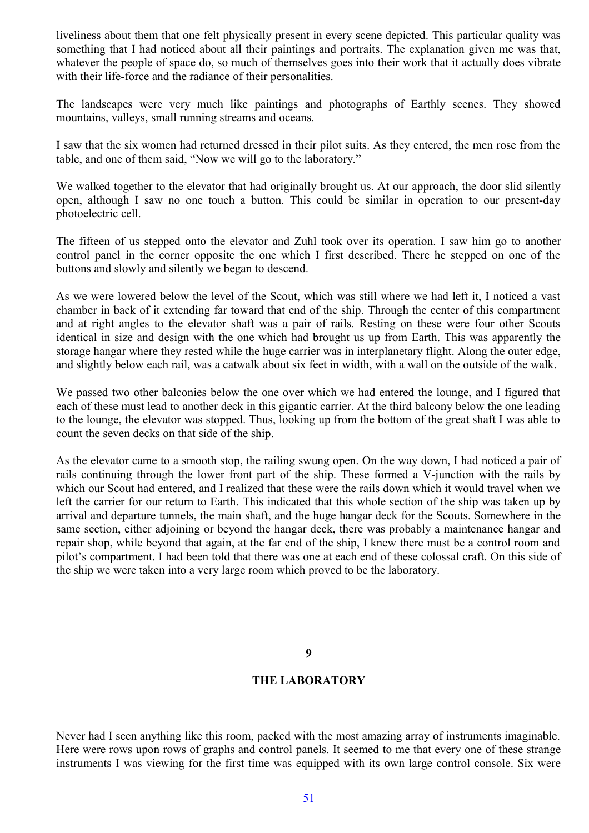liveliness about them that one felt physically present in every scene depicted. This particular quality was something that I had noticed about all their paintings and portraits. The explanation given me was that, whatever the people of space do, so much of themselves goes into their work that it actually does vibrate with their life-force and the radiance of their personalities.

The landscapes were very much like paintings and photographs of Earthly scenes. They showed mountains, valleys, small running streams and oceans.

I saw that the six women had returned dressed in their pilot suits. As they entered, the men rose from the table, and one of them said, "Now we will go to the laboratory."

We walked together to the elevator that had originally brought us. At our approach, the door slid silently open, although I saw no one touch a button. This could be similar in operation to our present-day photoelectric cell.

The fifteen of us stepped onto the elevator and Zuhl took over its operation. I saw him go to another control panel in the corner opposite the one which I first described. There he stepped on one of the buttons and slowly and silently we began to descend.

As we were lowered below the level of the Scout, which was still where we had left it, I noticed a vast chamber in back of it extending far toward that end of the ship. Through the center of this compartment and at right angles to the elevator shaft was a pair of rails. Resting on these were four other Scouts identical in size and design with the one which had brought us up from Earth. This was apparently the storage hangar where they rested while the huge carrier was in interplanetary flight. Along the outer edge, and slightly below each rail, was a catwalk about six feet in width, with a wall on the outside of the walk.

We passed two other balconies below the one over which we had entered the lounge, and I figured that each of these must lead to another deck in this gigantic carrier. At the third balcony below the one leading to the lounge, the elevator was stopped. Thus, looking up from the bottom of the great shaft I was able to count the seven decks on that side of the ship.

As the elevator came to a smooth stop, the railing swung open. On the way down, I had noticed a pair of rails continuing through the lower front part of the ship. These formed a V-junction with the rails by which our Scout had entered, and I realized that these were the rails down which it would travel when we left the carrier for our return to Earth. This indicated that this whole section of the ship was taken up by arrival and departure tunnels, the main shaft, and the huge hangar deck for the Scouts. Somewhere in the same section, either adjoining or beyond the hangar deck, there was probably a maintenance hangar and repair shop, while beyond that again, at the far end of the ship, I knew there must be a control room and pilot's compartment. I had been told that there was one at each end of these colossal craft. On this side of the ship we were taken into a very large room which proved to be the laboratory.

#### **9**

### **THE LABORATORY**

Never had I seen anything like this room, packed with the most amazing array of instruments imaginable. Here were rows upon rows of graphs and control panels. It seemed to me that every one of these strange instruments I was viewing for the first time was equipped with its own large control console. Six were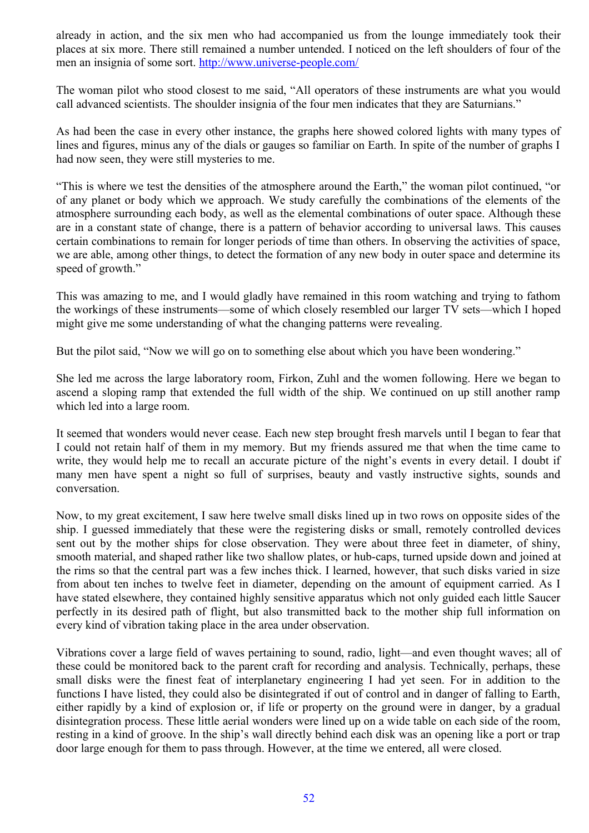already in action, and the six men who had accompanied us from the lounge immediately took their places at six more. There still remained a number untended. I noticed on the left shoulders of four of the men an insignia of some sort.<http://www.universe-people.com/>

The woman pilot who stood closest to me said, "All operators of these instruments are what you would call advanced scientists. The shoulder insignia of the four men indicates that they are Saturnians."

As had been the case in every other instance, the graphs here showed colored lights with many types of lines and figures, minus any of the dials or gauges so familiar on Earth. In spite of the number of graphs I had now seen, they were still mysteries to me.

"This is where we test the densities of the atmosphere around the Earth," the woman pilot continued, "or of any planet or body which we approach. We study carefully the combinations of the elements of the atmosphere surrounding each body, as well as the elemental combinations of outer space. Although these are in a constant state of change, there is a pattern of behavior according to universal laws. This causes certain combinations to remain for longer periods of time than others. In observing the activities of space, we are able, among other things, to detect the formation of any new body in outer space and determine its speed of growth."

This was amazing to me, and I would gladly have remained in this room watching and trying to fathom the workings of these instruments—some of which closely resembled our larger TV sets—which I hoped might give me some understanding of what the changing patterns were revealing.

But the pilot said, "Now we will go on to something else about which you have been wondering."

She led me across the large laboratory room, Firkon, Zuhl and the women following. Here we began to ascend a sloping ramp that extended the full width of the ship. We continued on up still another ramp which led into a large room.

It seemed that wonders would never cease. Each new step brought fresh marvels until I began to fear that I could not retain half of them in my memory. But my friends assured me that when the time came to write, they would help me to recall an accurate picture of the night's events in every detail. I doubt if many men have spent a night so full of surprises, beauty and vastly instructive sights, sounds and conversation.

Now, to my great excitement, I saw here twelve small disks lined up in two rows on opposite sides of the ship. I guessed immediately that these were the registering disks or small, remotely controlled devices sent out by the mother ships for close observation. They were about three feet in diameter, of shiny, smooth material, and shaped rather like two shallow plates, or hub-caps, turned upside down and joined at the rims so that the central part was a few inches thick. I learned, however, that such disks varied in size from about ten inches to twelve feet in diameter, depending on the amount of equipment carried. As I have stated elsewhere, they contained highly sensitive apparatus which not only guided each little Saucer perfectly in its desired path of flight, but also transmitted back to the mother ship full information on every kind of vibration taking place in the area under observation.

Vibrations cover a large field of waves pertaining to sound, radio, light—and even thought waves; all of these could be monitored back to the parent craft for recording and analysis. Technically, perhaps, these small disks were the finest feat of interplanetary engineering I had yet seen. For in addition to the functions I have listed, they could also be disintegrated if out of control and in danger of falling to Earth, either rapidly by a kind of explosion or, if life or property on the ground were in danger, by a gradual disintegration process. These little aerial wonders were lined up on a wide table on each side of the room, resting in a kind of groove. In the ship's wall directly behind each disk was an opening like a port or trap door large enough for them to pass through. However, at the time we entered, all were closed.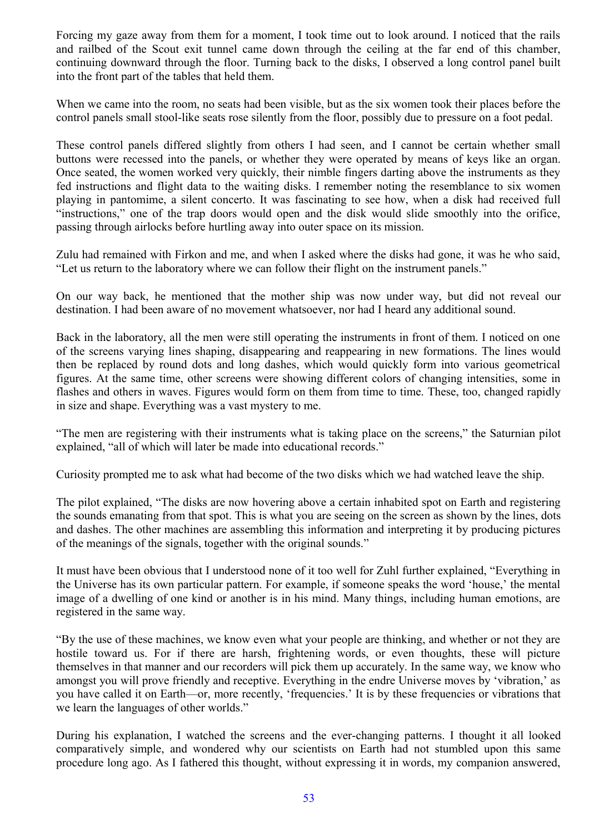Forcing my gaze away from them for a moment, I took time out to look around. I noticed that the rails and railbed of the Scout exit tunnel came down through the ceiling at the far end of this chamber, continuing downward through the floor. Turning back to the disks, I observed a long control panel built into the front part of the tables that held them.

When we came into the room, no seats had been visible, but as the six women took their places before the control panels small stool-like seats rose silently from the floor, possibly due to pressure on a foot pedal.

These control panels differed slightly from others I had seen, and I cannot be certain whether small buttons were recessed into the panels, or whether they were operated by means of keys like an organ. Once seated, the women worked very quickly, their nimble fingers darting above the instruments as they fed instructions and flight data to the waiting disks. I remember noting the resemblance to six women playing in pantomime, a silent concerto. It was fascinating to see how, when a disk had received full "instructions," one of the trap doors would open and the disk would slide smoothly into the orifice, passing through airlocks before hurtling away into outer space on its mission.

Zulu had remained with Firkon and me, and when I asked where the disks had gone, it was he who said, "Let us return to the laboratory where we can follow their flight on the instrument panels."

On our way back, he mentioned that the mother ship was now under way, but did not reveal our destination. I had been aware of no movement whatsoever, nor had I heard any additional sound.

Back in the laboratory, all the men were still operating the instruments in front of them. I noticed on one of the screens varying lines shaping, disappearing and reappearing in new formations. The lines would then be replaced by round dots and long dashes, which would quickly form into various geometrical figures. At the same time, other screens were showing different colors of changing intensities, some in flashes and others in waves. Figures would form on them from time to time. These, too, changed rapidly in size and shape. Everything was a vast mystery to me.

"The men are registering with their instruments what is taking place on the screens," the Saturnian pilot explained, "all of which will later be made into educational records."

Curiosity prompted me to ask what had become of the two disks which we had watched leave the ship.

The pilot explained, "The disks are now hovering above a certain inhabited spot on Earth and registering the sounds emanating from that spot. This is what you are seeing on the screen as shown by the lines, dots and dashes. The other machines are assembling this information and interpreting it by producing pictures of the meanings of the signals, together with the original sounds."

It must have been obvious that I understood none of it too well for Zuhl further explained, "Everything in the Universe has its own particular pattern. For example, if someone speaks the word 'house,' the mental image of a dwelling of one kind or another is in his mind. Many things, including human emotions, are registered in the same way.

"By the use of these machines, we know even what your people are thinking, and whether or not they are hostile toward us. For if there are harsh, frightening words, or even thoughts, these will picture themselves in that manner and our recorders will pick them up accurately. In the same way, we know who amongst you will prove friendly and receptive. Everything in the endre Universe moves by 'vibration,' as you have called it on Earth—or, more recently, 'frequencies.' It is by these frequencies or vibrations that we learn the languages of other worlds."

During his explanation, I watched the screens and the ever-changing patterns. I thought it all looked comparatively simple, and wondered why our scientists on Earth had not stumbled upon this same procedure long ago. As I fathered this thought, without expressing it in words, my companion answered,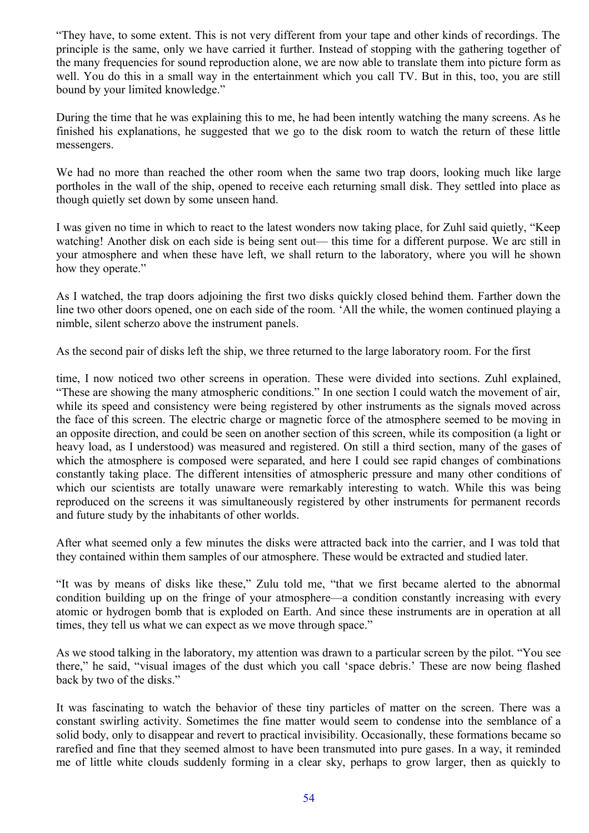"They have, to some extent. This is not very different from your tape and other kinds of recordings. The principle is the same, only we have carried it further. Instead of stopping with the gathering together of the many frequencies for sound reproduction alone, we are now able to translate them into picture form as well. You do this in a small way in the entertainment which you call TV. But in this, too, you are still bound by your limited knowledge."

During the time that he was explaining this to me, he had been intently watching the many screens. As he finished his explanations, he suggested that we go to the disk room to watch the return of these little messengers.

We had no more than reached the other room when the same two trap doors, looking much like large portholes in the wall of the ship, opened to receive each returning small disk. They settled into place as though quietly set down by some unseen hand.

I was given no time in which to react to the latest wonders now taking place, for Zuhl said quietly, "Keep watching! Another disk on each side is being sent out— this time for a different purpose. We arc still in your atmosphere and when these have left, we shall return to the laboratory, where you will he shown how they operate."

As I watched, the trap doors adjoining the first two disks quickly closed behind them. Farther down the line two other doors opened, one on each side of the room. 'All the while, the women continued playing a nimble, silent scherzo above the instrument panels.

As the second pair of disks left the ship, we three returned to the large laboratory room. For the first

time, I now noticed two other screens in operation. These were divided into sections. Zuhl explained, "These are showing the many atmospheric conditions." In one section I could watch the movement of air, while its speed and consistency were being registered by other instruments as the signals moved across the face of this screen. The electric charge or magnetic force of the atmosphere seemed to be moving in an opposite direction, and could be seen on another section of this screen, while its composition (a light or heavy load, as I understood) was measured and registered. On still a third section, many of the gases of which the atmosphere is composed were separated, and here I could see rapid changes of combinations constantly taking place. The different intensities of atmospheric pressure and many other conditions of which our scientists are totally unaware were remarkably interesting to watch. While this was being reproduced on the screens it was simultaneously registered by other instruments for permanent records and future study by the inhabitants of other worlds.

After what seemed only a few minutes the disks were attracted back into the carrier, and I was told that they contained within them samples of our atmosphere. These would be extracted and studied later.

"It was by means of disks like these," Zulu told me, "that we first became alerted to the abnormal condition building up on the fringe of your atmosphere—a condition constantly increasing with every atomic or hydrogen bomb that is exploded on Earth. And since these instruments are in operation at all times, they tell us what we can expect as we move through space."

As we stood talking in the laboratory, my attention was drawn to a particular screen by the pilot. "You see there," he said, "visual images of the dust which you call 'space debris.' These are now being flashed back by two of the disks."

It was fascinating to watch the behavior of these tiny particles of matter on the screen. There was a constant swirling activity. Sometimes the fine matter would seem to condense into the semblance of a solid body, only to disappear and revert to practical invisibility. Occasionally, these formations became so rarefied and fine that they seemed almost to have been transmuted into pure gases. In a way, it reminded me of little white clouds suddenly forming in a clear sky, perhaps to grow larger, then as quickly to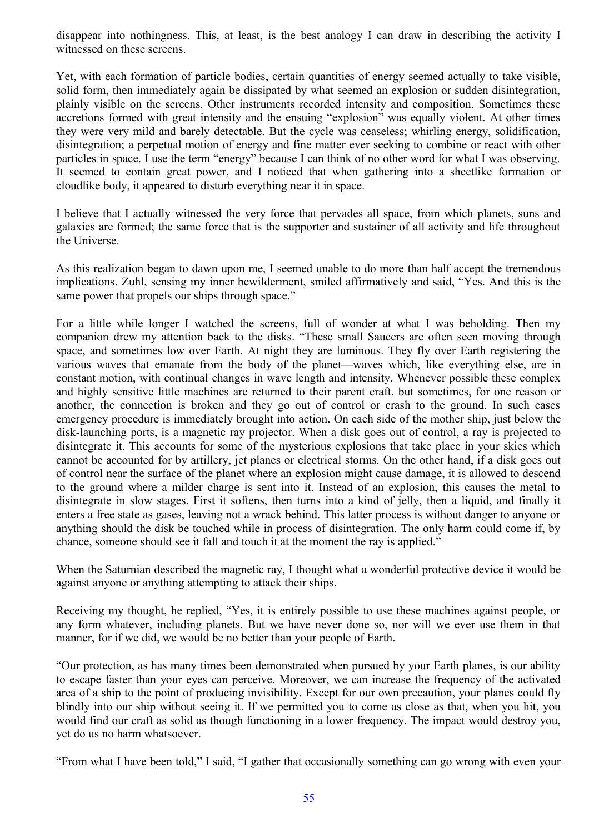disappear into nothingness. This, at least, is the best analogy I can draw in describing the activity I witnessed on these screens.

Yet, with each formation of particle bodies, certain quantities of energy seemed actually to take visible, solid form, then immediately again be dissipated by what seemed an explosion or sudden disintegration, plainly visible on the screens. Other instruments recorded intensity and composition. Sometimes these accretions formed with great intensity and the ensuing "explosion" was equally violent. At other times they were very mild and barely detectable. But the cycle was ceaseless; whirling energy, solidification, disintegration; a perpetual motion of energy and fine matter ever seeking to combine or react with other particles in space. I use the term "energy" because I can think of no other word for what I was observing. It seemed to contain great power, and I noticed that when gathering into a sheetlike formation or cloudlike body, it appeared to disturb everything near it in space.

I believe that I actually witnessed the very force that pervades all space, from which planets, suns and galaxies are formed; the same force that is the supporter and sustainer of all activity and life throughout the Universe.

As this realization began to dawn upon me, I seemed unable to do more than half accept the tremendous implications. Zuhl, sensing my inner bewilderment, smiled affirmatively and said, "Yes. And this is the same power that propels our ships through space."

For a little while longer I watched the screens, full of wonder at what I was beholding. Then my companion drew my attention back to the disks. "These small Saucers are often seen moving through space, and sometimes low over Earth. At night they are luminous. They fly over Earth registering the various waves that emanate from the body of the planet—waves which, like everything else, are in constant motion, with continual changes in wave length and intensity. Whenever possible these complex and highly sensitive little machines are returned to their parent craft, but sometimes, for one reason or another, the connection is broken and they go out of control or crash to the ground. In such cases emergency procedure is immediately brought into action. On each side of the mother ship, just below the disk-launching ports, is a magnetic ray projector. When a disk goes out of control, a ray is projected to disintegrate it. This accounts for some of the mysterious explosions that take place in your skies which cannot be accounted for by artillery, jet planes or electrical storms. On the other hand, if a disk goes out of control near the surface of the planet where an explosion might cause damage, it is allowed to descend to the ground where a milder charge is sent into it. Instead of an explosion, this causes the metal to disintegrate in slow stages. First it softens, then turns into a kind of jelly, then a liquid, and finally it enters a free state as gases, leaving not a wrack behind. This latter process is without danger to anyone or anything should the disk be touched while in process of disintegration. The only harm could come if, by chance, someone should see it fall and touch it at the moment the ray is applied."

When the Saturnian described the magnetic ray, I thought what a wonderful protective device it would be against anyone or anything attempting to attack their ships.

Receiving my thought, he replied, "Yes, it is entirely possible to use these machines against people, or any form whatever, including planets. But we have never done so, nor will we ever use them in that manner, for if we did, we would be no better than your people of Earth.

"Our protection, as has many times been demonstrated when pursued by your Earth planes, is our ability to escape faster than your eyes can perceive. Moreover, we can increase the frequency of the activated area of a ship to the point of producing invisibility. Except for our own precaution, your planes could fly blindly into our ship without seeing it. If we permitted you to come as close as that, when you hit, you would find our craft as solid as though functioning in a lower frequency. The impact would destroy you, yet do us no harm whatsoever.

"From what I have been told," I said, "I gather that occasionally something can go wrong with even your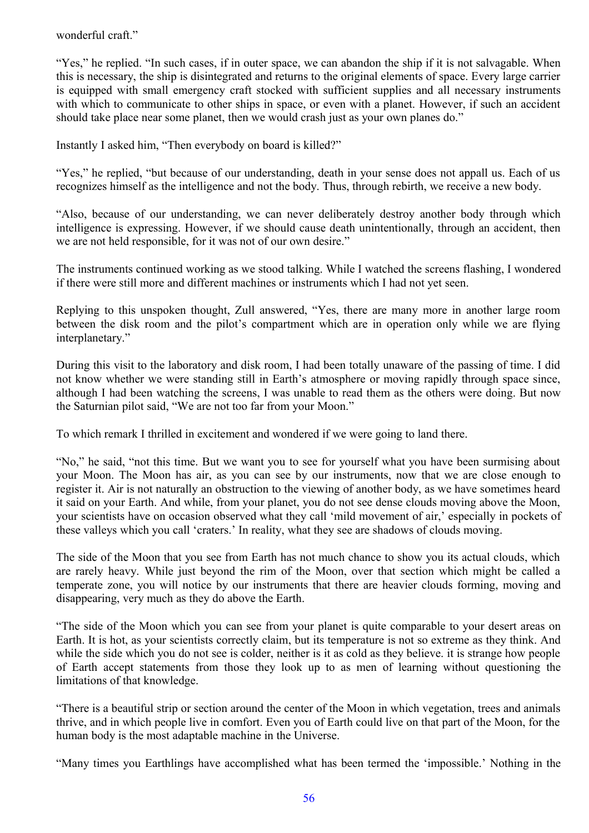wonderful craft."

"Yes," he replied. "In such cases, if in outer space, we can abandon the ship if it is not salvagable. When this is necessary, the ship is disintegrated and returns to the original elements of space. Every large carrier is equipped with small emergency craft stocked with sufficient supplies and all necessary instruments with which to communicate to other ships in space, or even with a planet. However, if such an accident should take place near some planet, then we would crash just as your own planes do."

Instantly I asked him, "Then everybody on board is killed?"

"Yes," he replied, "but because of our understanding, death in your sense does not appall us. Each of us recognizes himself as the intelligence and not the body. Thus, through rebirth, we receive a new body.

"Also, because of our understanding, we can never deliberately destroy another body through which intelligence is expressing. However, if we should cause death unintentionally, through an accident, then we are not held responsible, for it was not of our own desire."

The instruments continued working as we stood talking. While I watched the screens flashing, I wondered if there were still more and different machines or instruments which I had not yet seen.

Replying to this unspoken thought, Zull answered, "Yes, there are many more in another large room between the disk room and the pilot's compartment which are in operation only while we are flying interplanetary."

During this visit to the laboratory and disk room, I had been totally unaware of the passing of time. I did not know whether we were standing still in Earth's atmosphere or moving rapidly through space since, although I had been watching the screens, I was unable to read them as the others were doing. But now the Saturnian pilot said, "We are not too far from your Moon."

To which remark I thrilled in excitement and wondered if we were going to land there.

"No," he said, "not this time. But we want you to see for yourself what you have been surmising about your Moon. The Moon has air, as you can see by our instruments, now that we are close enough to register it. Air is not naturally an obstruction to the viewing of another body, as we have sometimes heard it said on your Earth. And while, from your planet, you do not see dense clouds moving above the Moon, your scientists have on occasion observed what they call 'mild movement of air,' especially in pockets of these valleys which you call 'craters.' In reality, what they see are shadows of clouds moving.

The side of the Moon that you see from Earth has not much chance to show you its actual clouds, which are rarely heavy. While just beyond the rim of the Moon, over that section which might be called a temperate zone, you will notice by our instruments that there are heavier clouds forming, moving and disappearing, very much as they do above the Earth.

"The side of the Moon which you can see from your planet is quite comparable to your desert areas on Earth. It is hot, as your scientists correctly claim, but its temperature is not so extreme as they think. And while the side which you do not see is colder, neither is it as cold as they believe, it is strange how people of Earth accept statements from those they look up to as men of learning without questioning the limitations of that knowledge.

"There is a beautiful strip or section around the center of the Moon in which vegetation, trees and animals thrive, and in which people live in comfort. Even you of Earth could live on that part of the Moon, for the human body is the most adaptable machine in the Universe.

"Many times you Earthlings have accomplished what has been termed the 'impossible.' Nothing in the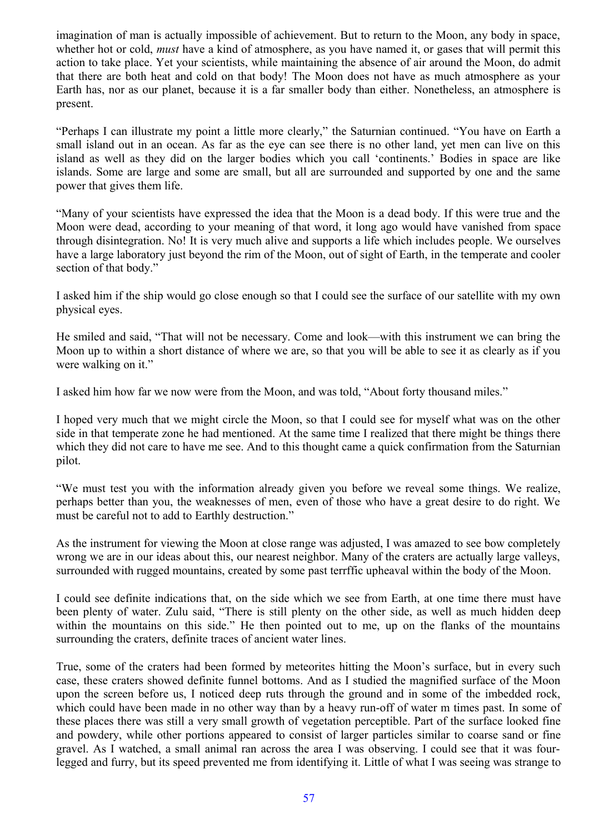imagination of man is actually impossible of achievement. But to return to the Moon, any body in space, whether hot or cold, *must* have a kind of atmosphere, as you have named it, or gases that will permit this action to take place. Yet your scientists, while maintaining the absence of air around the Moon, do admit that there are both heat and cold on that body! The Moon does not have as much atmosphere as your Earth has, nor as our planet, because it is a far smaller body than either. Nonetheless, an atmosphere is present.

"Perhaps I can illustrate my point a little more clearly," the Saturnian continued. "You have on Earth a small island out in an ocean. As far as the eye can see there is no other land, yet men can live on this island as well as they did on the larger bodies which you call 'continents.' Bodies in space are like islands. Some are large and some are small, but all are surrounded and supported by one and the same power that gives them life.

"Many of your scientists have expressed the idea that the Moon is a dead body. If this were true and the Moon were dead, according to your meaning of that word, it long ago would have vanished from space through disintegration. No! It is very much alive and supports a life which includes people. We ourselves have a large laboratory just beyond the rim of the Moon, out of sight of Earth, in the temperate and cooler section of that body."

I asked him if the ship would go close enough so that I could see the surface of our satellite with my own physical eyes.

He smiled and said, "That will not be necessary. Come and look—with this instrument we can bring the Moon up to within a short distance of where we are, so that you will be able to see it as clearly as if you were walking on it."

I asked him how far we now were from the Moon, and was told, "About forty thousand miles."

I hoped very much that we might circle the Moon, so that I could see for myself what was on the other side in that temperate zone he had mentioned. At the same time I realized that there might be things there which they did not care to have me see. And to this thought came a quick confirmation from the Saturnian pilot.

"We must test you with the information already given you before we reveal some things. We realize, perhaps better than you, the weaknesses of men, even of those who have a great desire to do right. We must be careful not to add to Earthly destruction."

As the instrument for viewing the Moon at close range was adjusted, I was amazed to see bow completely wrong we are in our ideas about this, our nearest neighbor. Many of the craters are actually large valleys, surrounded with rugged mountains, created by some past terrffic upheaval within the body of the Moon.

I could see definite indications that, on the side which we see from Earth, at one time there must have been plenty of water. Zulu said, "There is still plenty on the other side, as well as much hidden deep within the mountains on this side." He then pointed out to me, up on the flanks of the mountains surrounding the craters, definite traces of ancient water lines.

True, some of the craters had been formed by meteorites hitting the Moon's surface, but in every such case, these craters showed definite funnel bottoms. And as I studied the magnified surface of the Moon upon the screen before us, I noticed deep ruts through the ground and in some of the imbedded rock, which could have been made in no other way than by a heavy run-off of water m times past. In some of these places there was still a very small growth of vegetation perceptible. Part of the surface looked fine and powdery, while other portions appeared to consist of larger particles similar to coarse sand or fine gravel. As I watched, a small animal ran across the area I was observing. I could see that it was fourlegged and furry, but its speed prevented me from identifying it. Little of what I was seeing was strange to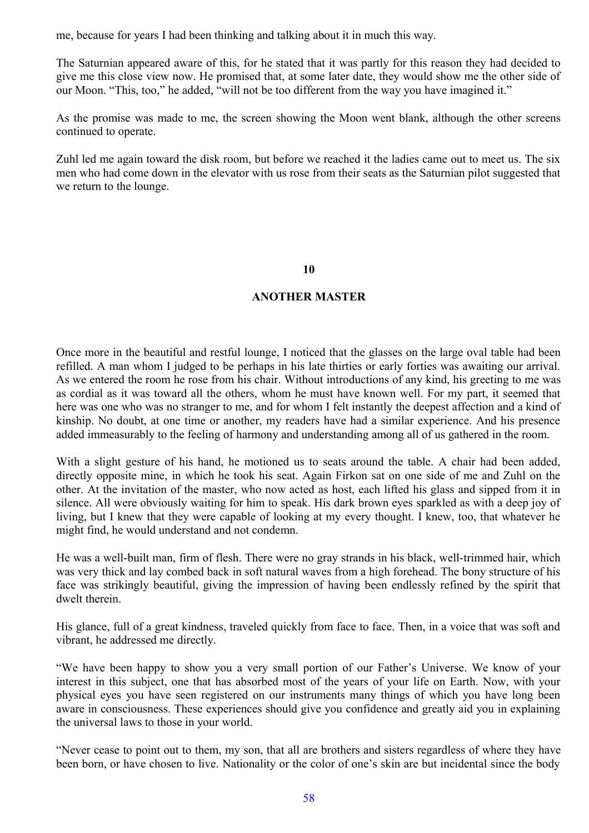me, because for years I had been thinking and talking about it in much this way.

The Saturnian appeared aware of this, for he stated that it was partly for this reason they had decided to give me this close view now. He promised that, at some later date, they would show me the other side of our Moon. "This, too," he added, "will not be too different from the way you have imagined it."

As the promise was made to me, the screen showing the Moon went blank, although the other screens continued to operate.

Zuhl led me again toward the disk room, but before we reached it the ladies came out to meet us. The six men who had come down in the elevator with us rose from their seats as the Saturnian pilot suggested that we return to the lounge.

### **10**

## **ANOTHER MASTER**

Once more in the beautiful and restful lounge, I noticed that the glasses on the large oval table had been refilled. A man whom I judged to be perhaps in his late thirties or early forties was awaiting our arrival. As we entered the room he rose from his chair. Without introductions of any kind, his greeting to me was as cordial as it was toward all the others, whom he must have known well. For my part, it seemed that here was one who was no stranger to me, and for whom I felt instantly the deepest affection and a kind of kinship. No doubt, at one time or another, my readers have had a similar experience. And his presence added immeasurably to the feeling of harmony and understanding among all of us gathered in the room.

With a slight gesture of his hand, he motioned us to seats around the table. A chair had been added, directly opposite mine, in which he took his seat. Again Firkon sat on one side of me and Zuhl on the other. At the invitation of the master, who now acted as host, each lifted his glass and sipped from it in silence. All were obviously waiting for him to speak. His dark brown eyes sparkled as with a deep joy of living, but I knew that they were capable of looking at my every thought. I knew, too, that whatever he might find, he would understand and not condemn.

He was a well-built man, firm of flesh. There were no gray strands in his black, well-trimmed hair, which was very thick and lay combed back in soft natural waves from a high forehead. The bony structure of his face was strikingly beautiful, giving the impression of having been endlessly refined by the spirit that dwelt therein.

His glance, full of a great kindness, traveled quickly from face to face. Then, in a voice that was soft and vibrant, he addressed me directly.

"We have been happy to show you a very small portion of our Father's Universe. We know of your interest in this subject, one that has absorbed most of the years of your life on Earth. Now, with your physical eyes you have seen registered on our instruments many things of which you have long been aware in consciousness. These experiences should give you confidence and greatly aid you in explaining the universal laws to those in your world.

"Never cease to point out to them, my son, that all are brothers and sisters regardless of where they have been born, or have chosen to live. Nationality or the color of one's skin are but incidental since the body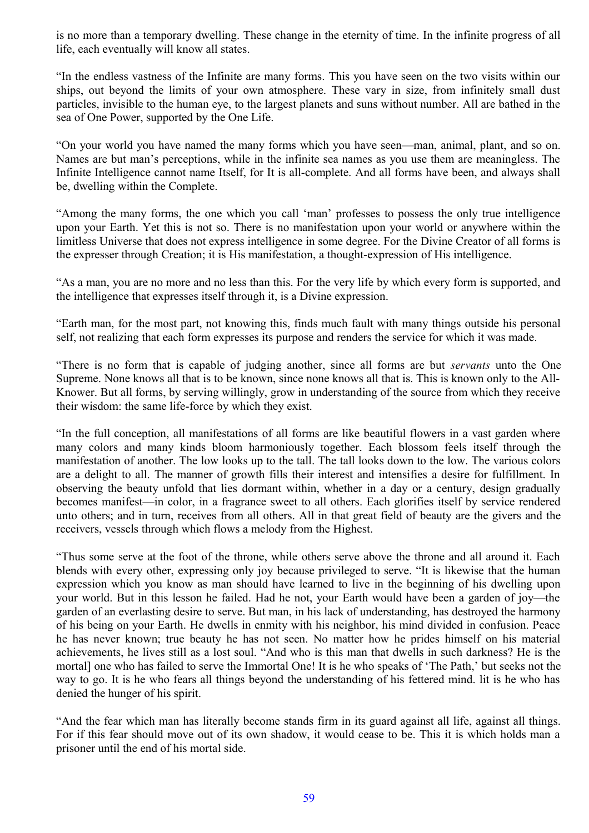is no more than a temporary dwelling. These change in the eternity of time. In the infinite progress of all life, each eventually will know all states.

"In the endless vastness of the Infinite are many forms. This you have seen on the two visits within our ships, out beyond the limits of your own atmosphere. These vary in size, from infinitely small dust particles, invisible to the human eye, to the largest planets and suns without number. All are bathed in the sea of One Power, supported by the One Life.

"On your world you have named the many forms which you have seen—man, animal, plant, and so on. Names are but man's perceptions, while in the infinite sea names as you use them are meaningless. The Infinite Intelligence cannot name Itself, for It is all-complete. And all forms have been, and always shall be, dwelling within the Complete.

"Among the many forms, the one which you call 'man' professes to possess the only true intelligence upon your Earth. Yet this is not so. There is no manifestation upon your world or anywhere within the limitless Universe that does not express intelligence in some degree. For the Divine Creator of all forms is the expresser through Creation; it is His manifestation, a thought-expression of His intelligence.

"As a man, you are no more and no less than this. For the very life by which every form is supported, and the intelligence that expresses itself through it, is a Divine expression.

"Earth man, for the most part, not knowing this, finds much fault with many things outside his personal self, not realizing that each form expresses its purpose and renders the service for which it was made.

"There is no form that is capable of judging another, since all forms are but *servants* unto the One Supreme. None knows all that is to be known, since none knows all that is. This is known only to the All-Knower. But all forms, by serving willingly, grow in understanding of the source from which they receive their wisdom: the same life-force by which they exist.

"In the full conception, all manifestations of all forms are like beautiful flowers in a vast garden where many colors and many kinds bloom harmoniously together. Each blossom feels itself through the manifestation of another. The low looks up to the tall. The tall looks down to the low. The various colors are a delight to all. The manner of growth fills their interest and intensifies a desire for fulfillment. In observing the beauty unfold that lies dormant within, whether in a day or a century, design gradually becomes manifest—in color, in a fragrance sweet to all others. Each glorifies itself by service rendered unto others; and in turn, receives from all others. All in that great field of beauty are the givers and the receivers, vessels through which flows a melody from the Highest.

"Thus some serve at the foot of the throne, while others serve above the throne and all around it. Each blends with every other, expressing only joy because privileged to serve. "It is likewise that the human expression which you know as man should have learned to live in the beginning of his dwelling upon your world. But in this lesson he failed. Had he not, your Earth would have been a garden of joy—the garden of an everlasting desire to serve. But man, in his lack of understanding, has destroyed the harmony of his being on your Earth. He dwells in enmity with his neighbor, his mind divided in confusion. Peace he has never known; true beauty he has not seen. No matter how he prides himself on his material achievements, he lives still as a lost soul. "And who is this man that dwells in such darkness? He is the mortal] one who has failed to serve the Immortal One! It is he who speaks of 'The Path,' but seeks not the way to go. It is he who fears all things beyond the understanding of his fettered mind. lit is he who has denied the hunger of his spirit.

"And the fear which man has literally become stands firm in its guard against all life, against all things. For if this fear should move out of its own shadow, it would cease to be. This it is which holds man a prisoner until the end of his mortal side.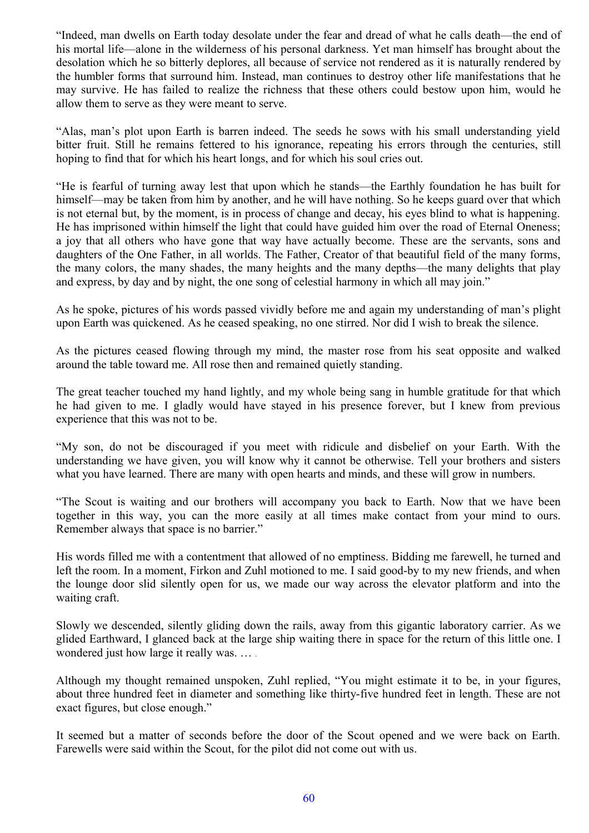"Indeed, man dwells on Earth today desolate under the fear and dread of what he calls death—the end of his mortal life—alone in the wilderness of his personal darkness. Yet man himself has brought about the desolation which he so bitterly deplores, all because of service not rendered as it is naturally rendered by the humbler forms that surround him. Instead, man continues to destroy other life manifestations that he may survive. He has failed to realize the richness that these others could bestow upon him, would he allow them to serve as they were meant to serve.

"Alas, man's plot upon Earth is barren indeed. The seeds he sows with his small understanding yield bitter fruit. Still he remains fettered to his ignorance, repeating his errors through the centuries, still hoping to find that for which his heart longs, and for which his soul cries out.

"He is fearful of turning away lest that upon which he stands—the Earthly foundation he has built for himself—may be taken from him by another, and he will have nothing. So he keeps guard over that which is not eternal but, by the moment, is in process of change and decay, his eyes blind to what is happening. He has imprisoned within himself the light that could have guided him over the road of Eternal Oneness; a joy that all others who have gone that way have actually become. These are the servants, sons and daughters of the One Father, in all worlds. The Father, Creator of that beautiful field of the many forms, the many colors, the many shades, the many heights and the many depths—the many delights that play and express, by day and by night, the one song of celestial harmony in which all may join."

As he spoke, pictures of his words passed vividly before me and again my understanding of man's plight upon Earth was quickened. As he ceased speaking, no one stirred. Nor did I wish to break the silence.

As the pictures ceased flowing through my mind, the master rose from his seat opposite and walked around the table toward me. All rose then and remained quietly standing.

The great teacher touched my hand lightly, and my whole being sang in humble gratitude for that which he had given to me. I gladly would have stayed in his presence forever, but I knew from previous experience that this was not to be.

"My son, do not be discouraged if you meet with ridicule and disbelief on your Earth. With the understanding we have given, you will know why it cannot be otherwise. Tell your brothers and sisters what you have learned. There are many with open hearts and minds, and these will grow in numbers.

"The Scout is waiting and our brothers will accompany you back to Earth. Now that we have been together in this way, you can the more easily at all times make contact from your mind to ours. Remember always that space is no barrier."

His words filled me with a contentment that allowed of no emptiness. Bidding me farewell, he turned and left the room. In a moment, Firkon and Zuhl motioned to me. I said good-by to my new friends, and when the lounge door slid silently open for us, we made our way across the elevator platform and into the waiting craft.

Slowly we descended, silently gliding down the rails, away from this gigantic laboratory carrier. As we glided Earthward, I glanced back at the large ship waiting there in space for the return of this little one. I wondered just how large it really was. … .

Although my thought remained unspoken, Zuhl replied, "You might estimate it to be, in your figures, about three hundred feet in diameter and something like thirty-five hundred feet in length. These are not exact figures, but close enough."

It seemed but a matter of seconds before the door of the Scout opened and we were back on Earth. Farewells were said within the Scout, for the pilot did not come out with us.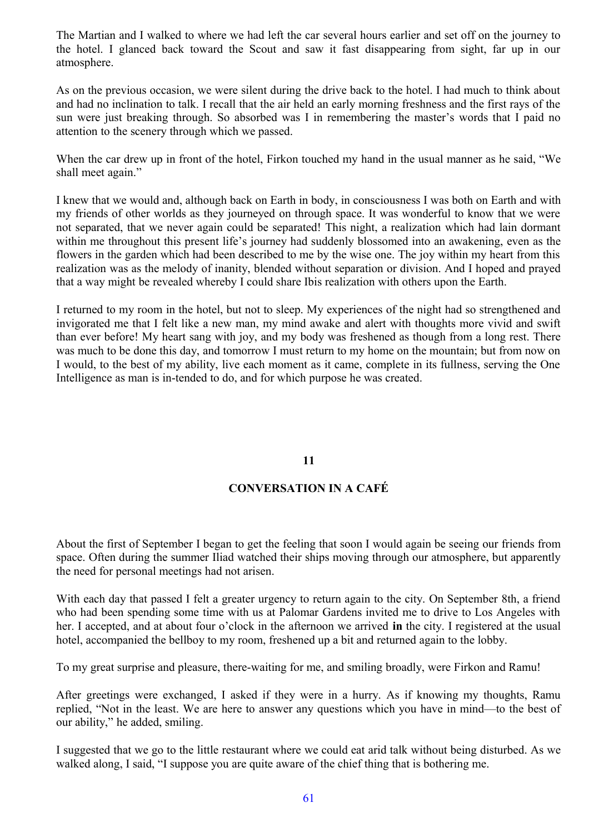The Martian and I walked to where we had left the car several hours earlier and set off on the journey to the hotel. I glanced back toward the Scout and saw it fast disappearing from sight, far up in our atmosphere.

As on the previous occasion, we were silent during the drive back to the hotel. I had much to think about and had no inclination to talk. I recall that the air held an early morning freshness and the first rays of the sun were just breaking through. So absorbed was I in remembering the master's words that I paid no attention to the scenery through which we passed.

When the car drew up in front of the hotel, Firkon touched my hand in the usual manner as he said, "We shall meet again."

I knew that we would and, although back on Earth in body, in consciousness I was both on Earth and with my friends of other worlds as they journeyed on through space. It was wonderful to know that we were not separated, that we never again could be separated! This night, a realization which had lain dormant within me throughout this present life's journey had suddenly blossomed into an awakening, even as the flowers in the garden which had been described to me by the wise one. The joy within my heart from this realization was as the melody of inanity, blended without separation or division. And I hoped and prayed that a way might be revealed whereby I could share Ibis realization with others upon the Earth.

I returned to my room in the hotel, but not to sleep. My experiences of the night had so strengthened and invigorated me that I felt like a new man, my mind awake and alert with thoughts more vivid and swift than ever before! My heart sang with joy, and my body was freshened as though from a long rest. There was much to be done this day, and tomorrow I must return to my home on the mountain; but from now on I would, to the best of my ability, live each moment as it came, complete in its fullness, serving the One Intelligence as man is in-tended to do, and for which purpose he was created.

### **11**

### **CONVERSATION IN A CAFÉ**

About the first of September I began to get the feeling that soon I would again be seeing our friends from space. Often during the summer Iliad watched their ships moving through our atmosphere, but apparently the need for personal meetings had not arisen.

With each day that passed I felt a greater urgency to return again to the city. On September 8th, a friend who had been spending some time with us at Palomar Gardens invited me to drive to Los Angeles with her. I accepted, and at about four o'clock in the afternoon we arrived **in** the city. I registered at the usual hotel, accompanied the bellboy to my room, freshened up a bit and returned again to the lobby.

To my great surprise and pleasure, there-waiting for me, and smiling broadly, were Firkon and Ramu!

After greetings were exchanged, I asked if they were in a hurry. As if knowing my thoughts, Ramu replied, "Not in the least. We are here to answer any questions which you have in mind—to the best of our ability," he added, smiling.

I suggested that we go to the little restaurant where we could eat arid talk without being disturbed. As we walked along, I said, "I suppose you are quite aware of the chief thing that is bothering me.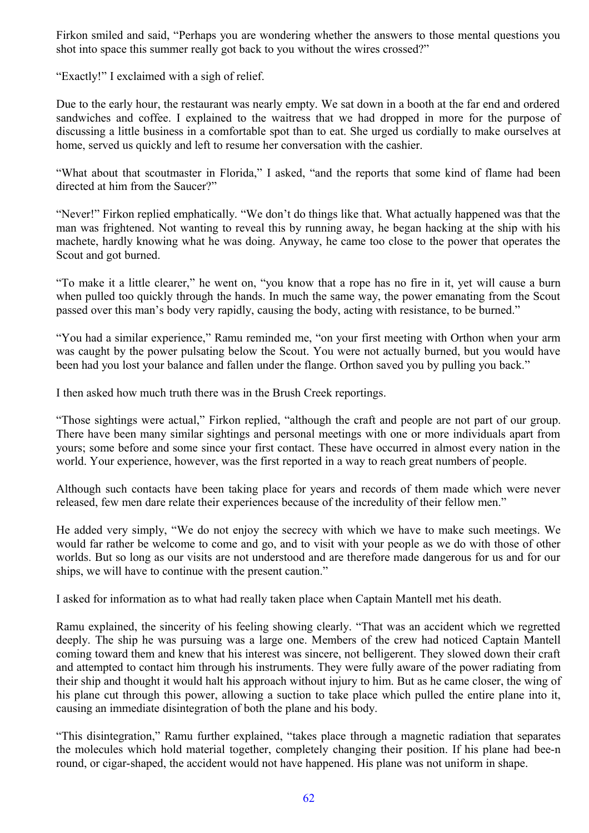Firkon smiled and said, "Perhaps you are wondering whether the answers to those mental questions you shot into space this summer really got back to you without the wires crossed?"

"Exactly!" I exclaimed with a sigh of relief.

Due to the early hour, the restaurant was nearly empty. We sat down in a booth at the far end and ordered sandwiches and coffee. I explained to the waitress that we had dropped in more for the purpose of discussing a little business in a comfortable spot than to eat. She urged us cordially to make ourselves at home, served us quickly and left to resume her conversation with the cashier.

"What about that scoutmaster in Florida," I asked, "and the reports that some kind of flame had been directed at him from the Saucer?"

"Never!" Firkon replied emphatically. "We don't do things like that. What actually happened was that the man was frightened. Not wanting to reveal this by running away, he began hacking at the ship with his machete, hardly knowing what he was doing. Anyway, he came too close to the power that operates the Scout and got burned.

"To make it a little clearer," he went on, "you know that a rope has no fire in it, yet will cause a burn when pulled too quickly through the hands. In much the same way, the power emanating from the Scout passed over this man's body very rapidly, causing the body, acting with resistance, to be burned."

"You had a similar experience," Ramu reminded me, "on your first meeting with Orthon when your arm was caught by the power pulsating below the Scout. You were not actually burned, but you would have been had you lost your balance and fallen under the flange. Orthon saved you by pulling you back."

I then asked how much truth there was in the Brush Creek reportings.

"Those sightings were actual," Firkon replied, "although the craft and people are not part of our group. There have been many similar sightings and personal meetings with one or more individuals apart from yours; some before and some since your first contact. These have occurred in almost every nation in the world. Your experience, however, was the first reported in a way to reach great numbers of people.

Although such contacts have been taking place for years and records of them made which were never released, few men dare relate their experiences because of the incredulity of their fellow men."

He added very simply, "We do not enjoy the secrecy with which we have to make such meetings. We would far rather be welcome to come and go, and to visit with your people as we do with those of other worlds. But so long as our visits are not understood and are therefore made dangerous for us and for our ships, we will have to continue with the present caution."

I asked for information as to what had really taken place when Captain Mantell met his death.

Ramu explained, the sincerity of his feeling showing clearly. "That was an accident which we regretted deeply. The ship he was pursuing was a large one. Members of the crew had noticed Captain Mantell coming toward them and knew that his interest was sincere, not belligerent. They slowed down their craft and attempted to contact him through his instruments. They were fully aware of the power radiating from their ship and thought it would halt his approach without injury to him. But as he came closer, the wing of his plane cut through this power, allowing a suction to take place which pulled the entire plane into it, causing an immediate disintegration of both the plane and his body.

"This disintegration," Ramu further explained, "takes place through a magnetic radiation that separates the molecules which hold material together, completely changing their position. If his plane had bee-n round, or cigar-shaped, the accident would not have happened. His plane was not uniform in shape.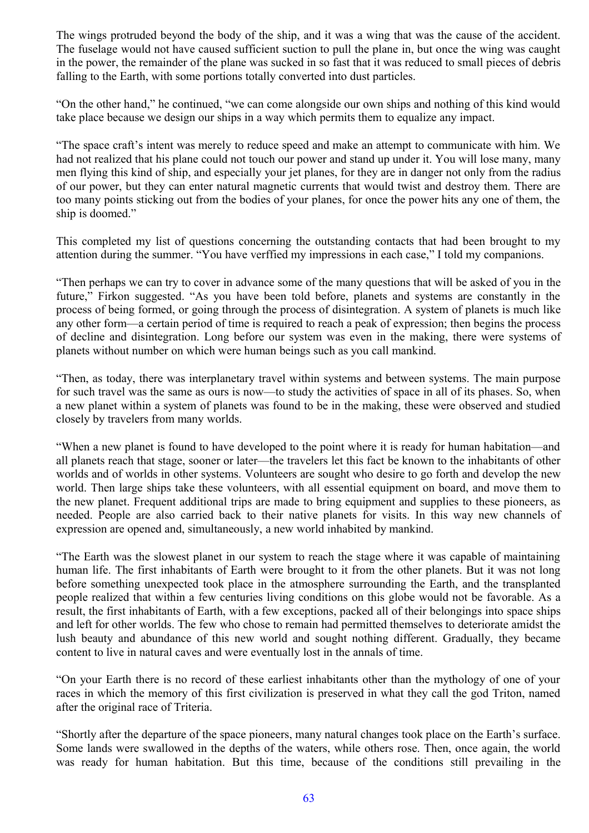The wings protruded beyond the body of the ship, and it was a wing that was the cause of the accident. The fuselage would not have caused sufficient suction to pull the plane in, but once the wing was caught in the power, the remainder of the plane was sucked in so fast that it was reduced to small pieces of debris falling to the Earth, with some portions totally converted into dust particles.

"On the other hand," he continued, "we can come alongside our own ships and nothing of this kind would take place because we design our ships in a way which permits them to equalize any impact.

"The space craft's intent was merely to reduce speed and make an attempt to communicate with him. We had not realized that his plane could not touch our power and stand up under it. You will lose many, many men flying this kind of ship, and especially your jet planes, for they are in danger not only from the radius of our power, but they can enter natural magnetic currents that would twist and destroy them. There are too many points sticking out from the bodies of your planes, for once the power hits any one of them, the ship is doomed."

This completed my list of questions concerning the outstanding contacts that had been brought to my attention during the summer. "You have verffied my impressions in each case," I told my companions.

"Then perhaps we can try to cover in advance some of the many questions that will be asked of you in the future," Firkon suggested. "As you have been told before, planets and systems are constantly in the process of being formed, or going through the process of disintegration. A system of planets is much like any other form—a certain period of time is required to reach a peak of expression; then begins the process of decline and disintegration. Long before our system was even in the making, there were systems of planets without number on which were human beings such as you call mankind.

"Then, as today, there was interplanetary travel within systems and between systems. The main purpose for such travel was the same as ours is now—to study the activities of space in all of its phases. So, when a new planet within a system of planets was found to be in the making, these were observed and studied closely by travelers from many worlds.

"When a new planet is found to have developed to the point where it is ready for human habitation—and all planets reach that stage, sooner or later—the travelers let this fact be known to the inhabitants of other worlds and of worlds in other systems. Volunteers are sought who desire to go forth and develop the new world. Then large ships take these volunteers, with all essential equipment on board, and move them to the new planet. Frequent additional trips are made to bring equipment and supplies to these pioneers, as needed. People are also carried back to their native planets for visits. In this way new channels of expression are opened and, simultaneously, a new world inhabited by mankind.

"The Earth was the slowest planet in our system to reach the stage where it was capable of maintaining human life. The first inhabitants of Earth were brought to it from the other planets. But it was not long before something unexpected took place in the atmosphere surrounding the Earth, and the transplanted people realized that within a few centuries living conditions on this globe would not be favorable. As a result, the first inhabitants of Earth, with a few exceptions, packed all of their belongings into space ships and left for other worlds. The few who chose to remain had permitted themselves to deteriorate amidst the lush beauty and abundance of this new world and sought nothing different. Gradually, they became content to live in natural caves and were eventually lost in the annals of time.

"On your Earth there is no record of these earliest inhabitants other than the mythology of one of your races in which the memory of this first civilization is preserved in what they call the god Triton, named after the original race of Triteria.

"Shortly after the departure of the space pioneers, many natural changes took place on the Earth's surface. Some lands were swallowed in the depths of the waters, while others rose. Then, once again, the world was ready for human habitation. But this time, because of the conditions still prevailing in the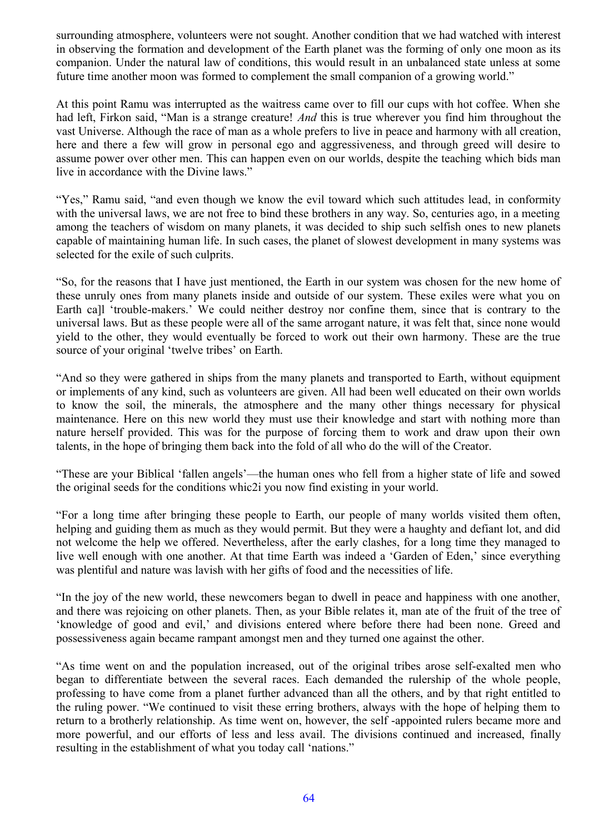surrounding atmosphere, volunteers were not sought. Another condition that we had watched with interest in observing the formation and development of the Earth planet was the forming of only one moon as its companion. Under the natural law of conditions, this would result in an unbalanced state unless at some future time another moon was formed to complement the small companion of a growing world."

At this point Ramu was interrupted as the waitress came over to fill our cups with hot coffee. When she had left, Firkon said, "Man is a strange creature! *And* this is true wherever you find him throughout the vast Universe. Although the race of man as a whole prefers to live in peace and harmony with all creation, here and there a few will grow in personal ego and aggressiveness, and through greed will desire to assume power over other men. This can happen even on our worlds, despite the teaching which bids man live in accordance with the Divine laws."

"Yes," Ramu said, "and even though we know the evil toward which such attitudes lead, in conformity with the universal laws, we are not free to bind these brothers in any way. So, centuries ago, in a meeting among the teachers of wisdom on many planets, it was decided to ship such selfish ones to new planets capable of maintaining human life. In such cases, the planet of slowest development in many systems was selected for the exile of such culprits.

"So, for the reasons that I have just mentioned, the Earth in our system was chosen for the new home of these unruly ones from many planets inside and outside of our system. These exiles were what you on Earth call 'trouble-makers.' We could neither destroy nor confine them, since that is contrary to the universal laws. But as these people were all of the same arrogant nature, it was felt that, since none would yield to the other, they would eventually be forced to work out their own harmony. These are the true source of your original 'twelve tribes' on Earth.

"And so they were gathered in ships from the many planets and transported to Earth, without equipment or implements of any kind, such as volunteers are given. All had been well educated on their own worlds to know the soil, the minerals, the atmosphere and the many other things necessary for physical maintenance. Here on this new world they must use their knowledge and start with nothing more than nature herself provided. This was for the purpose of forcing them to work and draw upon their own talents, in the hope of bringing them back into the fold of all who do the will of the Creator.

"These are your Biblical 'fallen angels'—the human ones who fell from a higher state of life and sowed the original seeds for the conditions whic2i you now find existing in your world.

"For a long time after bringing these people to Earth, our people of many worlds visited them often, helping and guiding them as much as they would permit. But they were a haughty and defiant lot, and did not welcome the help we offered. Nevertheless, after the early clashes, for a long time they managed to live well enough with one another. At that time Earth was indeed a 'Garden of Eden,' since everything was plentiful and nature was lavish with her gifts of food and the necessities of life.

"In the joy of the new world, these newcomers began to dwell in peace and happiness with one another, and there was rejoicing on other planets. Then, as your Bible relates it, man ate of the fruit of the tree of 'knowledge of good and evil,' and divisions entered where before there had been none. Greed and possessiveness again became rampant amongst men and they turned one against the other.

"As time went on and the population increased, out of the original tribes arose self-exalted men who began to differentiate between the several races. Each demanded the rulership of the whole people, professing to have come from a planet further advanced than all the others, and by that right entitled to the ruling power. "We continued to visit these erring brothers, always with the hope of helping them to return to a brotherly relationship. As time went on, however, the self -appointed rulers became more and more powerful, and our efforts of less and less avail. The divisions continued and increased, finally resulting in the establishment of what you today call 'nations."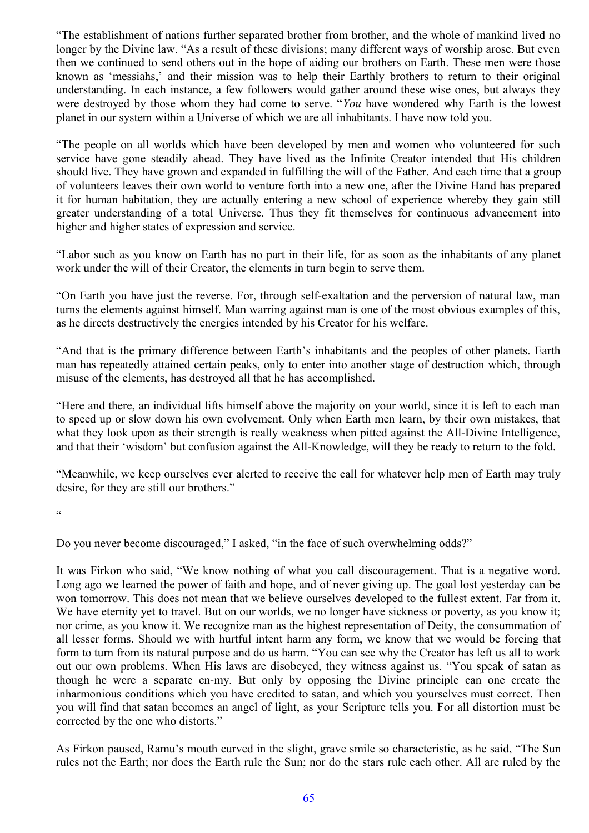"The establishment of nations further separated brother from brother, and the whole of mankind lived no longer by the Divine law. "As a result of these divisions; many different ways of worship arose. But even then we continued to send others out in the hope of aiding our brothers on Earth. These men were those known as 'messiahs,' and their mission was to help their Earthly brothers to return to their original understanding. In each instance, a few followers would gather around these wise ones, but always they were destroyed by those whom they had come to serve. "*You* have wondered why Earth is the lowest planet in our system within a Universe of which we are all inhabitants. I have now told you.

"The people on all worlds which have been developed by men and women who volunteered for such service have gone steadily ahead. They have lived as the Infinite Creator intended that His children should live. They have grown and expanded in fulfilling the will of the Father. And each time that a group of volunteers leaves their own world to venture forth into a new one, after the Divine Hand has prepared it for human habitation, they are actually entering a new school of experience whereby they gain still greater understanding of a total Universe. Thus they fit themselves for continuous advancement into higher and higher states of expression and service.

"Labor such as you know on Earth has no part in their life, for as soon as the inhabitants of any planet work under the will of their Creator, the elements in turn begin to serve them.

"On Earth you have just the reverse. For, through self-exaltation and the perversion of natural law, man turns the elements against himself. Man warring against man is one of the most obvious examples of this, as he directs destructively the energies intended by his Creator for his welfare.

"And that is the primary difference between Earth's inhabitants and the peoples of other planets. Earth man has repeatedly attained certain peaks, only to enter into another stage of destruction which, through misuse of the elements, has destroyed all that he has accomplished.

"Here and there, an individual lifts himself above the majority on your world, since it is left to each man to speed up or slow down his own evolvement. Only when Earth men learn, by their own mistakes, that what they look upon as their strength is really weakness when pitted against the All-Divine Intelligence, and that their 'wisdom' but confusion against the All-Knowledge, will they be ready to return to the fold.

"Meanwhile, we keep ourselves ever alerted to receive the call for whatever help men of Earth may truly desire, for they are still our brothers."

 $\overline{\mathbf{G}}$ 

Do you never become discouraged," I asked, "in the face of such overwhelming odds?"

It was Firkon who said, "We know nothing of what you call discouragement. That is a negative word. Long ago we learned the power of faith and hope, and of never giving up. The goal lost yesterday can be won tomorrow. This does not mean that we believe ourselves developed to the fullest extent. Far from it. We have eternity yet to travel. But on our worlds, we no longer have sickness or poverty, as you know it; nor crime, as you know it. We recognize man as the highest representation of Deity, the consummation of all lesser forms. Should we with hurtful intent harm any form, we know that we would be forcing that form to turn from its natural purpose and do us harm. "You can see why the Creator has left us all to work out our own problems. When His laws are disobeyed, they witness against us. "You speak of satan as though he were a separate en-my. But only by opposing the Divine principle can one create the inharmonious conditions which you have credited to satan, and which you yourselves must correct. Then you will find that satan becomes an angel of light, as your Scripture tells you. For all distortion must be corrected by the one who distorts."

As Firkon paused, Ramu's mouth curved in the slight, grave smile so characteristic, as he said, "The Sun rules not the Earth; nor does the Earth rule the Sun; nor do the stars rule each other. All are ruled by the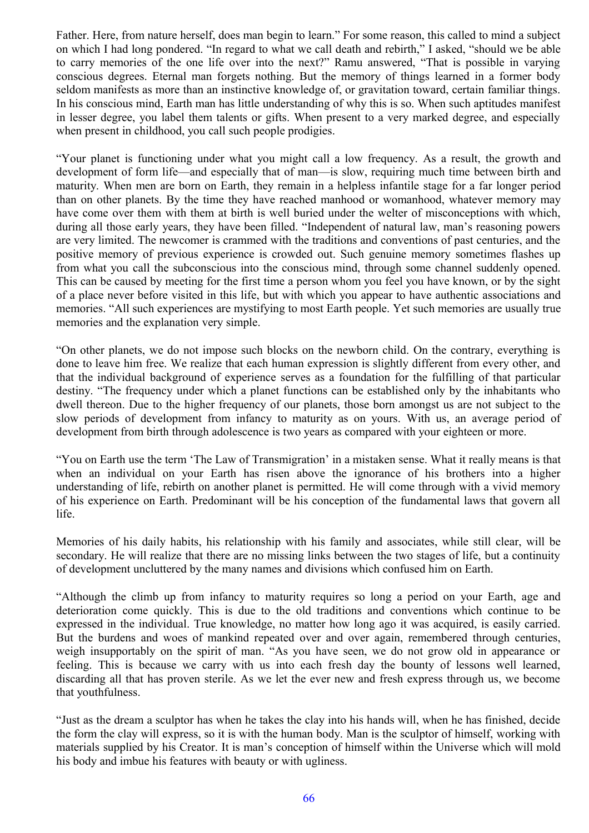Father. Here, from nature herself, does man begin to learn." For some reason, this called to mind a subject on which I had long pondered. "In regard to what we call death and rebirth," I asked, "should we be able to carry memories of the one life over into the next?" Ramu answered, "That is possible in varying conscious degrees. Eternal man forgets nothing. But the memory of things learned in a former body seldom manifests as more than an instinctive knowledge of, or gravitation toward, certain familiar things. In his conscious mind, Earth man has little understanding of why this is so. When such aptitudes manifest in lesser degree, you label them talents or gifts. When present to a very marked degree, and especially when present in childhood, you call such people prodigies.

"Your planet is functioning under what you might call a low frequency. As a result, the growth and development of form life—and especially that of man—is slow, requiring much time between birth and maturity. When men are born on Earth, they remain in a helpless infantile stage for a far longer period than on other planets. By the time they have reached manhood or womanhood, whatever memory may have come over them with them at birth is well buried under the welter of misconceptions with which, during all those early years, they have been filled. "Independent of natural law, man's reasoning powers are very limited. The newcomer is crammed with the traditions and conventions of past centuries, and the positive memory of previous experience is crowded out. Such genuine memory sometimes flashes up from what you call the subconscious into the conscious mind, through some channel suddenly opened. This can be caused by meeting for the first time a person whom you feel you have known, or by the sight of a place never before visited in this life, but with which you appear to have authentic associations and memories. "All such experiences are mystifying to most Earth people. Yet such memories are usually true memories and the explanation very simple.

"On other planets, we do not impose such blocks on the newborn child. On the contrary, everything is done to leave him free. We realize that each human expression is slightly different from every other, and that the individual background of experience serves as a foundation for the fulfilling of that particular destiny. "The frequency under which a planet functions can be established only by the inhabitants who dwell thereon. Due to the higher frequency of our planets, those born amongst us are not subject to the slow periods of development from infancy to maturity as on yours. With us, an average period of development from birth through adolescence is two years as compared with your eighteen or more.

"You on Earth use the term 'The Law of Transmigration' in a mistaken sense. What it really means is that when an individual on your Earth has risen above the ignorance of his brothers into a higher understanding of life, rebirth on another planet is permitted. He will come through with a vivid memory of his experience on Earth. Predominant will be his conception of the fundamental laws that govern all life.

Memories of his daily habits, his relationship with his family and associates, while still clear, will be secondary. He will realize that there are no missing links between the two stages of life, but a continuity of development uncluttered by the many names and divisions which confused him on Earth.

"Although the climb up from infancy to maturity requires so long a period on your Earth, age and deterioration come quickly. This is due to the old traditions and conventions which continue to be expressed in the individual. True knowledge, no matter how long ago it was acquired, is easily carried. But the burdens and woes of mankind repeated over and over again, remembered through centuries, weigh insupportably on the spirit of man. "As you have seen, we do not grow old in appearance or feeling. This is because we carry with us into each fresh day the bounty of lessons well learned, discarding all that has proven sterile. As we let the ever new and fresh express through us, we become that youthfulness.

"Just as the dream a sculptor has when he takes the clay into his hands will, when he has finished, decide the form the clay will express, so it is with the human body. Man is the sculptor of himself, working with materials supplied by his Creator. It is man's conception of himself within the Universe which will mold his body and imbue his features with beauty or with ugliness.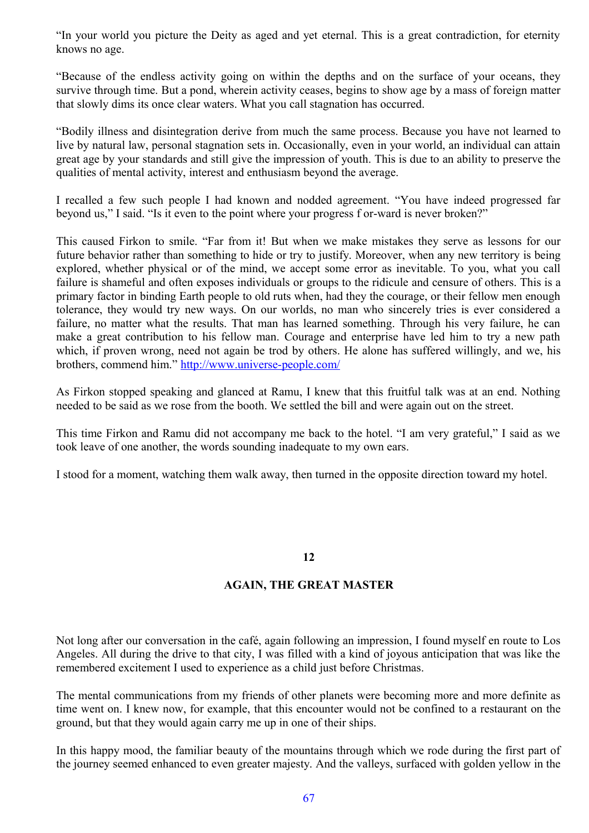"In your world you picture the Deity as aged and yet eternal. This is a great contradiction, for eternity knows no age.

"Because of the endless activity going on within the depths and on the surface of your oceans, they survive through time. But a pond, wherein activity ceases, begins to show age by a mass of foreign matter that slowly dims its once clear waters. What you call stagnation has occurred.

"Bodily illness and disintegration derive from much the same process. Because you have not learned to live by natural law, personal stagnation sets in. Occasionally, even in your world, an individual can attain great age by your standards and still give the impression of youth. This is due to an ability to preserve the qualities of mental activity, interest and enthusiasm beyond the average.

I recalled a few such people I had known and nodded agreement. "You have indeed progressed far beyond us," I said. "Is it even to the point where your progress f or-ward is never broken?"

This caused Firkon to smile. "Far from it! But when we make mistakes they serve as lessons for our future behavior rather than something to hide or try to justify. Moreover, when any new territory is being explored, whether physical or of the mind, we accept some error as inevitable. To you, what you call failure is shameful and often exposes individuals or groups to the ridicule and censure of others. This is a primary factor in binding Earth people to old ruts when, had they the courage, or their fellow men enough tolerance, they would try new ways. On our worlds, no man who sincerely tries is ever considered a failure, no matter what the results. That man has learned something. Through his very failure, he can make a great contribution to his fellow man. Courage and enterprise have led him to try a new path which, if proven wrong, need not again be trod by others. He alone has suffered willingly, and we, his brothers, commend him."<http://www.universe-people.com/>

As Firkon stopped speaking and glanced at Ramu, I knew that this fruitful talk was at an end. Nothing needed to be said as we rose from the booth. We settled the bill and were again out on the street.

This time Firkon and Ramu did not accompany me back to the hotel. "I am very grateful," I said as we took leave of one another, the words sounding inadequate to my own ears.

I stood for a moment, watching them walk away, then turned in the opposite direction toward my hotel.

# **12**

### **AGAIN, THE GREAT MASTER**

Not long after our conversation in the café, again following an impression, I found myself en route to Los Angeles. All during the drive to that city, I was filled with a kind of joyous anticipation that was like the remembered excitement I used to experience as a child just before Christmas.

The mental communications from my friends of other planets were becoming more and more definite as time went on. I knew now, for example, that this encounter would not be confined to a restaurant on the ground, but that they would again carry me up in one of their ships.

In this happy mood, the familiar beauty of the mountains through which we rode during the first part of the journey seemed enhanced to even greater majesty. And the valleys, surfaced with golden yellow in the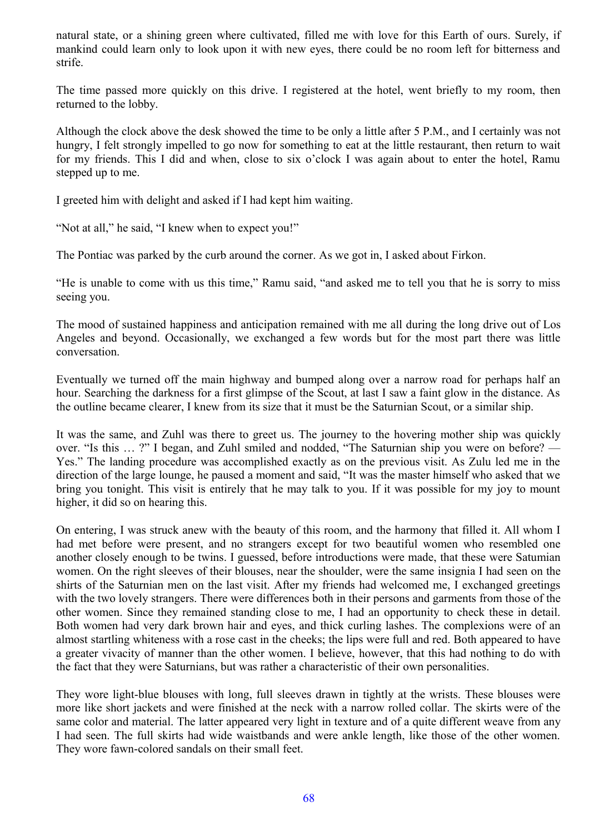natural state, or a shining green where cultivated, filled me with love for this Earth of ours. Surely, if mankind could learn only to look upon it with new eyes, there could be no room left for bitterness and strife.

The time passed more quickly on this drive. I registered at the hotel, went briefly to my room, then returned to the lobby.

Although the clock above the desk showed the time to be only a little after 5 P.M., and I certainly was not hungry, I felt strongly impelled to go now for something to eat at the little restaurant, then return to wait for my friends. This I did and when, close to six o'clock I was again about to enter the hotel, Ramu stepped up to me.

I greeted him with delight and asked if I had kept him waiting.

"Not at all," he said, "I knew when to expect you!"

The Pontiac was parked by the curb around the corner. As we got in, I asked about Firkon.

"He is unable to come with us this time," Ramu said, "and asked me to tell you that he is sorry to miss seeing you.

The mood of sustained happiness and anticipation remained with me all during the long drive out of Los Angeles and beyond. Occasionally, we exchanged a few words but for the most part there was little conversation.

Eventually we turned off the main highway and bumped along over a narrow road for perhaps half an hour. Searching the darkness for a first glimpse of the Scout, at last I saw a faint glow in the distance. As the outline became clearer, I knew from its size that it must be the Saturnian Scout, or a similar ship.

It was the same, and Zuhl was there to greet us. The journey to the hovering mother ship was quickly over. "Is this … ?" I began, and Zuhl smiled and nodded, "The Saturnian ship you were on before? — Yes." The landing procedure was accomplished exactly as on the previous visit. As Zulu led me in the direction of the large lounge, he paused a moment and said, "It was the master himself who asked that we bring you tonight. This visit is entirely that he may talk to you. If it was possible for my joy to mount higher, it did so on hearing this.

On entering, I was struck anew with the beauty of this room, and the harmony that filled it. All whom I had met before were present, and no strangers except for two beautiful women who resembled one another closely enough to be twins. I guessed, before introductions were made, that these were Satumian women. On the right sleeves of their blouses, near the shoulder, were the same insignia I had seen on the shirts of the Saturnian men on the last visit. After my friends had welcomed me, I exchanged greetings with the two lovely strangers. There were differences both in their persons and garments from those of the other women. Since they remained standing close to me, I had an opportunity to check these in detail. Both women had very dark brown hair and eyes, and thick curling lashes. The complexions were of an almost startling whiteness with a rose cast in the cheeks; the lips were full and red. Both appeared to have a greater vivacity of manner than the other women. I believe, however, that this had nothing to do with the fact that they were Saturnians, but was rather a characteristic of their own personalities.

They wore light-blue blouses with long, full sleeves drawn in tightly at the wrists. These blouses were more like short jackets and were finished at the neck with a narrow rolled collar. The skirts were of the same color and material. The latter appeared very light in texture and of a quite different weave from any I had seen. The full skirts had wide waistbands and were ankle length, like those of the other women. They wore fawn-colored sandals on their small feet.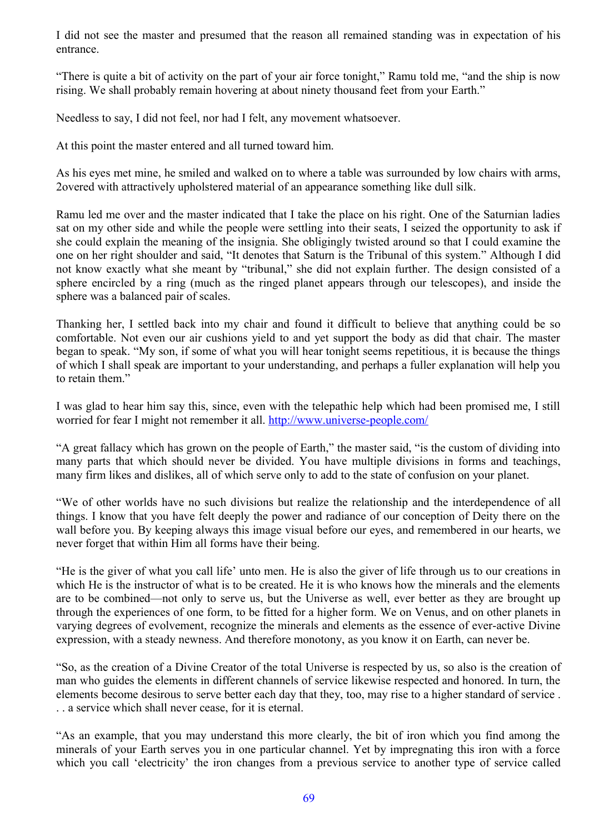I did not see the master and presumed that the reason all remained standing was in expectation of his entrance.

"There is quite a bit of activity on the part of your air force tonight," Ramu told me, "and the ship is now rising. We shall probably remain hovering at about ninety thousand feet from your Earth."

Needless to say, I did not feel, nor had I felt, any movement whatsoever.

At this point the master entered and all turned toward him.

As his eyes met mine, he smiled and walked on to where a table was surrounded by low chairs with arms, 2overed with attractively upholstered material of an appearance something like dull silk.

Ramu led me over and the master indicated that I take the place on his right. One of the Saturnian ladies sat on my other side and while the people were settling into their seats, I seized the opportunity to ask if she could explain the meaning of the insignia. She obligingly twisted around so that I could examine the one on her right shoulder and said, "It denotes that Saturn is the Tribunal of this system." Although I did not know exactly what she meant by "tribunal," she did not explain further. The design consisted of a sphere encircled by a ring (much as the ringed planet appears through our telescopes), and inside the sphere was a balanced pair of scales.

Thanking her, I settled back into my chair and found it difficult to believe that anything could be so comfortable. Not even our air cushions yield to and yet support the body as did that chair. The master began to speak. "My son, if some of what you will hear tonight seems repetitious, it is because the things of which I shall speak are important to your understanding, and perhaps a fuller explanation will help you to retain them."

I was glad to hear him say this, since, even with the telepathic help which had been promised me, I still worried for fear I might not remember it all.<http://www.universe-people.com/>

"A great fallacy which has grown on the people of Earth," the master said, "is the custom of dividing into many parts that which should never be divided. You have multiple divisions in forms and teachings, many firm likes and dislikes, all of which serve only to add to the state of confusion on your planet.

"We of other worlds have no such divisions but realize the relationship and the interdependence of all things. I know that you have felt deeply the power and radiance of our conception of Deity there on the wall before you. By keeping always this image visual before our eyes, and remembered in our hearts, we never forget that within Him all forms have their being.

"He is the giver of what you call life' unto men. He is also the giver of life through us to our creations in which He is the instructor of what is to be created. He it is who knows how the minerals and the elements are to be combined—not only to serve us, but the Universe as well, ever better as they are brought up through the experiences of one form, to be fitted for a higher form. We on Venus, and on other planets in varying degrees of evolvement, recognize the minerals and elements as the essence of ever-active Divine expression, with a steady newness. And therefore monotony, as you know it on Earth, can never be.

"So, as the creation of a Divine Creator of the total Universe is respected by us, so also is the creation of man who guides the elements in different channels of service likewise respected and honored. In turn, the elements become desirous to serve better each day that they, too, may rise to a higher standard of service . . . a service which shall never cease, for it is eternal.

"As an example, that you may understand this more clearly, the bit of iron which you find among the minerals of your Earth serves you in one particular channel. Yet by impregnating this iron with a force which you call 'electricity' the iron changes from a previous service to another type of service called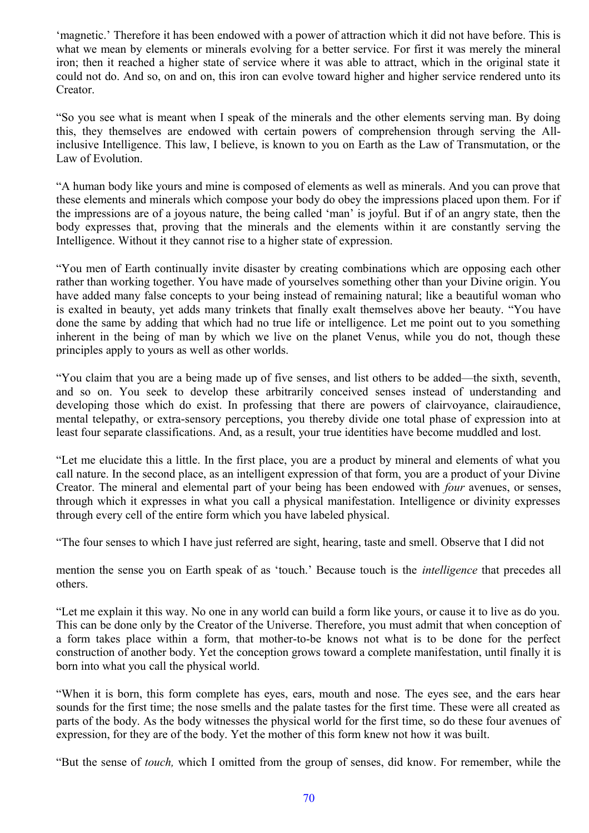'magnetic.' Therefore it has been endowed with a power of attraction which it did not have before. This is what we mean by elements or minerals evolving for a better service. For first it was merely the mineral iron; then it reached a higher state of service where it was able to attract, which in the original state it could not do. And so, on and on, this iron can evolve toward higher and higher service rendered unto its Creator.

"So you see what is meant when I speak of the minerals and the other elements serving man. By doing this, they themselves are endowed with certain powers of comprehension through serving the Allinclusive Intelligence. This law, I believe, is known to you on Earth as the Law of Transmutation, or the Law of Evolution.

"A human body like yours and mine is composed of elements as well as minerals. And you can prove that these elements and minerals which compose your body do obey the impressions placed upon them. For if the impressions are of a joyous nature, the being called 'man' is joyful. But if of an angry state, then the body expresses that, proving that the minerals and the elements within it are constantly serving the Intelligence. Without it they cannot rise to a higher state of expression.

"You men of Earth continually invite disaster by creating combinations which are opposing each other rather than working together. You have made of yourselves something other than your Divine origin. You have added many false concepts to your being instead of remaining natural; like a beautiful woman who is exalted in beauty, yet adds many trinkets that finally exalt themselves above her beauty. "You have done the same by adding that which had no true life or intelligence. Let me point out to you something inherent in the being of man by which we live on the planet Venus, while you do not, though these principles apply to yours as well as other worlds.

"You claim that you are a being made up of five senses, and list others to be added—the sixth, seventh, and so on. You seek to develop these arbitrarily conceived senses instead of understanding and developing those which do exist. In professing that there are powers of clairvoyance, clairaudience, mental telepathy, or extra-sensory perceptions, you thereby divide one total phase of expression into at least four separate classifications. And, as a result, your true identities have become muddled and lost.

"Let me elucidate this a little. In the first place, you are a product by mineral and elements of what you call nature. In the second place, as an intelligent expression of that form, you are a product of your Divine Creator. The mineral and elemental part of your being has been endowed with *four* avenues, or senses, through which it expresses in what you call a physical manifestation. Intelligence or divinity expresses through every cell of the entire form which you have labeled physical.

"The four senses to which I have just referred are sight, hearing, taste and smell. Observe that I did not

mention the sense you on Earth speak of as 'touch.' Because touch is the *intelligence* that precedes all others.

"Let me explain it this way. No one in any world can build a form like yours, or cause it to live as do you. This can be done only by the Creator of the Universe. Therefore, you must admit that when conception of a form takes place within a form, that mother-to-be knows not what is to be done for the perfect construction of another body. Yet the conception grows toward a complete manifestation, until finally it is born into what you call the physical world.

"When it is born, this form complete has eyes, ears, mouth and nose. The eyes see, and the ears hear sounds for the first time; the nose smells and the palate tastes for the first time. These were all created as parts of the body. As the body witnesses the physical world for the first time, so do these four avenues of expression, for they are of the body. Yet the mother of this form knew not how it was built.

"But the sense of *touch,* which I omitted from the group of senses, did know. For remember, while the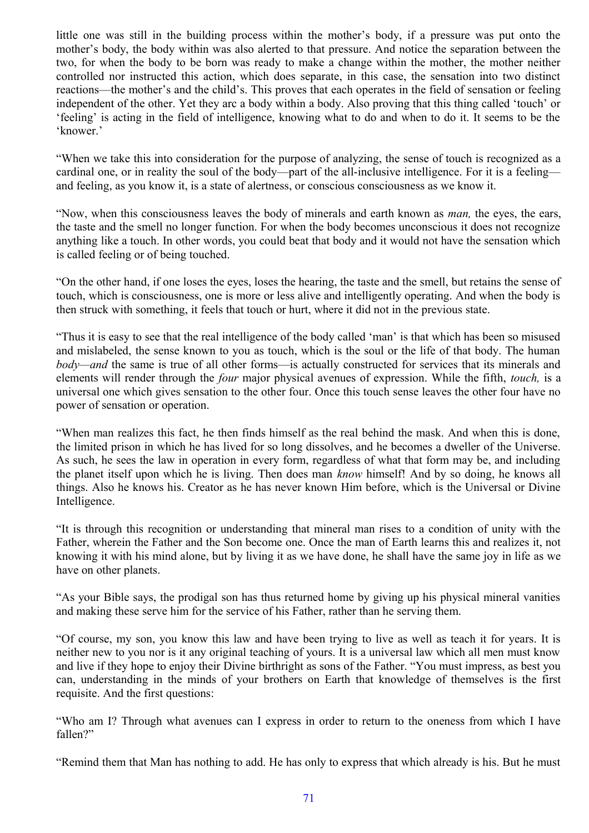little one was still in the building process within the mother's body, if a pressure was put onto the mother's body, the body within was also alerted to that pressure. And notice the separation between the two, for when the body to be born was ready to make a change within the mother, the mother neither controlled nor instructed this action, which does separate, in this case, the sensation into two distinct reactions—the mother's and the child's. This proves that each operates in the field of sensation or feeling independent of the other. Yet they arc a body within a body. Also proving that this thing called 'touch' or 'feeling' is acting in the field of intelligence, knowing what to do and when to do it. It seems to be the 'knower.'

"When we take this into consideration for the purpose of analyzing, the sense of touch is recognized as a cardinal one, or in reality the soul of the body—part of the all-inclusive intelligence. For it is a feeling and feeling, as you know it, is a state of alertness, or conscious consciousness as we know it.

"Now, when this consciousness leaves the body of minerals and earth known as *man,* the eyes, the ears, the taste and the smell no longer function. For when the body becomes unconscious it does not recognize anything like a touch. In other words, you could beat that body and it would not have the sensation which is called feeling or of being touched.

"On the other hand, if one loses the eyes, loses the hearing, the taste and the smell, but retains the sense of touch, which is consciousness, one is more or less alive and intelligently operating. And when the body is then struck with something, it feels that touch or hurt, where it did not in the previous state.

"Thus it is easy to see that the real intelligence of the body called 'man' is that which has been so misused and mislabeled, the sense known to you as touch, which is the soul or the life of that body. The human *body—and* the same is true of all other forms—is actually constructed for services that its minerals and elements will render through the *four* major physical avenues of expression. While the fifth, *touch,* is a universal one which gives sensation to the other four. Once this touch sense leaves the other four have no power of sensation or operation.

"When man realizes this fact, he then finds himself as the real behind the mask. And when this is done, the limited prison in which he has lived for so long dissolves, and he becomes a dweller of the Universe. As such, he sees the law in operation in every form, regardless of what that form may be, and including the planet itself upon which he is living. Then does man *know* himself! And by so doing, he knows all things. Also he knows his. Creator as he has never known Him before, which is the Universal or Divine Intelligence.

"It is through this recognition or understanding that mineral man rises to a condition of unity with the Father, wherein the Father and the Son become one. Once the man of Earth learns this and realizes it, not knowing it with his mind alone, but by living it as we have done, he shall have the same joy in life as we have on other planets.

"As your Bible says, the prodigal son has thus returned home by giving up his physical mineral vanities and making these serve him for the service of his Father, rather than he serving them.

"Of course, my son, you know this law and have been trying to live as well as teach it for years. It is neither new to you nor is it any original teaching of yours. It is a universal law which all men must know and live if they hope to enjoy their Divine birthright as sons of the Father. "You must impress, as best you can, understanding in the minds of your brothers on Earth that knowledge of themselves is the first requisite. And the first questions:

"Who am I? Through what avenues can I express in order to return to the oneness from which I have fallen?"

"Remind them that Man has nothing to add. He has only to express that which already is his. But he must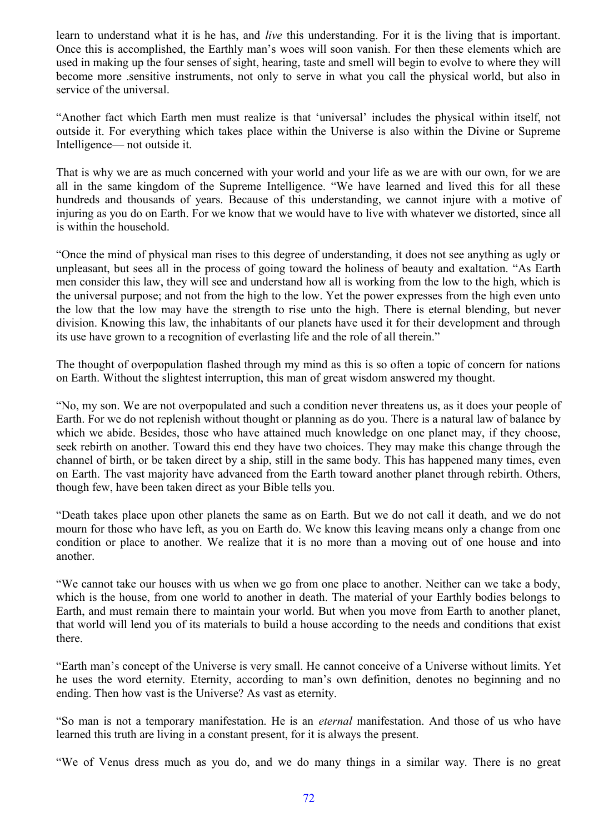learn to understand what it is he has, and *live* this understanding. For it is the living that is important. Once this is accomplished, the Earthly man's woes will soon vanish. For then these elements which are used in making up the four senses of sight, hearing, taste and smell will begin to evolve to where they will become more .sensitive instruments, not only to serve in what you call the physical world, but also in service of the universal.

"Another fact which Earth men must realize is that 'universal' includes the physical within itself, not outside it. For everything which takes place within the Universe is also within the Divine or Supreme Intelligence— not outside it.

That is why we are as much concerned with your world and your life as we are with our own, for we are all in the same kingdom of the Supreme Intelligence. "We have learned and lived this for all these hundreds and thousands of years. Because of this understanding, we cannot injure with a motive of injuring as you do on Earth. For we know that we would have to live with whatever we distorted, since all is within the household.

"Once the mind of physical man rises to this degree of understanding, it does not see anything as ugly or unpleasant, but sees all in the process of going toward the holiness of beauty and exaltation. "As Earth men consider this law, they will see and understand how all is working from the low to the high, which is the universal purpose; and not from the high to the low. Yet the power expresses from the high even unto the low that the low may have the strength to rise unto the high. There is eternal blending, but never division. Knowing this law, the inhabitants of our planets have used it for their development and through its use have grown to a recognition of everlasting life and the role of all therein."

The thought of overpopulation flashed through my mind as this is so often a topic of concern for nations on Earth. Without the slightest interruption, this man of great wisdom answered my thought.

"No, my son. We are not overpopulated and such a condition never threatens us, as it does your people of Earth. For we do not replenish without thought or planning as do you. There is a natural law of balance by which we abide. Besides, those who have attained much knowledge on one planet may, if they choose, seek rebirth on another. Toward this end they have two choices. They may make this change through the channel of birth, or be taken direct by a ship, still in the same body. This has happened many times, even on Earth. The vast majority have advanced from the Earth toward another planet through rebirth. Others, though few, have been taken direct as your Bible tells you.

"Death takes place upon other planets the same as on Earth. But we do not call it death, and we do not mourn for those who have left, as you on Earth do. We know this leaving means only a change from one condition or place to another. We realize that it is no more than a moving out of one house and into another.

"We cannot take our houses with us when we go from one place to another. Neither can we take a body, which is the house, from one world to another in death. The material of your Earthly bodies belongs to Earth, and must remain there to maintain your world. But when you move from Earth to another planet, that world will lend you of its materials to build a house according to the needs and conditions that exist there.

"Earth man's concept of the Universe is very small. He cannot conceive of a Universe without limits. Yet he uses the word eternity. Eternity, according to man's own definition, denotes no beginning and no ending. Then how vast is the Universe? As vast as eternity.

"So man is not a temporary manifestation. He is an *eternal* manifestation. And those of us who have learned this truth are living in a constant present, for it is always the present.

"We of Venus dress much as you do, and we do many things in a similar way. There is no great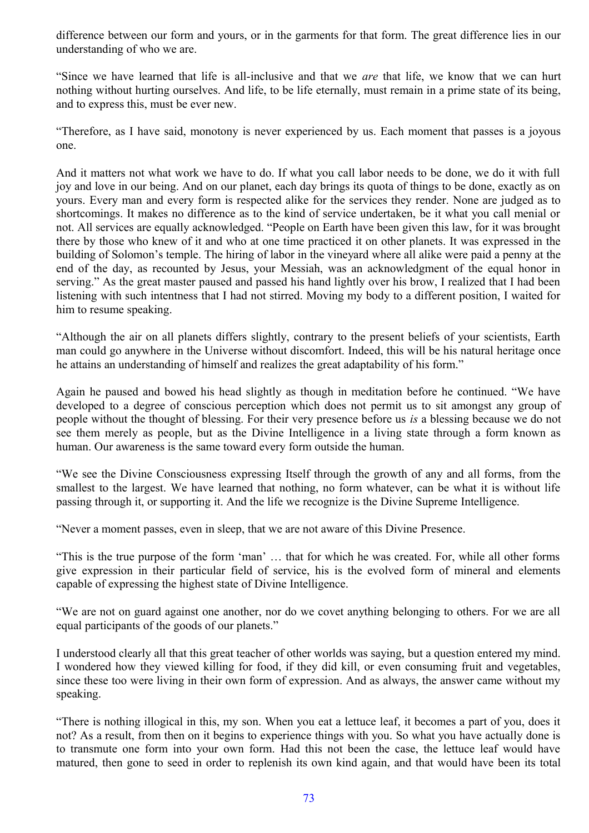difference between our form and yours, or in the garments for that form. The great difference lies in our understanding of who we are.

"Since we have learned that life is all-inclusive and that we *are* that life, we know that we can hurt nothing without hurting ourselves. And life, to be life eternally, must remain in a prime state of its being, and to express this, must be ever new.

"Therefore, as I have said, monotony is never experienced by us. Each moment that passes is a joyous one.

And it matters not what work we have to do. If what you call labor needs to be done, we do it with full joy and love in our being. And on our planet, each day brings its quota of things to be done, exactly as on yours. Every man and every form is respected alike for the services they render. None are judged as to shortcomings. It makes no difference as to the kind of service undertaken, be it what you call menial or not. All services are equally acknowledged. "People on Earth have been given this law, for it was brought there by those who knew of it and who at one time practiced it on other planets. It was expressed in the building of Solomon's temple. The hiring of labor in the vineyard where all alike were paid a penny at the end of the day, as recounted by Jesus, your Messiah, was an acknowledgment of the equal honor in serving." As the great master paused and passed his hand lightly over his brow, I realized that I had been listening with such intentness that I had not stirred. Moving my body to a different position, I waited for him to resume speaking.

"Although the air on all planets differs slightly, contrary to the present beliefs of your scientists, Earth man could go anywhere in the Universe without discomfort. Indeed, this will be his natural heritage once he attains an understanding of himself and realizes the great adaptability of his form."

Again he paused and bowed his head slightly as though in meditation before he continued. "We have developed to a degree of conscious perception which does not permit us to sit amongst any group of people without the thought of blessing. For their very presence before us *is* a blessing because we do not see them merely as people, but as the Divine Intelligence in a living state through a form known as human. Our awareness is the same toward every form outside the human.

"We see the Divine Consciousness expressing Itself through the growth of any and all forms, from the smallest to the largest. We have learned that nothing, no form whatever, can be what it is without life passing through it, or supporting it. And the life we recognize is the Divine Supreme Intelligence.

"Never a moment passes, even in sleep, that we are not aware of this Divine Presence.

"This is the true purpose of the form 'man' … that for which he was created. For, while all other forms give expression in their particular field of service, his is the evolved form of mineral and elements capable of expressing the highest state of Divine Intelligence.

"We are not on guard against one another, nor do we covet anything belonging to others. For we are all equal participants of the goods of our planets."

I understood clearly all that this great teacher of other worlds was saying, but a question entered my mind. I wondered how they viewed killing for food, if they did kill, or even consuming fruit and vegetables, since these too were living in their own form of expression. And as always, the answer came without my speaking.

"There is nothing illogical in this, my son. When you eat a lettuce leaf, it becomes a part of you, does it not? As a result, from then on it begins to experience things with you. So what you have actually done is to transmute one form into your own form. Had this not been the case, the lettuce leaf would have matured, then gone to seed in order to replenish its own kind again, and that would have been its total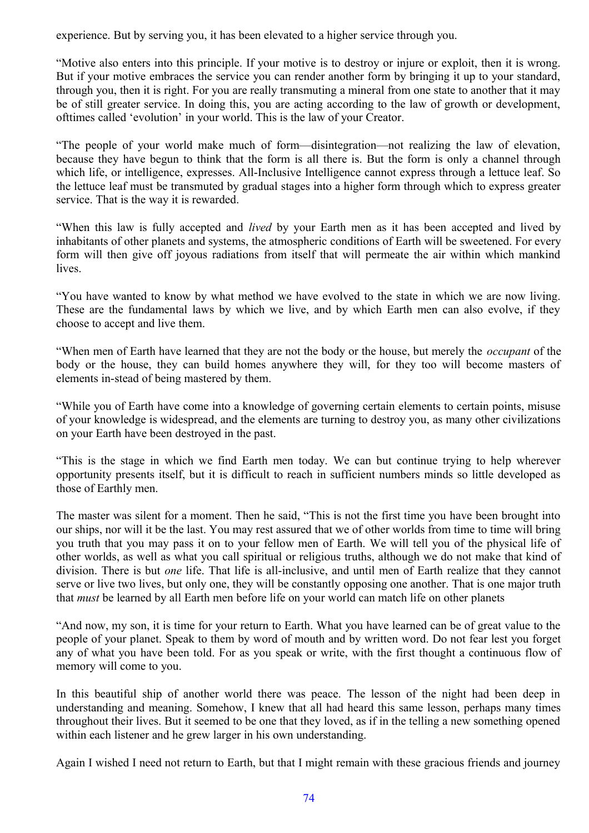experience. But by serving you, it has been elevated to a higher service through you.

"Motive also enters into this principle. If your motive is to destroy or injure or exploit, then it is wrong. But if your motive embraces the service you can render another form by bringing it up to your standard, through you, then it is right. For you are really transmuting a mineral from one state to another that it may be of still greater service. In doing this, you are acting according to the law of growth or development, ofttimes called 'evolution' in your world. This is the law of your Creator.

"The people of your world make much of form—disintegration—not realizing the law of elevation, because they have begun to think that the form is all there is. But the form is only a channel through which life, or intelligence, expresses. All-Inclusive Intelligence cannot express through a lettuce leaf. So the lettuce leaf must be transmuted by gradual stages into a higher form through which to express greater service. That is the way it is rewarded.

"When this law is fully accepted and *lived* by your Earth men as it has been accepted and lived by inhabitants of other planets and systems, the atmospheric conditions of Earth will be sweetened. For every form will then give off joyous radiations from itself that will permeate the air within which mankind lives.

"You have wanted to know by what method we have evolved to the state in which we are now living. These are the fundamental laws by which we live, and by which Earth men can also evolve, if they choose to accept and live them.

"When men of Earth have learned that they are not the body or the house, but merely the *occupant* of the body or the house, they can build homes anywhere they will, for they too will become masters of elements in-stead of being mastered by them.

"While you of Earth have come into a knowledge of governing certain elements to certain points, misuse of your knowledge is widespread, and the elements are turning to destroy you, as many other civilizations on your Earth have been destroyed in the past.

"This is the stage in which we find Earth men today. We can but continue trying to help wherever opportunity presents itself, but it is difficult to reach in sufficient numbers minds so little developed as those of Earthly men.

The master was silent for a moment. Then he said, "This is not the first time you have been brought into our ships, nor will it be the last. You may rest assured that we of other worlds from time to time will bring you truth that you may pass it on to your fellow men of Earth. We will tell you of the physical life of other worlds, as well as what you call spiritual or religious truths, although we do not make that kind of division. There is but *one* life. That life is all-inclusive, and until men of Earth realize that they cannot serve or live two lives, but only one, they will be constantly opposing one another. That is one major truth that *must* be learned by all Earth men before life on your world can match life on other planets

"And now, my son, it is time for your return to Earth. What you have learned can be of great value to the people of your planet. Speak to them by word of mouth and by written word. Do not fear lest you forget any of what you have been told. For as you speak or write, with the first thought a continuous flow of memory will come to you.

In this beautiful ship of another world there was peace. The lesson of the night had been deep in understanding and meaning. Somehow, I knew that all had heard this same lesson, perhaps many times throughout their lives. But it seemed to be one that they loved, as if in the telling a new something opened within each listener and he grew larger in his own understanding.

Again I wished I need not return to Earth, but that I might remain with these gracious friends and journey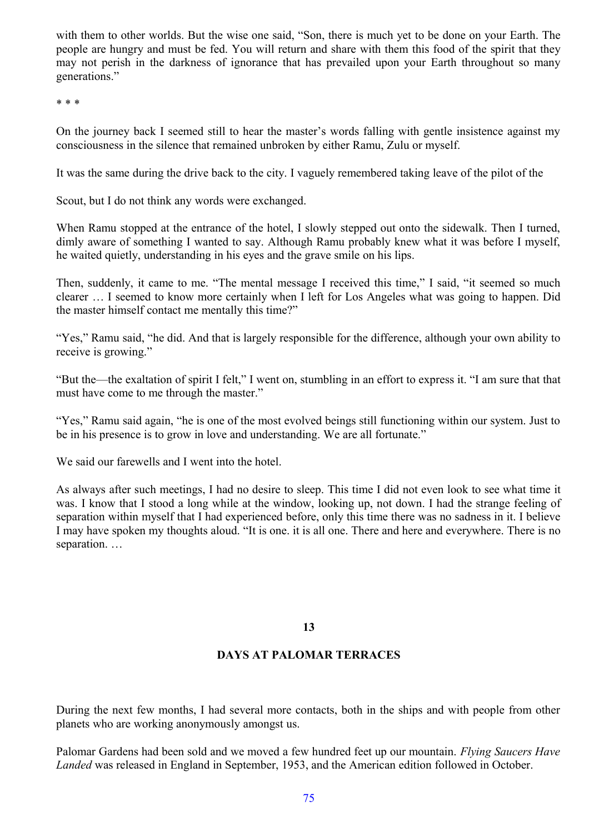with them to other worlds. But the wise one said, "Son, there is much yet to be done on your Earth. The people are hungry and must be fed. You will return and share with them this food of the spirit that they may not perish in the darkness of ignorance that has prevailed upon your Earth throughout so many generations."

\* \* \*

On the journey back I seemed still to hear the master's words falling with gentle insistence against my consciousness in the silence that remained unbroken by either Ramu, Zulu or myself.

It was the same during the drive back to the city. I vaguely remembered taking leave of the pilot of the

Scout, but I do not think any words were exchanged.

When Ramu stopped at the entrance of the hotel, I slowly stepped out onto the sidewalk. Then I turned, dimly aware of something I wanted to say. Although Ramu probably knew what it was before I myself, he waited quietly, understanding in his eyes and the grave smile on his lips.

Then, suddenly, it came to me. "The mental message I received this time," I said, "it seemed so much clearer … I seemed to know more certainly when I left for Los Angeles what was going to happen. Did the master himself contact me mentally this time?"

"Yes," Ramu said, "he did. And that is largely responsible for the difference, although your own ability to receive is growing."

"But the—the exaltation of spirit I felt," I went on, stumbling in an effort to express it. "I am sure that that must have come to me through the master."

"Yes," Ramu said again, "he is one of the most evolved beings still functioning within our system. Just to be in his presence is to grow in love and understanding. We are all fortunate."

We said our farewells and I went into the hotel.

As always after such meetings, I had no desire to sleep. This time I did not even look to see what time it was. I know that I stood a long while at the window, looking up, not down. I had the strange feeling of separation within myself that I had experienced before, only this time there was no sadness in it. I believe I may have spoken my thoughts aloud. "It is one. it is all one. There and here and everywhere. There is no separation. …

## **13**

#### **DAYS AT PALOMAR TERRACES**

During the next few months, I had several more contacts, both in the ships and with people from other planets who are working anonymously amongst us.

Palomar Gardens had been sold and we moved a few hundred feet up our mountain. *Flying Saucers Have Landed* was released in England in September, 1953, and the American edition followed in October.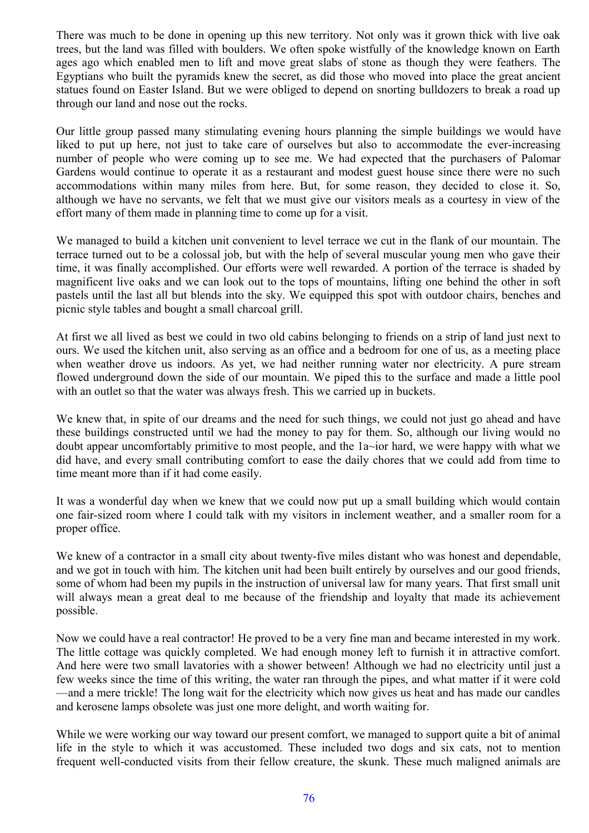There was much to be done in opening up this new territory. Not only was it grown thick with live oak trees, but the land was filled with boulders. We often spoke wistfully of the knowledge known on Earth ages ago which enabled men to lift and move great slabs of stone as though they were feathers. The Egyptians who built the pyramids knew the secret, as did those who moved into place the great ancient statues found on Easter Island. But we were obliged to depend on snorting bulldozers to break a road up through our land and nose out the rocks.

Our little group passed many stimulating evening hours planning the simple buildings we would have liked to put up here, not just to take care of ourselves but also to accommodate the ever-increasing number of people who were coming up to see me. We had expected that the purchasers of Palomar Gardens would continue to operate it as a restaurant and modest guest house since there were no such accommodations within many miles from here. But, for some reason, they decided to close it. So, although we have no servants, we felt that we must give our visitors meals as a courtesy in view of the effort many of them made in planning time to come up for a visit.

We managed to build a kitchen unit convenient to level terrace we cut in the flank of our mountain. The terrace turned out to be a colossal job, but with the help of several muscular young men who gave their time, it was finally accomplished. Our efforts were well rewarded. A portion of the terrace is shaded by magnificent live oaks and we can look out to the tops of mountains, lifting one behind the other in soft pastels until the last all but blends into the sky. We equipped this spot with outdoor chairs, benches and picnic style tables and bought a small charcoal grill.

At first we all lived as best we could in two old cabins belonging to friends on a strip of land just next to ours. We used the kitchen unit, also serving as an office and a bedroom for one of us, as a meeting place when weather drove us indoors. As yet, we had neither running water nor electricity. A pure stream flowed underground down the side of our mountain. We piped this to the surface and made a little pool with an outlet so that the water was always fresh. This we carried up in buckets.

We knew that, in spite of our dreams and the need for such things, we could not just go ahead and have these buildings constructed until we had the money to pay for them. So, although our living would no doubt appear uncomfortably primitive to most people, and the 1a~ior hard, we were happy with what we did have, and every small contributing comfort to ease the daily chores that we could add from time to time meant more than if it had come easily.

It was a wonderful day when we knew that we could now put up a small building which would contain one fair-sized room where I could talk with my visitors in inclement weather, and a smaller room for a proper office.

We knew of a contractor in a small city about twenty-five miles distant who was honest and dependable, and we got in touch with him. The kitchen unit had been built entirely by ourselves and our good friends, some of whom had been my pupils in the instruction of universal law for many years. That first small unit will always mean a great deal to me because of the friendship and loyalty that made its achievement possible.

Now we could have a real contractor! He proved to be a very fine man and became interested in my work. The little cottage was quickly completed. We had enough money left to furnish it in attractive comfort. And here were two small lavatories with a shower between! Although we had no electricity until just a few weeks since the time of this writing, the water ran through the pipes, and what matter if it were cold —and a mere trickle! The long wait for the electricity which now gives us heat and has made our candles and kerosene lamps obsolete was just one more delight, and worth waiting for.

While we were working our way toward our present comfort, we managed to support quite a bit of animal life in the style to which it was accustomed. These included two dogs and six cats, not to mention frequent well-conducted visits from their fellow creature, the skunk. These much maligned animals are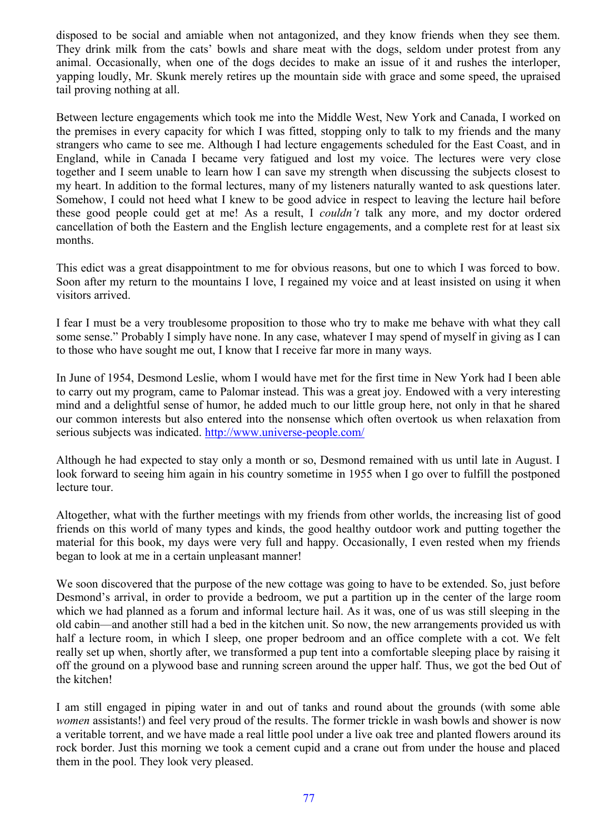disposed to be social and amiable when not antagonized, and they know friends when they see them. They drink milk from the cats' bowls and share meat with the dogs, seldom under protest from any animal. Occasionally, when one of the dogs decides to make an issue of it and rushes the interloper, yapping loudly, Mr. Skunk merely retires up the mountain side with grace and some speed, the upraised tail proving nothing at all.

Between lecture engagements which took me into the Middle West, New York and Canada, I worked on the premises in every capacity for which I was fitted, stopping only to talk to my friends and the many strangers who came to see me. Although I had lecture engagements scheduled for the East Coast, and in England, while in Canada I became very fatigued and lost my voice. The lectures were very close together and I seem unable to learn how I can save my strength when discussing the subjects closest to my heart. In addition to the formal lectures, many of my listeners naturally wanted to ask questions later. Somehow, I could not heed what I knew to be good advice in respect to leaving the lecture hail before these good people could get at me! As a result, I *couldn't* talk any more, and my doctor ordered cancellation of both the Eastern and the English lecture engagements, and a complete rest for at least six months.

This edict was a great disappointment to me for obvious reasons, but one to which I was forced to bow. Soon after my return to the mountains I love, I regained my voice and at least insisted on using it when visitors arrived.

I fear I must be a very troublesome proposition to those who try to make me behave with what they call some sense." Probably I simply have none. In any case, whatever I may spend of myself in giving as I can to those who have sought me out, I know that I receive far more in many ways.

In June of 1954, Desmond Leslie, whom I would have met for the first time in New York had I been able to carry out my program, came to Palomar instead. This was a great joy. Endowed with a very interesting mind and a delightful sense of humor, he added much to our little group here, not only in that he shared our common interests but also entered into the nonsense which often overtook us when relaxation from serious subjects was indicated.<http://www.universe-people.com/>

Although he had expected to stay only a month or so, Desmond remained with us until late in August. I look forward to seeing him again in his country sometime in 1955 when I go over to fulfill the postponed lecture tour.

Altogether, what with the further meetings with my friends from other worlds, the increasing list of good friends on this world of many types and kinds, the good healthy outdoor work and putting together the material for this book, my days were very full and happy. Occasionally, I even rested when my friends began to look at me in a certain unpleasant manner!

We soon discovered that the purpose of the new cottage was going to have to be extended. So, just before Desmond's arrival, in order to provide a bedroom, we put a partition up in the center of the large room which we had planned as a forum and informal lecture hail. As it was, one of us was still sleeping in the old cabin—and another still had a bed in the kitchen unit. So now, the new arrangements provided us with half a lecture room, in which I sleep, one proper bedroom and an office complete with a cot. We felt really set up when, shortly after, we transformed a pup tent into a comfortable sleeping place by raising it off the ground on a plywood base and running screen around the upper half. Thus, we got the bed Out of the kitchen!

I am still engaged in piping water in and out of tanks and round about the grounds (with some able *women* assistants!) and feel very proud of the results. The former trickle in wash bowls and shower is now a veritable torrent, and we have made a real little pool under a live oak tree and planted flowers around its rock border. Just this morning we took a cement cupid and a crane out from under the house and placed them in the pool. They look very pleased.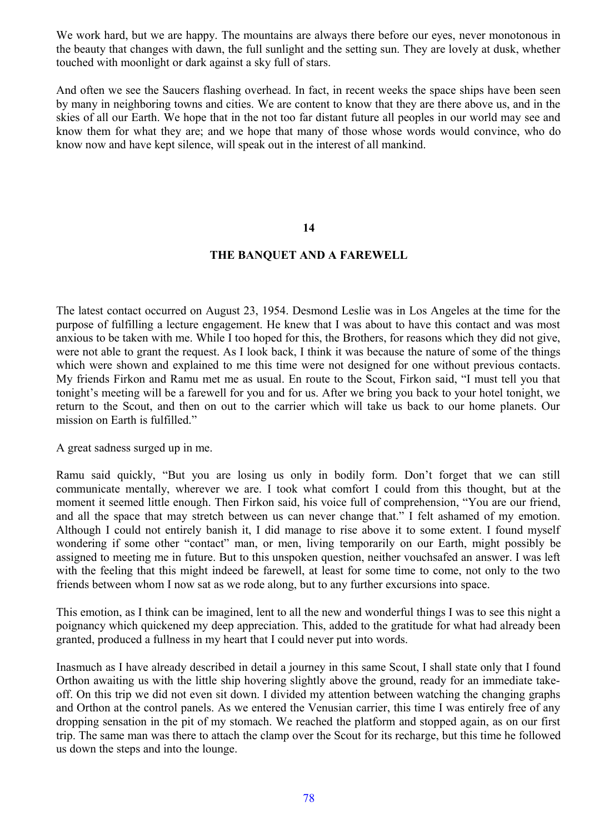We work hard, but we are happy. The mountains are always there before our eyes, never monotonous in the beauty that changes with dawn, the full sunlight and the setting sun. They are lovely at dusk, whether touched with moonlight or dark against a sky full of stars.

And often we see the Saucers flashing overhead. In fact, in recent weeks the space ships have been seen by many in neighboring towns and cities. We are content to know that they are there above us, and in the skies of all our Earth. We hope that in the not too far distant future all peoples in our world may see and know them for what they are; and we hope that many of those whose words would convince, who do know now and have kept silence, will speak out in the interest of all mankind.

#### **14**

#### **THE BANQUET AND A FAREWELL**

The latest contact occurred on August 23, 1954. Desmond Leslie was in Los Angeles at the time for the purpose of fulfilling a lecture engagement. He knew that I was about to have this contact and was most anxious to be taken with me. While I too hoped for this, the Brothers, for reasons which they did not give, were not able to grant the request. As I look back, I think it was because the nature of some of the things which were shown and explained to me this time were not designed for one without previous contacts. My friends Firkon and Ramu met me as usual. En route to the Scout, Firkon said, "I must tell you that tonight's meeting will be a farewell for you and for us. After we bring you back to your hotel tonight, we return to the Scout, and then on out to the carrier which will take us back to our home planets. Our mission on Earth is fulfilled."

A great sadness surged up in me.

Ramu said quickly, "But you are losing us only in bodily form. Don't forget that we can still communicate mentally, wherever we are. I took what comfort I could from this thought, but at the moment it seemed little enough. Then Firkon said, his voice full of comprehension, "You are our friend, and all the space that may stretch between us can never change that." I felt ashamed of my emotion. Although I could not entirely banish it, I did manage to rise above it to some extent. I found myself wondering if some other "contact" man, or men, living temporarily on our Earth, might possibly be assigned to meeting me in future. But to this unspoken question, neither vouchsafed an answer. I was left with the feeling that this might indeed be farewell, at least for some time to come, not only to the two friends between whom I now sat as we rode along, but to any further excursions into space.

This emotion, as I think can be imagined, lent to all the new and wonderful things I was to see this night a poignancy which quickened my deep appreciation. This, added to the gratitude for what had already been granted, produced a fullness in my heart that I could never put into words.

Inasmuch as I have already described in detail a journey in this same Scout, I shall state only that I found Orthon awaiting us with the little ship hovering slightly above the ground, ready for an immediate takeoff. On this trip we did not even sit down. I divided my attention between watching the changing graphs and Orthon at the control panels. As we entered the Venusian carrier, this time I was entirely free of any dropping sensation in the pit of my stomach. We reached the platform and stopped again, as on our first trip. The same man was there to attach the clamp over the Scout for its recharge, but this time he followed us down the steps and into the lounge.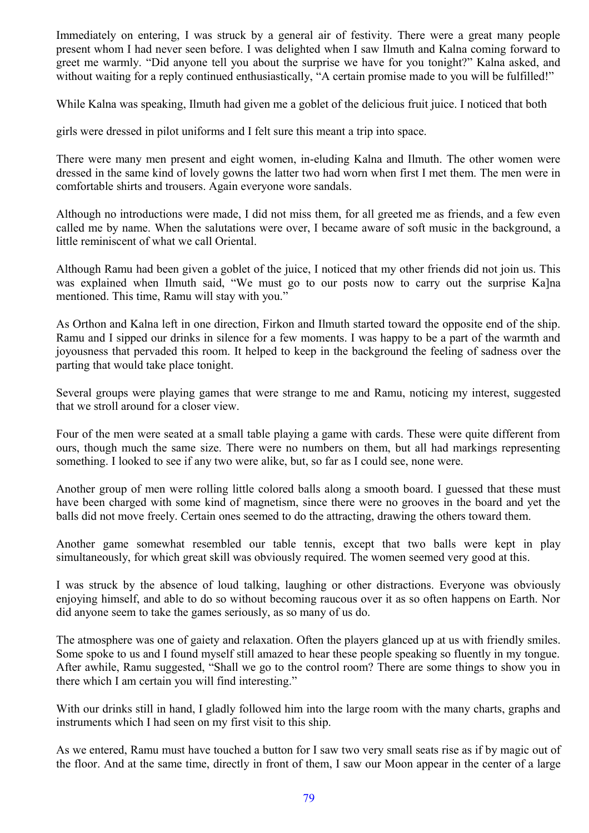Immediately on entering, I was struck by a general air of festivity. There were a great many people present whom I had never seen before. I was delighted when I saw Ilmuth and Kalna coming forward to greet me warmly. "Did anyone tell you about the surprise we have for you tonight?" Kalna asked, and without waiting for a reply continued enthusiastically, "A certain promise made to you will be fulfilled!"

While Kalna was speaking, Ilmuth had given me a goblet of the delicious fruit juice. I noticed that both

girls were dressed in pilot uniforms and I felt sure this meant a trip into space.

There were many men present and eight women, in-eluding Kalna and Ilmuth. The other women were dressed in the same kind of lovely gowns the latter two had worn when first I met them. The men were in comfortable shirts and trousers. Again everyone wore sandals.

Although no introductions were made, I did not miss them, for all greeted me as friends, and a few even called me by name. When the salutations were over, I became aware of soft music in the background, a little reminiscent of what we call Oriental.

Although Ramu had been given a goblet of the juice, I noticed that my other friends did not join us. This was explained when Ilmuth said, "We must go to our posts now to carry out the surprise Ka]na mentioned. This time, Ramu will stay with you."

As Orthon and Kalna left in one direction, Firkon and Ilmuth started toward the opposite end of the ship. Ramu and I sipped our drinks in silence for a few moments. I was happy to be a part of the warmth and joyousness that pervaded this room. It helped to keep in the background the feeling of sadness over the parting that would take place tonight.

Several groups were playing games that were strange to me and Ramu, noticing my interest, suggested that we stroll around for a closer view.

Four of the men were seated at a small table playing a game with cards. These were quite different from ours, though much the same size. There were no numbers on them, but all had markings representing something. I looked to see if any two were alike, but, so far as I could see, none were.

Another group of men were rolling little colored balls along a smooth board. I guessed that these must have been charged with some kind of magnetism, since there were no grooves in the board and yet the balls did not move freely. Certain ones seemed to do the attracting, drawing the others toward them.

Another game somewhat resembled our table tennis, except that two balls were kept in play simultaneously, for which great skill was obviously required. The women seemed very good at this.

I was struck by the absence of loud talking, laughing or other distractions. Everyone was obviously enjoying himself, and able to do so without becoming raucous over it as so often happens on Earth. Nor did anyone seem to take the games seriously, as so many of us do.

The atmosphere was one of gaiety and relaxation. Often the players glanced up at us with friendly smiles. Some spoke to us and I found myself still amazed to hear these people speaking so fluently in my tongue. After awhile, Ramu suggested, "Shall we go to the control room? There are some things to show you in there which I am certain you will find interesting."

With our drinks still in hand, I gladly followed him into the large room with the many charts, graphs and instruments which I had seen on my first visit to this ship.

As we entered, Ramu must have touched a button for I saw two very small seats rise as if by magic out of the floor. And at the same time, directly in front of them, I saw our Moon appear in the center of a large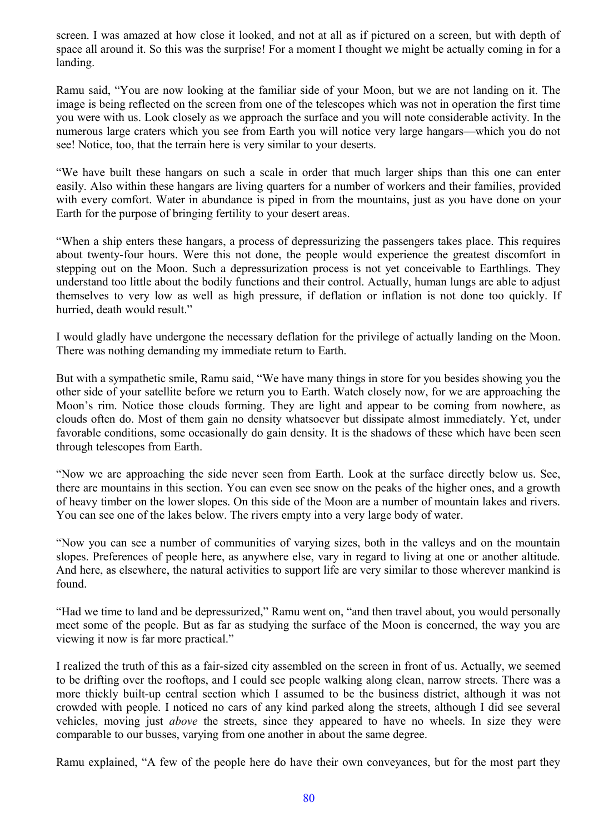screen. I was amazed at how close it looked, and not at all as if pictured on a screen, but with depth of space all around it. So this was the surprise! For a moment I thought we might be actually coming in for a landing.

Ramu said, "You are now looking at the familiar side of your Moon, but we are not landing on it. The image is being reflected on the screen from one of the telescopes which was not in operation the first time you were with us. Look closely as we approach the surface and you will note considerable activity. In the numerous large craters which you see from Earth you will notice very large hangars—which you do not see! Notice, too, that the terrain here is very similar to your deserts.

"We have built these hangars on such a scale in order that much larger ships than this one can enter easily. Also within these hangars are living quarters for a number of workers and their families, provided with every comfort. Water in abundance is piped in from the mountains, just as you have done on your Earth for the purpose of bringing fertility to your desert areas.

"When a ship enters these hangars, a process of depressurizing the passengers takes place. This requires about twenty-four hours. Were this not done, the people would experience the greatest discomfort in stepping out on the Moon. Such a depressurization process is not yet conceivable to Earthlings. They understand too little about the bodily functions and their control. Actually, human lungs are able to adjust themselves to very low as well as high pressure, if deflation or inflation is not done too quickly. If hurried, death would result."

I would gladly have undergone the necessary deflation for the privilege of actually landing on the Moon. There was nothing demanding my immediate return to Earth.

But with a sympathetic smile, Ramu said, "We have many things in store for you besides showing you the other side of your satellite before we return you to Earth. Watch closely now, for we are approaching the Moon's rim. Notice those clouds forming. They are light and appear to be coming from nowhere, as clouds often do. Most of them gain no density whatsoever but dissipate almost immediately. Yet, under favorable conditions, some occasionally do gain density. It is the shadows of these which have been seen through telescopes from Earth.

"Now we are approaching the side never seen from Earth. Look at the surface directly below us. See, there are mountains in this section. You can even see snow on the peaks of the higher ones, and a growth of heavy timber on the lower slopes. On this side of the Moon are a number of mountain lakes and rivers. You can see one of the lakes below. The rivers empty into a very large body of water.

"Now you can see a number of communities of varying sizes, both in the valleys and on the mountain slopes. Preferences of people here, as anywhere else, vary in regard to living at one or another altitude. And here, as elsewhere, the natural activities to support life are very similar to those wherever mankind is found.

"Had we time to land and be depressurized," Ramu went on, "and then travel about, you would personally meet some of the people. But as far as studying the surface of the Moon is concerned, the way you are viewing it now is far more practical."

I realized the truth of this as a fair-sized city assembled on the screen in front of us. Actually, we seemed to be drifting over the rooftops, and I could see people walking along clean, narrow streets. There was a more thickly built-up central section which I assumed to be the business district, although it was not crowded with people. I noticed no cars of any kind parked along the streets, although I did see several vehicles, moving just *above* the streets, since they appeared to have no wheels. In size they were comparable to our busses, varying from one another in about the same degree.

Ramu explained, "A few of the people here do have their own conveyances, but for the most part they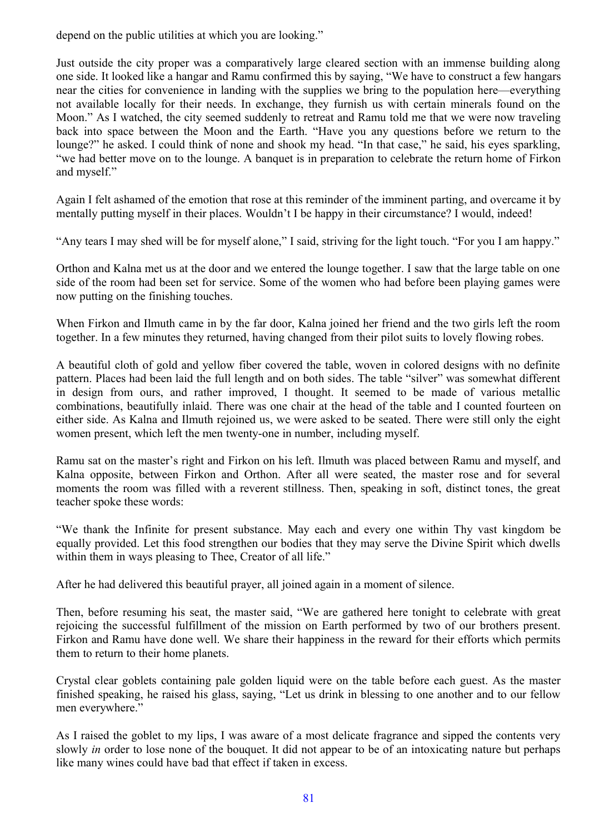depend on the public utilities at which you are looking."

Just outside the city proper was a comparatively large cleared section with an immense building along one side. It looked like a hangar and Ramu confirmed this by saying, "We have to construct a few hangars near the cities for convenience in landing with the supplies we bring to the population here—everything not available locally for their needs. In exchange, they furnish us with certain minerals found on the Moon." As I watched, the city seemed suddenly to retreat and Ramu told me that we were now traveling back into space between the Moon and the Earth. "Have you any questions before we return to the lounge?" he asked. I could think of none and shook my head. "In that case," he said, his eyes sparkling, "we had better move on to the lounge. A banquet is in preparation to celebrate the return home of Firkon and myself."

Again I felt ashamed of the emotion that rose at this reminder of the imminent parting, and overcame it by mentally putting myself in their places. Wouldn't I be happy in their circumstance? I would, indeed!

"Any tears I may shed will be for myself alone," I said, striving for the light touch. "For you I am happy."

Orthon and Kalna met us at the door and we entered the lounge together. I saw that the large table on one side of the room had been set for service. Some of the women who had before been playing games were now putting on the finishing touches.

When Firkon and Ilmuth came in by the far door, Kalna joined her friend and the two girls left the room together. In a few minutes they returned, having changed from their pilot suits to lovely flowing robes.

A beautiful cloth of gold and yellow fiber covered the table, woven in colored designs with no definite pattern. Places had been laid the full length and on both sides. The table "silver" was somewhat different in design from ours, and rather improved, I thought. It seemed to be made of various metallic combinations, beautifully inlaid. There was one chair at the head of the table and I counted fourteen on either side. As Kalna and Ilmuth rejoined us, we were asked to be seated. There were still only the eight women present, which left the men twenty-one in number, including myself.

Ramu sat on the master's right and Firkon on his left. Ilmuth was placed between Ramu and myself, and Kalna opposite, between Firkon and Orthon. After all were seated, the master rose and for several moments the room was filled with a reverent stillness. Then, speaking in soft, distinct tones, the great teacher spoke these words:

"We thank the Infinite for present substance. May each and every one within Thy vast kingdom be equally provided. Let this food strengthen our bodies that they may serve the Divine Spirit which dwells within them in ways pleasing to Thee, Creator of all life."

After he had delivered this beautiful prayer, all joined again in a moment of silence.

Then, before resuming his seat, the master said, "We are gathered here tonight to celebrate with great rejoicing the successful fulfillment of the mission on Earth performed by two of our brothers present. Firkon and Ramu have done well. We share their happiness in the reward for their efforts which permits them to return to their home planets.

Crystal clear goblets containing pale golden liquid were on the table before each guest. As the master finished speaking, he raised his glass, saying, "Let us drink in blessing to one another and to our fellow men everywhere."

As I raised the goblet to my lips, I was aware of a most delicate fragrance and sipped the contents very slowly *in* order to lose none of the bouquet. It did not appear to be of an intoxicating nature but perhaps like many wines could have bad that effect if taken in excess.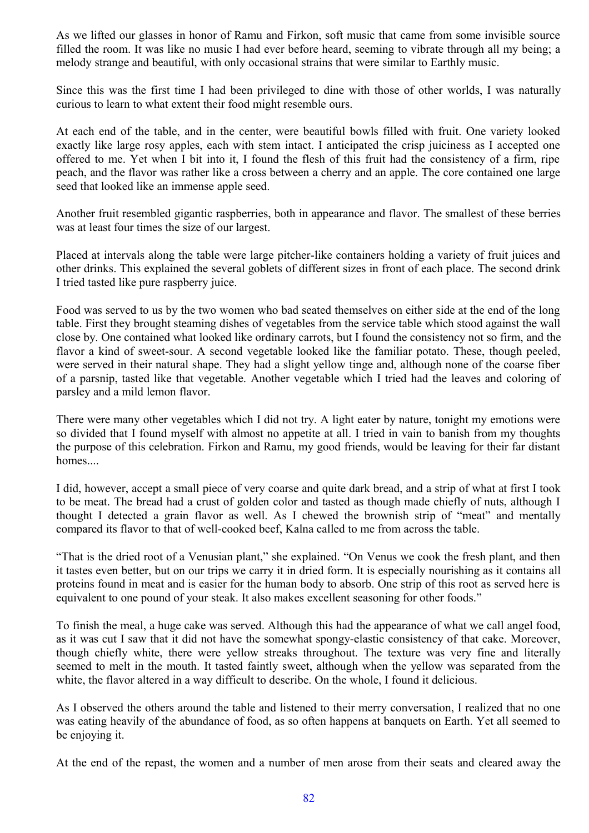As we lifted our glasses in honor of Ramu and Firkon, soft music that came from some invisible source filled the room. It was like no music I had ever before heard, seeming to vibrate through all my being; a melody strange and beautiful, with only occasional strains that were similar to Earthly music.

Since this was the first time I had been privileged to dine with those of other worlds, I was naturally curious to learn to what extent their food might resemble ours.

At each end of the table, and in the center, were beautiful bowls filled with fruit. One variety looked exactly like large rosy apples, each with stem intact. I anticipated the crisp juiciness as I accepted one offered to me. Yet when I bit into it, I found the flesh of this fruit had the consistency of a firm, ripe peach, and the flavor was rather like a cross between a cherry and an apple. The core contained one large seed that looked like an immense apple seed.

Another fruit resembled gigantic raspberries, both in appearance and flavor. The smallest of these berries was at least four times the size of our largest.

Placed at intervals along the table were large pitcher-like containers holding a variety of fruit juices and other drinks. This explained the several goblets of different sizes in front of each place. The second drink I tried tasted like pure raspberry juice.

Food was served to us by the two women who bad seated themselves on either side at the end of the long table. First they brought steaming dishes of vegetables from the service table which stood against the wall close by. One contained what looked like ordinary carrots, but I found the consistency not so firm, and the flavor a kind of sweet-sour. A second vegetable looked like the familiar potato. These, though peeled, were served in their natural shape. They had a slight yellow tinge and, although none of the coarse fiber of a parsnip, tasted like that vegetable. Another vegetable which I tried had the leaves and coloring of parsley and a mild lemon flavor.

There were many other vegetables which I did not try. A light eater by nature, tonight my emotions were so divided that I found myself with almost no appetite at all. I tried in vain to banish from my thoughts the purpose of this celebration. Firkon and Ramu, my good friends, would be leaving for their far distant homes....

I did, however, accept a small piece of very coarse and quite dark bread, and a strip of what at first I took to be meat. The bread had a crust of golden color and tasted as though made chiefly of nuts, although I thought I detected a grain flavor as well. As I chewed the brownish strip of "meat" and mentally compared its flavor to that of well-cooked beef, Kalna called to me from across the table.

"That is the dried root of a Venusian plant," she explained. "On Venus we cook the fresh plant, and then it tastes even better, but on our trips we carry it in dried form. It is especially nourishing as it contains all proteins found in meat and is easier for the human body to absorb. One strip of this root as served here is equivalent to one pound of your steak. It also makes excellent seasoning for other foods."

To finish the meal, a huge cake was served. Although this had the appearance of what we call angel food, as it was cut I saw that it did not have the somewhat spongy-elastic consistency of that cake. Moreover, though chiefly white, there were yellow streaks throughout. The texture was very fine and literally seemed to melt in the mouth. It tasted faintly sweet, although when the yellow was separated from the white, the flavor altered in a way difficult to describe. On the whole, I found it delicious.

As I observed the others around the table and listened to their merry conversation, I realized that no one was eating heavily of the abundance of food, as so often happens at banquets on Earth. Yet all seemed to be enjoying it.

At the end of the repast, the women and a number of men arose from their seats and cleared away the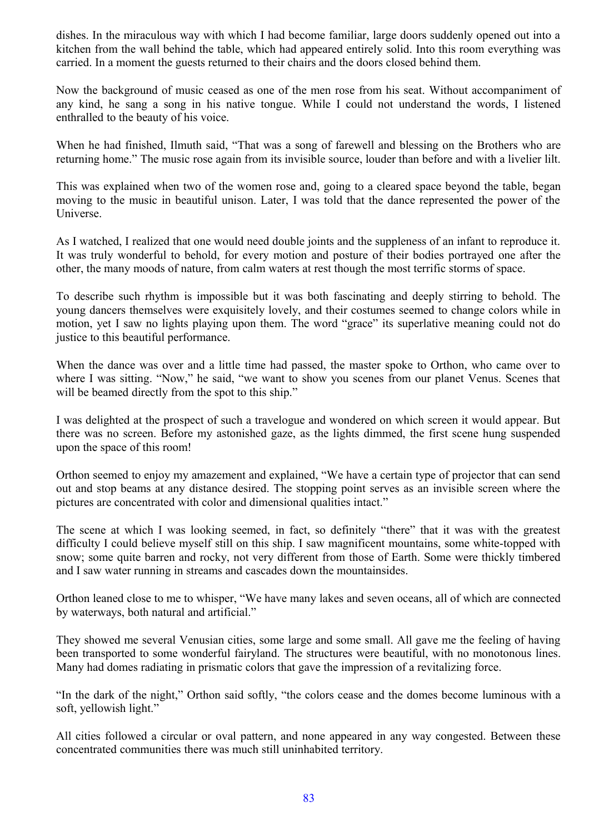dishes. In the miraculous way with which I had become familiar, large doors suddenly opened out into a kitchen from the wall behind the table, which had appeared entirely solid. Into this room everything was carried. In a moment the guests returned to their chairs and the doors closed behind them.

Now the background of music ceased as one of the men rose from his seat. Without accompaniment of any kind, he sang a song in his native tongue. While I could not understand the words, I listened enthralled to the beauty of his voice.

When he had finished, Ilmuth said, "That was a song of farewell and blessing on the Brothers who are returning home." The music rose again from its invisible source, louder than before and with a livelier lilt.

This was explained when two of the women rose and, going to a cleared space beyond the table, began moving to the music in beautiful unison. Later, I was told that the dance represented the power of the Universe.

As I watched, I realized that one would need double joints and the suppleness of an infant to reproduce it. It was truly wonderful to behold, for every motion and posture of their bodies portrayed one after the other, the many moods of nature, from calm waters at rest though the most terrific storms of space.

To describe such rhythm is impossible but it was both fascinating and deeply stirring to behold. The young dancers themselves were exquisitely lovely, and their costumes seemed to change colors while in motion, yet I saw no lights playing upon them. The word "grace" its superlative meaning could not do justice to this beautiful performance.

When the dance was over and a little time had passed, the master spoke to Orthon, who came over to where I was sitting. "Now," he said, "we want to show you scenes from our planet Venus. Scenes that will be beamed directly from the spot to this ship."

I was delighted at the prospect of such a travelogue and wondered on which screen it would appear. But there was no screen. Before my astonished gaze, as the lights dimmed, the first scene hung suspended upon the space of this room!

Orthon seemed to enjoy my amazement and explained, "We have a certain type of projector that can send out and stop beams at any distance desired. The stopping point serves as an invisible screen where the pictures are concentrated with color and dimensional qualities intact."

The scene at which I was looking seemed, in fact, so definitely "there" that it was with the greatest difficulty I could believe myself still on this ship. I saw magnificent mountains, some white-topped with snow; some quite barren and rocky, not very different from those of Earth. Some were thickly timbered and I saw water running in streams and cascades down the mountainsides.

Orthon leaned close to me to whisper, "We have many lakes and seven oceans, all of which are connected by waterways, both natural and artificial."

They showed me several Venusian cities, some large and some small. All gave me the feeling of having been transported to some wonderful fairyland. The structures were beautiful, with no monotonous lines. Many had domes radiating in prismatic colors that gave the impression of a revitalizing force.

"In the dark of the night," Orthon said softly, "the colors cease and the domes become luminous with a soft, yellowish light."

All cities followed a circular or oval pattern, and none appeared in any way congested. Between these concentrated communities there was much still uninhabited territory.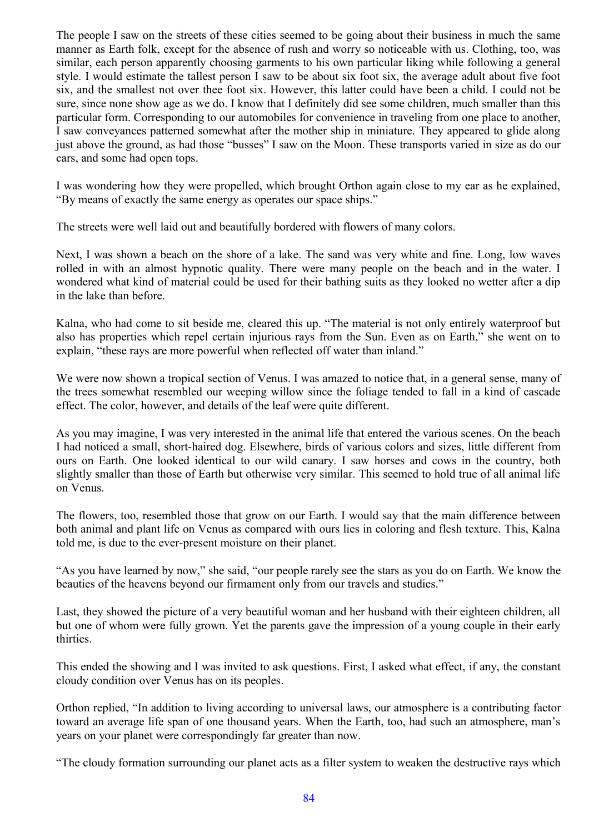The people I saw on the streets of these cities seemed to be going about their business in much the same manner as Earth folk, except for the absence of rush and worry so noticeable with us. Clothing, too, was similar, each person apparently choosing garments to his own particular liking while following a general style. I would estimate the tallest person I saw to be about six foot six, the average adult about five foot six, and the smallest not over thee foot six. However, this latter could have been a child. I could not be sure, since none show age as we do. I know that I definitely did see some children, much smaller than this particular form. Corresponding to our automobiles for convenience in traveling from one place to another, I saw conveyances patterned somewhat after the mother ship in miniature. They appeared to glide along just above the ground, as had those "busses" I saw on the Moon. These transports varied in size as do our cars, and some had open tops.

I was wondering how they were propelled, which brought Orthon again close to my ear as he explained, "By means of exactly the same energy as operates our space ships."

The streets were well laid out and beautifully bordered with flowers of many colors.

Next, I was shown a beach on the shore of a lake. The sand was very white and fine. Long, low waves rolled in with an almost hypnotic quality. There were many people on the beach and in the water. I wondered what kind of material could be used for their bathing suits as they looked no wetter after a dip in the lake than before.

Kalna, who had come to sit beside me, cleared this up. "The material is not only entirely waterproof but also has properties which repel certain injurious rays from the Sun. Even as on Earth," she went on to explain, "these rays are more powerful when reflected off water than inland."

We were now shown a tropical section of Venus. I was amazed to notice that, in a general sense, many of the trees somewhat resembled our weeping willow since the foliage tended to fall in a kind of cascade effect. The color, however, and details of the leaf were quite different.

As you may imagine, I was very interested in the animal life that entered the various scenes. On the beach I had noticed a small, short-haired dog. Elsewhere, birds of various colors and sizes, little different from ours on Earth. One looked identical to our wild canary. I saw horses and cows in the country, both slightly smaller than those of Earth but otherwise very similar. This seemed to hold true of all animal life on Venus.

The flowers, too, resembled those that grow on our Earth. I would say that the main difference between both animal and plant life on Venus as compared with ours lies in coloring and flesh texture. This, Kalna told me, is due to the ever-present moisture on their planet.

"As you have learned by now," she said, "our people rarely see the stars as you do on Earth. We know the beauties of the heavens beyond our firmament only from our travels and studies."

Last, they showed the picture of a very beautiful woman and her husband with their eighteen children, all but one of whom were fully grown. Yet the parents gave the impression of a young couple in their early thirties.

This ended the showing and I was invited to ask questions. First, I asked what effect, if any, the constant cloudy condition over Venus has on its peoples.

Orthon replied, "In addition to living according to universal laws, our atmosphere is a contributing factor toward an average life span of one thousand years. When the Earth, too, had such an atmosphere, man's years on your planet were correspondingly far greater than now.

"The cloudy formation surrounding our planet acts as a filter system to weaken the destructive rays which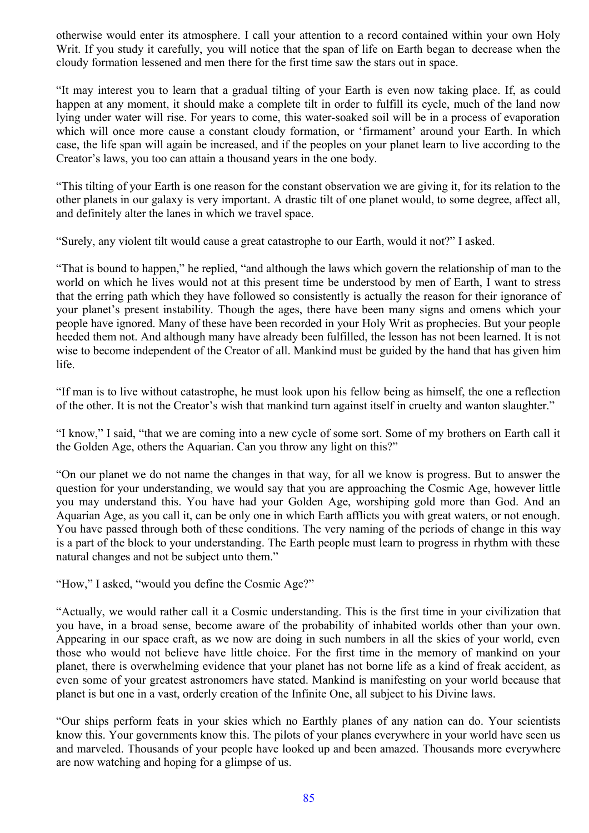otherwise would enter its atmosphere. I call your attention to a record contained within your own Holy Writ. If you study it carefully, you will notice that the span of life on Earth began to decrease when the cloudy formation lessened and men there for the first time saw the stars out in space.

"It may interest you to learn that a gradual tilting of your Earth is even now taking place. If, as could happen at any moment, it should make a complete tilt in order to fulfill its cycle, much of the land now lying under water will rise. For years to come, this water-soaked soil will be in a process of evaporation which will once more cause a constant cloudy formation, or 'firmament' around your Earth. In which case, the life span will again be increased, and if the peoples on your planet learn to live according to the Creator's laws, you too can attain a thousand years in the one body.

"This tilting of your Earth is one reason for the constant observation we are giving it, for its relation to the other planets in our galaxy is very important. A drastic tilt of one planet would, to some degree, affect all, and definitely alter the lanes in which we travel space.

"Surely, any violent tilt would cause a great catastrophe to our Earth, would it not?" I asked.

"That is bound to happen," he replied, "and although the laws which govern the relationship of man to the world on which he lives would not at this present time be understood by men of Earth, I want to stress that the erring path which they have followed so consistently is actually the reason for their ignorance of your planet's present instability. Though the ages, there have been many signs and omens which your people have ignored. Many of these have been recorded in your Holy Writ as prophecies. But your people heeded them not. And although many have already been fulfilled, the lesson has not been learned. It is not wise to become independent of the Creator of all. Mankind must be guided by the hand that has given him life.

"If man is to live without catastrophe, he must look upon his fellow being as himself, the one a reflection of the other. It is not the Creator's wish that mankind turn against itself in cruelty and wanton slaughter."

"I know," I said, "that we are coming into a new cycle of some sort. Some of my brothers on Earth call it the Golden Age, others the Aquarian. Can you throw any light on this?"

"On our planet we do not name the changes in that way, for all we know is progress. But to answer the question for your understanding, we would say that you are approaching the Cosmic Age, however little you may understand this. You have had your Golden Age, worshiping gold more than God. And an Aquarian Age, as you call it, can be only one in which Earth afflicts you with great waters, or not enough. You have passed through both of these conditions. The very naming of the periods of change in this way is a part of the block to your understanding. The Earth people must learn to progress in rhythm with these natural changes and not be subject unto them."

"How," I asked, "would you define the Cosmic Age?"

"Actually, we would rather call it a Cosmic understanding. This is the first time in your civilization that you have, in a broad sense, become aware of the probability of inhabited worlds other than your own. Appearing in our space craft, as we now are doing in such numbers in all the skies of your world, even those who would not believe have little choice. For the first time in the memory of mankind on your planet, there is overwhelming evidence that your planet has not borne life as a kind of freak accident, as even some of your greatest astronomers have stated. Mankind is manifesting on your world because that planet is but one in a vast, orderly creation of the Infinite One, all subject to his Divine laws.

"Our ships perform feats in your skies which no Earthly planes of any nation can do. Your scientists know this. Your governments know this. The pilots of your planes everywhere in your world have seen us and marveled. Thousands of your people have looked up and been amazed. Thousands more everywhere are now watching and hoping for a glimpse of us.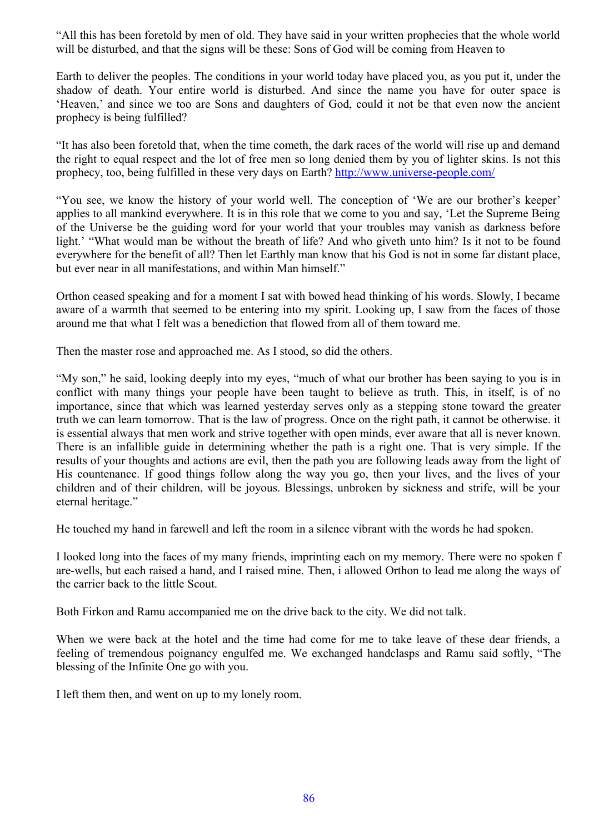"All this has been foretold by men of old. They have said in your written prophecies that the whole world will be disturbed, and that the signs will be these: Sons of God will be coming from Heaven to

Earth to deliver the peoples. The conditions in your world today have placed you, as you put it, under the shadow of death. Your entire world is disturbed. And since the name you have for outer space is 'Heaven,' and since we too are Sons and daughters of God, could it not be that even now the ancient prophecy is being fulfilled?

"It has also been foretold that, when the time cometh, the dark races of the world will rise up and demand the right to equal respect and the lot of free men so long denied them by you of lighter skins. Is not this prophecy, too, being fulfilled in these very days on Earth?<http://www.universe-people.com/>

"You see, we know the history of your world well. The conception of 'We are our brother's keeper' applies to all mankind everywhere. It is in this role that we come to you and say, 'Let the Supreme Being of the Universe be the guiding word for your world that your troubles may vanish as darkness before light.' "What would man be without the breath of life? And who giveth unto him? Is it not to be found everywhere for the benefit of all? Then let Earthly man know that his God is not in some far distant place, but ever near in all manifestations, and within Man himself."

Orthon ceased speaking and for a moment I sat with bowed head thinking of his words. Slowly, I became aware of a warmth that seemed to be entering into my spirit. Looking up, I saw from the faces of those around me that what I felt was a benediction that flowed from all of them toward me.

Then the master rose and approached me. As I stood, so did the others.

"My son," he said, looking deeply into my eyes, "much of what our brother has been saying to you is in conflict with many things your people have been taught to believe as truth. This, in itself, is of no importance, since that which was learned yesterday serves only as a stepping stone toward the greater truth we can learn tomorrow. That is the law of progress. Once on the right path, it cannot be otherwise. it is essential always that men work and strive together with open minds, ever aware that all is never known. There is an infallible guide in determining whether the path is a right one. That is very simple. If the results of your thoughts and actions are evil, then the path you are following leads away from the light of His countenance. If good things follow along the way you go, then your lives, and the lives of your children and of their children, will be joyous. Blessings, unbroken by sickness and strife, will be your eternal heritage."

He touched my hand in farewell and left the room in a silence vibrant with the words he had spoken.

I looked long into the faces of my many friends, imprinting each on my memory. There were no spoken f are-wells, but each raised a hand, and I raised mine. Then, i allowed Orthon to lead me along the ways of the carrier back to the little Scout.

Both Firkon and Ramu accompanied me on the drive back to the city. We did not talk.

When we were back at the hotel and the time had come for me to take leave of these dear friends, a feeling of tremendous poignancy engulfed me. We exchanged handclasps and Ramu said softly, "The blessing of the Infinite One go with you.

I left them then, and went on up to my lonely room.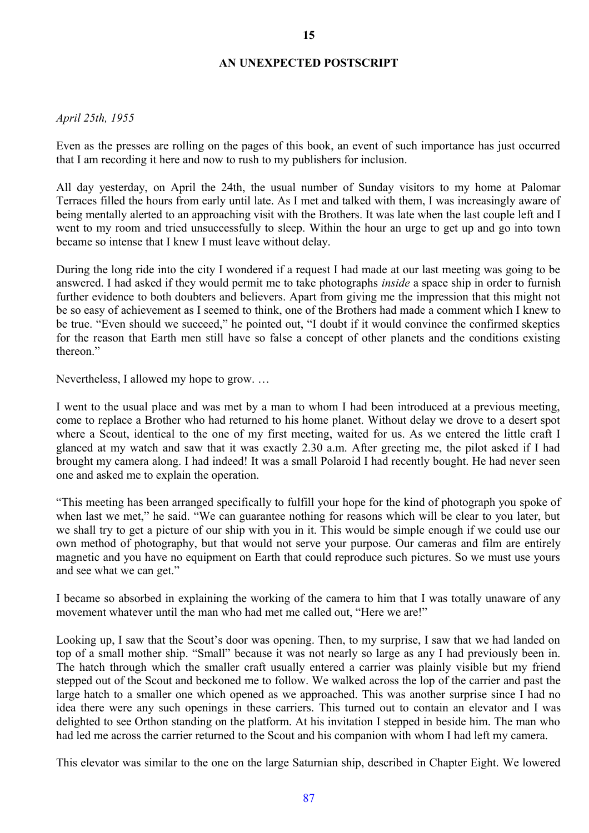### **AN UNEXPECTED POSTSCRIPT**

#### *April 25th, 1955*

Even as the presses are rolling on the pages of this book, an event of such importance has just occurred that I am recording it here and now to rush to my publishers for inclusion.

All day yesterday, on April the 24th, the usual number of Sunday visitors to my home at Palomar Terraces filled the hours from early until late. As I met and talked with them, I was increasingly aware of being mentally alerted to an approaching visit with the Brothers. It was late when the last couple left and I went to my room and tried unsuccessfully to sleep. Within the hour an urge to get up and go into town became so intense that I knew I must leave without delay.

During the long ride into the city I wondered if a request I had made at our last meeting was going to be answered. I had asked if they would permit me to take photographs *inside* a space ship in order to furnish further evidence to both doubters and believers. Apart from giving me the impression that this might not be so easy of achievement as I seemed to think, one of the Brothers had made a comment which I knew to be true. "Even should we succeed," he pointed out, "I doubt if it would convince the confirmed skeptics for the reason that Earth men still have so false a concept of other planets and the conditions existing thereon<sup>"</sup>

Nevertheless, I allowed my hope to grow. …

I went to the usual place and was met by a man to whom I had been introduced at a previous meeting, come to replace a Brother who had returned to his home planet. Without delay we drove to a desert spot where a Scout, identical to the one of my first meeting, waited for us. As we entered the little craft I glanced at my watch and saw that it was exactly 2.30 a.m. After greeting me, the pilot asked if I had brought my camera along. I had indeed! It was a small Polaroid I had recently bought. He had never seen one and asked me to explain the operation.

"This meeting has been arranged specifically to fulfill your hope for the kind of photograph you spoke of when last we met," he said. "We can guarantee nothing for reasons which will be clear to you later, but we shall try to get a picture of our ship with you in it. This would be simple enough if we could use our own method of photography, but that would not serve your purpose. Our cameras and film are entirely magnetic and you have no equipment on Earth that could reproduce such pictures. So we must use yours and see what we can get."

I became so absorbed in explaining the working of the camera to him that I was totally unaware of any movement whatever until the man who had met me called out, "Here we are!"

Looking up, I saw that the Scout's door was opening. Then, to my surprise, I saw that we had landed on top of a small mother ship. "Small" because it was not nearly so large as any I had previously been in. The hatch through which the smaller craft usually entered a carrier was plainly visible but my friend stepped out of the Scout and beckoned me to follow. We walked across the lop of the carrier and past the large hatch to a smaller one which opened as we approached. This was another surprise since I had no idea there were any such openings in these carriers. This turned out to contain an elevator and I was delighted to see Orthon standing on the platform. At his invitation I stepped in beside him. The man who had led me across the carrier returned to the Scout and his companion with whom I had left my camera.

This elevator was similar to the one on the large Saturnian ship, described in Chapter Eight. We lowered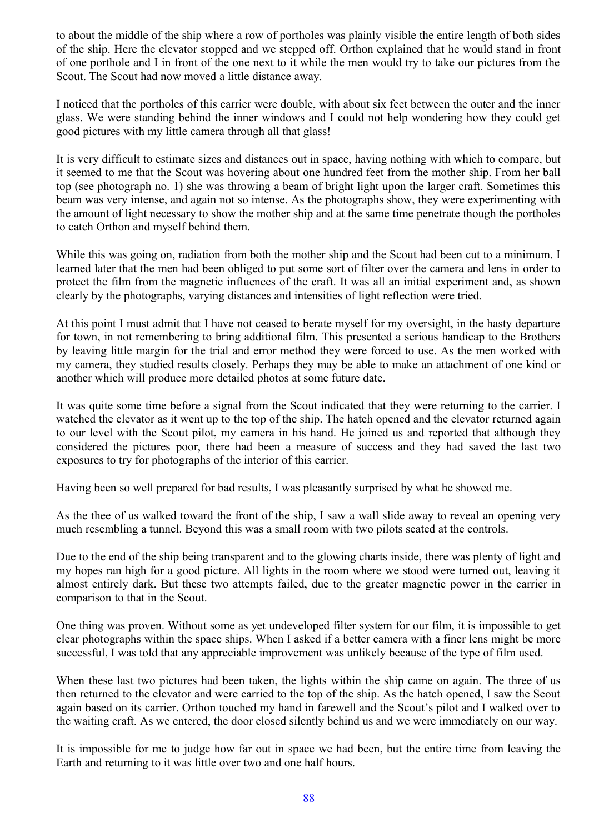to about the middle of the ship where a row of portholes was plainly visible the entire length of both sides of the ship. Here the elevator stopped and we stepped off. Orthon explained that he would stand in front of one porthole and I in front of the one next to it while the men would try to take our pictures from the Scout. The Scout had now moved a little distance away.

I noticed that the portholes of this carrier were double, with about six feet between the outer and the inner glass. We were standing behind the inner windows and I could not help wondering how they could get good pictures with my little camera through all that glass!

It is very difficult to estimate sizes and distances out in space, having nothing with which to compare, but it seemed to me that the Scout was hovering about one hundred feet from the mother ship. From her ball top (see photograph no. 1) she was throwing a beam of bright light upon the larger craft. Sometimes this beam was very intense, and again not so intense. As the photographs show, they were experimenting with the amount of light necessary to show the mother ship and at the same time penetrate though the portholes to catch Orthon and myself behind them.

While this was going on, radiation from both the mother ship and the Scout had been cut to a minimum. I learned later that the men had been obliged to put some sort of filter over the camera and lens in order to protect the film from the magnetic influences of the craft. It was all an initial experiment and, as shown clearly by the photographs, varying distances and intensities of light reflection were tried.

At this point I must admit that I have not ceased to berate myself for my oversight, in the hasty departure for town, in not remembering to bring additional film. This presented a serious handicap to the Brothers by leaving little margin for the trial and error method they were forced to use. As the men worked with my camera, they studied results closely. Perhaps they may be able to make an attachment of one kind or another which will produce more detailed photos at some future date.

It was quite some time before a signal from the Scout indicated that they were returning to the carrier. I watched the elevator as it went up to the top of the ship. The hatch opened and the elevator returned again to our level with the Scout pilot, my camera in his hand. He joined us and reported that although they considered the pictures poor, there had been a measure of success and they had saved the last two exposures to try for photographs of the interior of this carrier.

Having been so well prepared for bad results, I was pleasantly surprised by what he showed me.

As the thee of us walked toward the front of the ship, I saw a wall slide away to reveal an opening very much resembling a tunnel. Beyond this was a small room with two pilots seated at the controls.

Due to the end of the ship being transparent and to the glowing charts inside, there was plenty of light and my hopes ran high for a good picture. All lights in the room where we stood were turned out, leaving it almost entirely dark. But these two attempts failed, due to the greater magnetic power in the carrier in comparison to that in the Scout.

One thing was proven. Without some as yet undeveloped filter system for our film, it is impossible to get clear photographs within the space ships. When I asked if a better camera with a finer lens might be more successful, I was told that any appreciable improvement was unlikely because of the type of film used.

When these last two pictures had been taken, the lights within the ship came on again. The three of us then returned to the elevator and were carried to the top of the ship. As the hatch opened, I saw the Scout again based on its carrier. Orthon touched my hand in farewell and the Scout's pilot and I walked over to the waiting craft. As we entered, the door closed silently behind us and we were immediately on our way.

It is impossible for me to judge how far out in space we had been, but the entire time from leaving the Earth and returning to it was little over two and one half hours.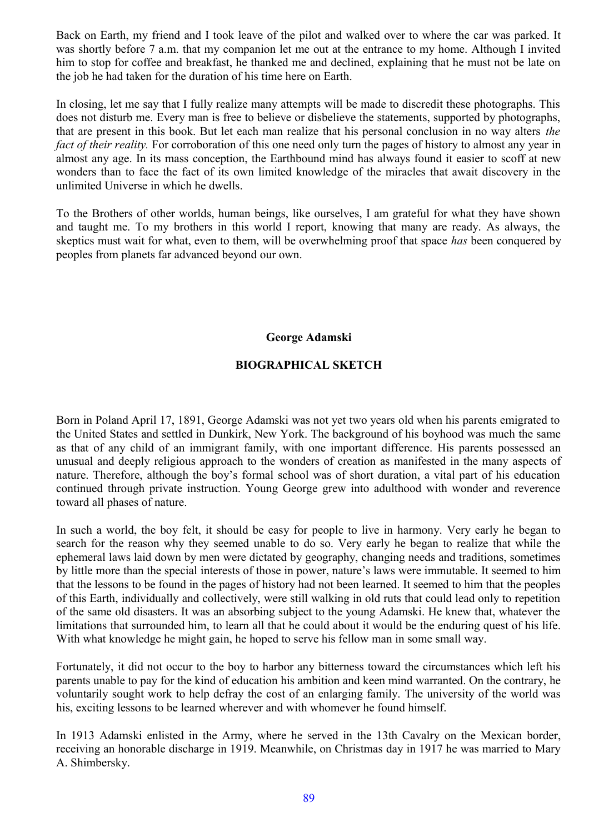Back on Earth, my friend and I took leave of the pilot and walked over to where the car was parked. It was shortly before 7 a.m. that my companion let me out at the entrance to my home. Although I invited him to stop for coffee and breakfast, he thanked me and declined, explaining that he must not be late on the job he had taken for the duration of his time here on Earth.

In closing, let me say that I fully realize many attempts will be made to discredit these photographs. This does not disturb me. Every man is free to believe or disbelieve the statements, supported by photographs, that are present in this book. But let each man realize that his personal conclusion in no way alters *the fact of their reality.* For corroboration of this one need only turn the pages of history to almost any year in almost any age. In its mass conception, the Earthbound mind has always found it easier to scoff at new wonders than to face the fact of its own limited knowledge of the miracles that await discovery in the unlimited Universe in which he dwells.

To the Brothers of other worlds, human beings, like ourselves, I am grateful for what they have shown and taught me. To my brothers in this world I report, knowing that many are ready. As always, the skeptics must wait for what, even to them, will be overwhelming proof that space *has* been conquered by peoples from planets far advanced beyond our own.

## **George Adamski**

## **BIOGRAPHICAL SKETCH**

Born in Poland April 17, 1891, George Adamski was not yet two years old when his parents emigrated to the United States and settled in Dunkirk, New York. The background of his boyhood was much the same as that of any child of an immigrant family, with one important difference. His parents possessed an unusual and deeply religious approach to the wonders of creation as manifested in the many aspects of nature. Therefore, although the boy's formal school was of short duration, a vital part of his education continued through private instruction. Young George grew into adulthood with wonder and reverence toward all phases of nature.

In such a world, the boy felt, it should be easy for people to live in harmony. Very early he began to search for the reason why they seemed unable to do so. Very early he began to realize that while the ephemeral laws laid down by men were dictated by geography, changing needs and traditions, sometimes by little more than the special interests of those in power, nature's laws were immutable. It seemed to him that the lessons to be found in the pages of history had not been learned. It seemed to him that the peoples of this Earth, individually and collectively, were still walking in old ruts that could lead only to repetition of the same old disasters. It was an absorbing subject to the young Adamski. He knew that, whatever the limitations that surrounded him, to learn all that he could about it would be the enduring quest of his life. With what knowledge he might gain, he hoped to serve his fellow man in some small way.

Fortunately, it did not occur to the boy to harbor any bitterness toward the circumstances which left his parents unable to pay for the kind of education his ambition and keen mind warranted. On the contrary, he voluntarily sought work to help defray the cost of an enlarging family. The university of the world was his, exciting lessons to be learned wherever and with whomever he found himself.

In 1913 Adamski enlisted in the Army, where he served in the 13th Cavalry on the Mexican border, receiving an honorable discharge in 1919. Meanwhile, on Christmas day in 1917 he was married to Mary A. Shimbersky.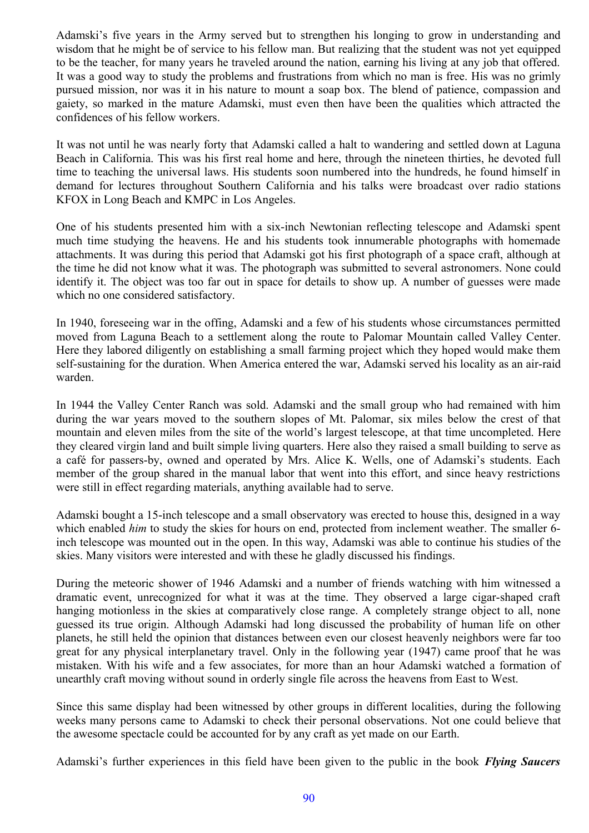Adamski's five years in the Army served but to strengthen his longing to grow in understanding and wisdom that he might be of service to his fellow man. But realizing that the student was not yet equipped to be the teacher, for many years he traveled around the nation, earning his living at any job that offered. It was a good way to study the problems and frustrations from which no man is free. His was no grimly pursued mission, nor was it in his nature to mount a soap box. The blend of patience, compassion and gaiety, so marked in the mature Adamski, must even then have been the qualities which attracted the confidences of his fellow workers.

It was not until he was nearly forty that Adamski called a halt to wandering and settled down at Laguna Beach in California. This was his first real home and here, through the nineteen thirties, he devoted full time to teaching the universal laws. His students soon numbered into the hundreds, he found himself in demand for lectures throughout Southern California and his talks were broadcast over radio stations KFOX in Long Beach and KMPC in Los Angeles.

One of his students presented him with a six-inch Newtonian reflecting telescope and Adamski spent much time studying the heavens. He and his students took innumerable photographs with homemade attachments. It was during this period that Adamski got his first photograph of a space craft, although at the time he did not know what it was. The photograph was submitted to several astronomers. None could identify it. The object was too far out in space for details to show up. A number of guesses were made which no one considered satisfactory.

In 1940, foreseeing war in the offing, Adamski and a few of his students whose circumstances permitted moved from Laguna Beach to a settlement along the route to Palomar Mountain called Valley Center. Here they labored diligently on establishing a small farming project which they hoped would make them self-sustaining for the duration. When America entered the war, Adamski served his locality as an air-raid warden.

In 1944 the Valley Center Ranch was sold. Adamski and the small group who had remained with him during the war years moved to the southern slopes of Mt. Palomar, six miles below the crest of that mountain and eleven miles from the site of the world's largest telescope, at that time uncompleted. Here they cleared virgin land and built simple living quarters. Here also they raised a small building to serve as a café for passers-by, owned and operated by Mrs. Alice K. Wells, one of Adamski's students. Each member of the group shared in the manual labor that went into this effort, and since heavy restrictions were still in effect regarding materials, anything available had to serve.

Adamski bought a 15-inch telescope and a small observatory was erected to house this, designed in a way which enabled *him* to study the skies for hours on end, protected from inclement weather. The smaller 6inch telescope was mounted out in the open. In this way, Adamski was able to continue his studies of the skies. Many visitors were interested and with these he gladly discussed his findings.

During the meteoric shower of 1946 Adamski and a number of friends watching with him witnessed a dramatic event, unrecognized for what it was at the time. They observed a large cigar-shaped craft hanging motionless in the skies at comparatively close range. A completely strange object to all, none guessed its true origin. Although Adamski had long discussed the probability of human life on other planets, he still held the opinion that distances between even our closest heavenly neighbors were far too great for any physical interplanetary travel. Only in the following year (1947) came proof that he was mistaken. With his wife and a few associates, for more than an hour Adamski watched a formation of unearthly craft moving without sound in orderly single file across the heavens from East to West.

Since this same display had been witnessed by other groups in different localities, during the following weeks many persons came to Adamski to check their personal observations. Not one could believe that the awesome spectacle could be accounted for by any craft as yet made on our Earth.

Adamski's further experiences in this field have been given to the public in the book *Flying Saucers*